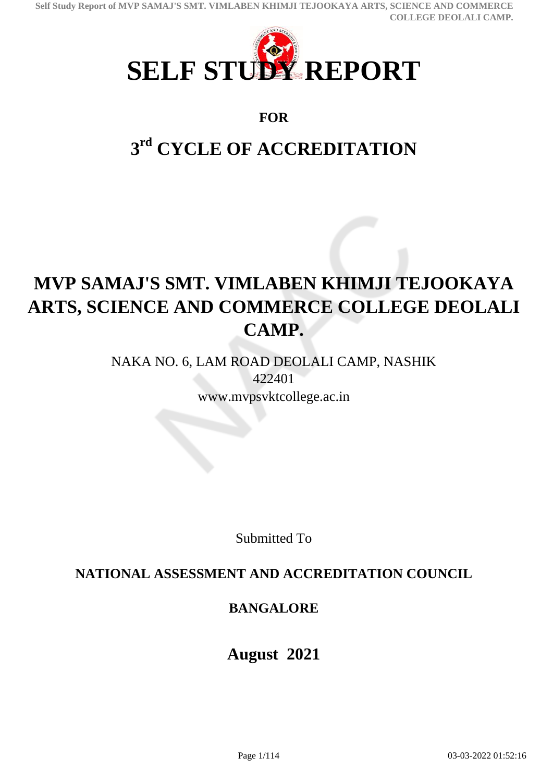

# **FOR**

# **3 rd CYCLE OF ACCREDITATION**

# **MVP SAMAJ'S SMT. VIMLABEN KHIMJI TEJOOKAYA ARTS, SCIENCE AND COMMERCE COLLEGE DEOLALI CAMP.**

NAKA NO. 6, LAM ROAD DEOLALI CAMP, NASHIK 422401 www.mvpsvktcollege.ac.in

Submitted To

# **NATIONAL ASSESSMENT AND ACCREDITATION COUNCIL**

# **BANGALORE**

# **August 2021**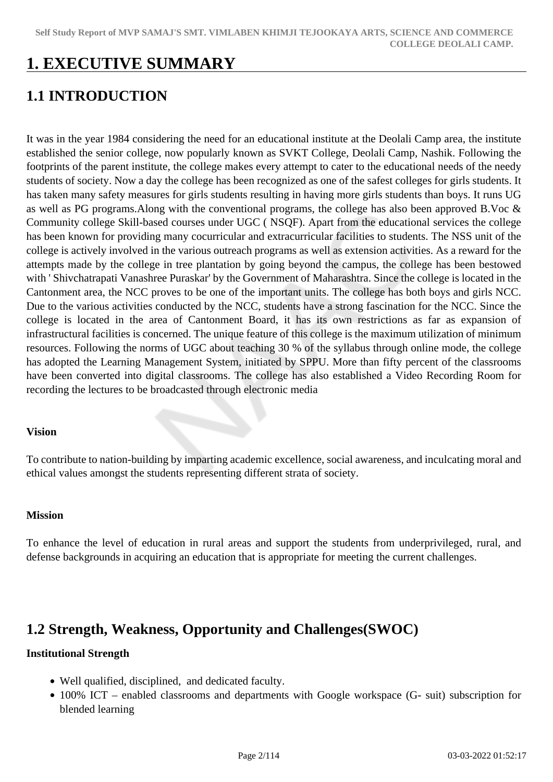# **1. EXECUTIVE SUMMARY**

# **1.1 INTRODUCTION**

It was in the year 1984 considering the need for an educational institute at the Deolali Camp area, the institute established the senior college, now popularly known as SVKT College, Deolali Camp, Nashik. Following the footprints of the parent institute, the college makes every attempt to cater to the educational needs of the needy students of society. Now a day the college has been recognized as one of the safest colleges for girls students. It has taken many safety measures for girls students resulting in having more girls students than boys. It runs UG as well as PG programs.Along with the conventional programs, the college has also been approved B.Voc & Community college Skill-based courses under UGC ( NSQF). Apart from the educational services the college has been known for providing many cocurricular and extracurricular facilities to students. The NSS unit of the college is actively involved in the various outreach programs as well as extension activities. As a reward for the attempts made by the college in tree plantation by going beyond the campus, the college has been bestowed with ' Shivchatrapati Vanashree Puraskar' by the Government of Maharashtra. Since the college is located in the Cantonment area, the NCC proves to be one of the important units. The college has both boys and girls NCC. Due to the various activities conducted by the NCC, students have a strong fascination for the NCC. Since the college is located in the area of Cantonment Board, it has its own restrictions as far as expansion of infrastructural facilities is concerned. The unique feature of this college is the maximum utilization of minimum resources. Following the norms of UGC about teaching 30 % of the syllabus through online mode, the college has adopted the Learning Management System, initiated by SPPU. More than fifty percent of the classrooms have been converted into digital classrooms. The college has also established a Video Recording Room for recording the lectures to be broadcasted through electronic media

#### **Vision**

To contribute to nation-building by imparting academic excellence, social awareness, and inculcating moral and ethical values amongst the students representing different strata of society.

#### **Mission**

To enhance the level of education in rural areas and support the students from underprivileged, rural, and defense backgrounds in acquiring an education that is appropriate for meeting the current challenges.

# **1.2 Strength, Weakness, Opportunity and Challenges(SWOC)**

#### **Institutional Strength**

- Well qualified, disciplined, and dedicated faculty.
- 100% ICT enabled classrooms and departments with Google workspace (G- suit) subscription for blended learning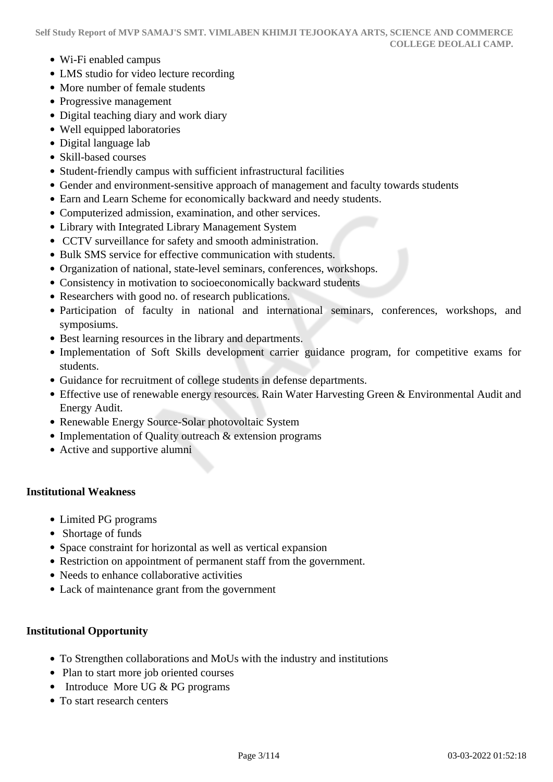- Wi-Fi enabled campus
- LMS studio for video lecture recording
- More number of female students
- Progressive management
- Digital teaching diary and work diary
- Well equipped laboratories
- Digital language lab
- Skill-based courses
- Student-friendly campus with sufficient infrastructural facilities
- Gender and environment-sensitive approach of management and faculty towards students
- Earn and Learn Scheme for economically backward and needy students.
- Computerized admission, examination, and other services.
- Library with Integrated Library Management System
- CCTV surveillance for safety and smooth administration.
- Bulk SMS service for effective communication with students.
- Organization of national, state-level seminars, conferences, workshops.
- Consistency in motivation to socioeconomically backward students
- Researchers with good no. of research publications.
- Participation of faculty in national and international seminars, conferences, workshops, and symposiums.
- Best learning resources in the library and departments.
- Implementation of Soft Skills development carrier guidance program, for competitive exams for students.
- Guidance for recruitment of college students in defense departments.
- Effective use of renewable energy resources. Rain Water Harvesting Green & Environmental Audit and Energy Audit.
- Renewable Energy Source-Solar photovoltaic System
- Implementation of Quality outreach & extension programs
- Active and supportive alumni

#### **Institutional Weakness**

- Limited PG programs
- Shortage of funds
- Space constraint for horizontal as well as vertical expansion
- Restriction on appointment of permanent staff from the government.
- Needs to enhance collaborative activities
- Lack of maintenance grant from the government

#### **Institutional Opportunity**

- To Strengthen collaborations and MoUs with the industry and institutions
- Plan to start more job oriented courses
- $\bullet$  Introduce More UG & PG programs
- To start research centers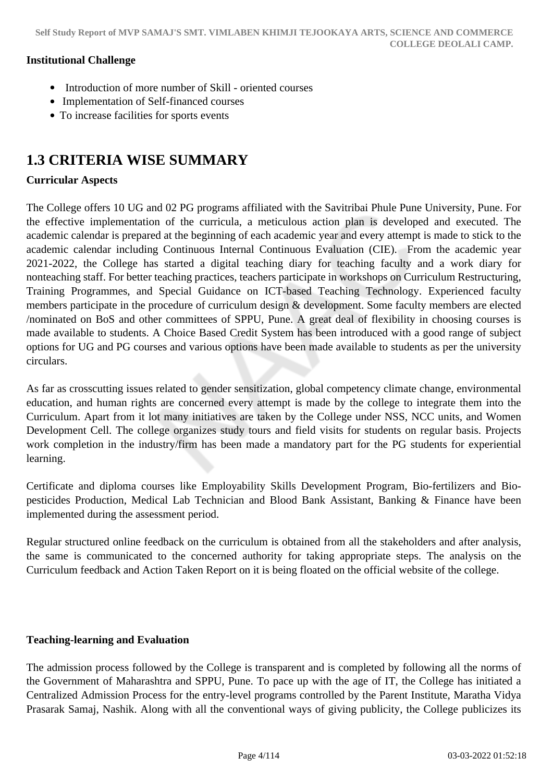#### **Institutional Challenge**

- Introduction of more number of Skill oriented courses
- Implementation of Self-financed courses
- To increase facilities for sports events

# **1.3 CRITERIA WISE SUMMARY**

#### **Curricular Aspects**

The College offers 10 UG and 02 PG programs affiliated with the Savitribai Phule Pune University, Pune. For the effective implementation of the curricula, a meticulous action plan is developed and executed. The academic calendar is prepared at the beginning of each academic year and every attempt is made to stick to the academic calendar including Continuous Internal Continuous Evaluation (CIE). From the academic year 2021-2022, the College has started a digital teaching diary for teaching faculty and a work diary for nonteaching staff. For better teaching practices, teachers participate in workshops on Curriculum Restructuring, Training Programmes, and Special Guidance on ICT-based Teaching Technology. Experienced faculty members participate in the procedure of curriculum design & development. Some faculty members are elected /nominated on BoS and other committees of SPPU, Pune. A great deal of flexibility in choosing courses is made available to students. A Choice Based Credit System has been introduced with a good range of subject options for UG and PG courses and various options have been made available to students as per the university circulars.

As far as crosscutting issues related to gender sensitization, global competency climate change, environmental education, and human rights are concerned every attempt is made by the college to integrate them into the Curriculum. Apart from it lot many initiatives are taken by the College under NSS, NCC units, and Women Development Cell. The college organizes study tours and field visits for students on regular basis. Projects work completion in the industry/firm has been made a mandatory part for the PG students for experiential learning.

Certificate and diploma courses like Employability Skills Development Program, Bio-fertilizers and Biopesticides Production, Medical Lab Technician and Blood Bank Assistant, Banking & Finance have been implemented during the assessment period.

Regular structured online feedback on the curriculum is obtained from all the stakeholders and after analysis, the same is communicated to the concerned authority for taking appropriate steps. The analysis on the Curriculum feedback and Action Taken Report on it is being floated on the official website of the college.

#### **Teaching-learning and Evaluation**

The admission process followed by the College is transparent and is completed by following all the norms of the Government of Maharashtra and SPPU, Pune. To pace up with the age of IT, the College has initiated a Centralized Admission Process for the entry-level programs controlled by the Parent Institute, Maratha Vidya Prasarak Samaj, Nashik. Along with all the conventional ways of giving publicity, the College publicizes its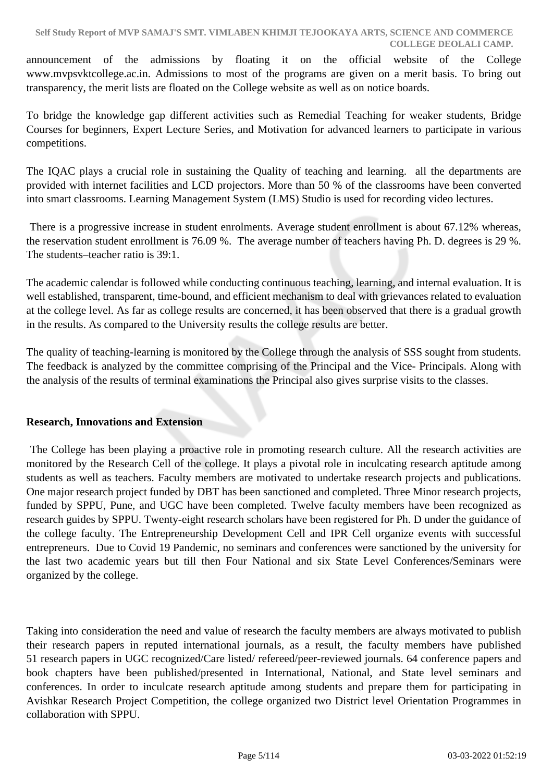announcement of the admissions by floating it on the official website of the College www.mvpsvktcollege.ac.in. Admissions to most of the programs are given on a merit basis. To bring out transparency, the merit lists are floated on the College website as well as on notice boards.

To bridge the knowledge gap different activities such as Remedial Teaching for weaker students, Bridge Courses for beginners, Expert Lecture Series, and Motivation for advanced learners to participate in various competitions.

The IQAC plays a crucial role in sustaining the Quality of teaching and learning. all the departments are provided with internet facilities and LCD projectors. More than 50 % of the classrooms have been converted into smart classrooms. Learning Management System (LMS) Studio is used for recording video lectures.

 There is a progressive increase in student enrolments. Average student enrollment is about 67.12% whereas, the reservation student enrollment is 76.09 %. The average number of teachers having Ph. D. degrees is 29 %. The students–teacher ratio is 39:1.

The academic calendar is followed while conducting continuous teaching, learning, and internal evaluation. It is well established, transparent, time-bound, and efficient mechanism to deal with grievances related to evaluation at the college level. As far as college results are concerned, it has been observed that there is a gradual growth in the results. As compared to the University results the college results are better.

The quality of teaching-learning is monitored by the College through the analysis of SSS sought from students. The feedback is analyzed by the committee comprising of the Principal and the Vice- Principals. Along with the analysis of the results of terminal examinations the Principal also gives surprise visits to the classes.

#### **Research, Innovations and Extension**

 The College has been playing a proactive role in promoting research culture. All the research activities are monitored by the Research Cell of the college. It plays a pivotal role in inculcating research aptitude among students as well as teachers. Faculty members are motivated to undertake research projects and publications. One major research project funded by DBT has been sanctioned and completed. Three Minor research projects, funded by SPPU, Pune, and UGC have been completed. Twelve faculty members have been recognized as research guides by SPPU. Twenty-eight research scholars have been registered for Ph. D under the guidance of the college faculty. The Entrepreneurship Development Cell and IPR Cell organize events with successful entrepreneurs. Due to Covid 19 Pandemic, no seminars and conferences were sanctioned by the university for the last two academic years but till then Four National and six State Level Conferences/Seminars were organized by the college.

Taking into consideration the need and value of research the faculty members are always motivated to publish their research papers in reputed international journals, as a result, the faculty members have published 51 research papers in UGC recognized/Care listed/ refereed/peer-reviewed journals. 64 conference papers and book chapters have been published/presented in International, National, and State level seminars and conferences. In order to inculcate research aptitude among students and prepare them for participating in Avishkar Research Project Competition, the college organized two District level Orientation Programmes in collaboration with SPPU.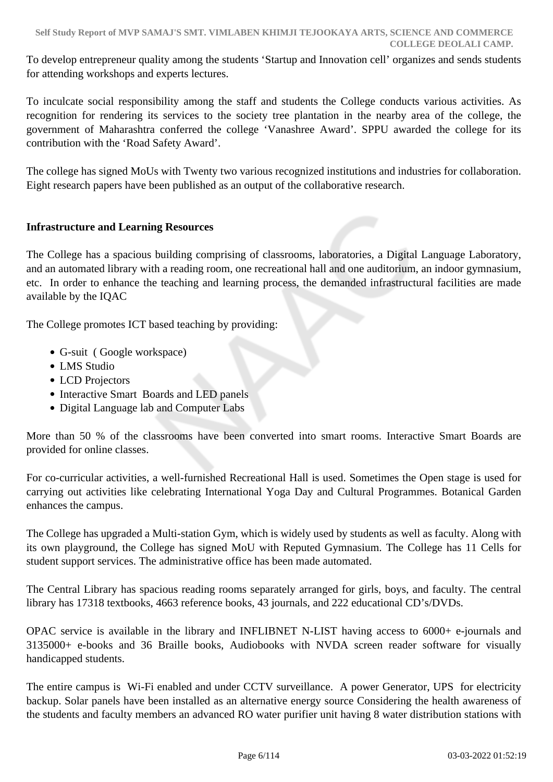To develop entrepreneur quality among the students 'Startup and Innovation cell' organizes and sends students for attending workshops and experts lectures.

To inculcate social responsibility among the staff and students the College conducts various activities. As recognition for rendering its services to the society tree plantation in the nearby area of the college, the government of Maharashtra conferred the college 'Vanashree Award'. SPPU awarded the college for its contribution with the 'Road Safety Award'.

The college has signed MoUs with Twenty two various recognized institutions and industries for collaboration. Eight research papers have been published as an output of the collaborative research.

#### **Infrastructure and Learning Resources**

The College has a spacious building comprising of classrooms, laboratories, a Digital Language Laboratory, and an automated library with a reading room, one recreational hall and one auditorium, an indoor gymnasium, etc. In order to enhance the teaching and learning process, the demanded infrastructural facilities are made available by the IQAC

The College promotes ICT based teaching by providing:

- G-suit ( Google workspace)
- LMS Studio
- LCD Projectors
- Interactive Smart Boards and LED panels
- Digital Language lab and Computer Labs

More than 50 % of the classrooms have been converted into smart rooms. Interactive Smart Boards are provided for online classes.

For co-curricular activities, a well-furnished Recreational Hall is used. Sometimes the Open stage is used for carrying out activities like celebrating International Yoga Day and Cultural Programmes. Botanical Garden enhances the campus.

The College has upgraded a Multi-station Gym, which is widely used by students as well as faculty. Along with its own playground, the College has signed MoU with Reputed Gymnasium. The College has 11 Cells for student support services. The administrative office has been made automated.

The Central Library has spacious reading rooms separately arranged for girls, boys, and faculty. The central library has 17318 textbooks, 4663 reference books, 43 journals, and 222 educational CD's/DVDs.

OPAC service is available in the library and INFLIBNET N-LIST having access to 6000+ e-journals and 3135000+ e-books and 36 Braille books, Audiobooks with NVDA screen reader software for visually handicapped students.

The entire campus is Wi-Fi enabled and under CCTV surveillance. A power Generator, UPS for electricity backup. Solar panels have been installed as an alternative energy source Considering the health awareness of the students and faculty members an advanced RO water purifier unit having 8 water distribution stations with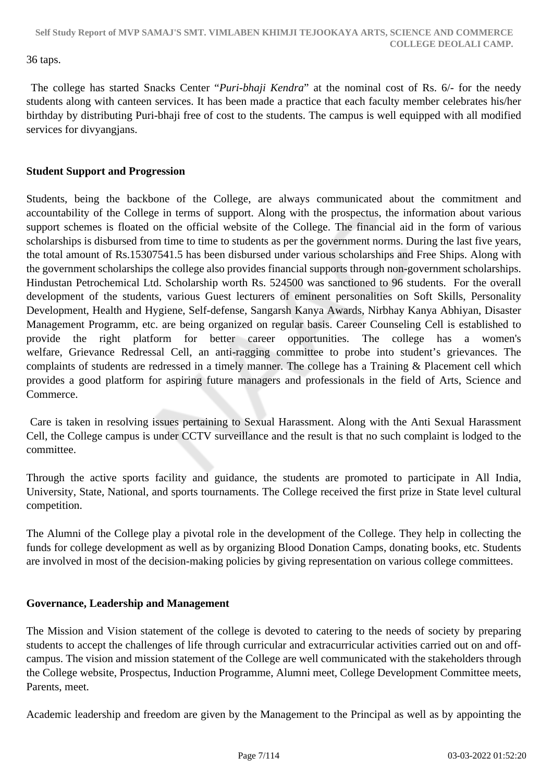36 taps.

 The college has started Snacks Center "*Puri-bhaji Kendra*" at the nominal cost of Rs. 6/- for the needy students along with canteen services. It has been made a practice that each faculty member celebrates his/her birthday by distributing Puri-bhaji free of cost to the students. The campus is well equipped with all modified services for divyangjans.

#### **Student Support and Progression**

Students, being the backbone of the College, are always communicated about the commitment and accountability of the College in terms of support. Along with the prospectus, the information about various support schemes is floated on the official website of the College. The financial aid in the form of various scholarships is disbursed from time to time to students as per the government norms. During the last five years, the total amount of Rs.15307541.5 has been disbursed under various scholarships and Free Ships. Along with the government scholarships the college also provides financial supports through non-government scholarships. Hindustan Petrochemical Ltd. Scholarship worth Rs. 524500 was sanctioned to 96 students. For the overall development of the students, various Guest lecturers of eminent personalities on Soft Skills, Personality Development, Health and Hygiene, Self-defense, Sangarsh Kanya Awards, Nirbhay Kanya Abhiyan, Disaster Management Programm, etc. are being organized on regular basis. Career Counseling Cell is established to provide the right platform for better career opportunities. The college has a women's welfare, Grievance Redressal Cell, an anti-ragging committee to probe into student's grievances. The complaints of students are redressed in a timely manner. The college has a Training & Placement cell which provides a good platform for aspiring future managers and professionals in the field of Arts, Science and Commerce.

 Care is taken in resolving issues pertaining to Sexual Harassment. Along with the Anti Sexual Harassment Cell, the College campus is under CCTV surveillance and the result is that no such complaint is lodged to the committee.

Through the active sports facility and guidance, the students are promoted to participate in All India, University, State, National, and sports tournaments. The College received the first prize in State level cultural competition.

The Alumni of the College play a pivotal role in the development of the College. They help in collecting the funds for college development as well as by organizing Blood Donation Camps, donating books, etc. Students are involved in most of the decision-making policies by giving representation on various college committees.

#### **Governance, Leadership and Management**

The Mission and Vision statement of the college is devoted to catering to the needs of society by preparing students to accept the challenges of life through curricular and extracurricular activities carried out on and offcampus. The vision and mission statement of the College are well communicated with the stakeholders through the College website, Prospectus, Induction Programme, Alumni meet, College Development Committee meets, Parents, meet.

Academic leadership and freedom are given by the Management to the Principal as well as by appointing the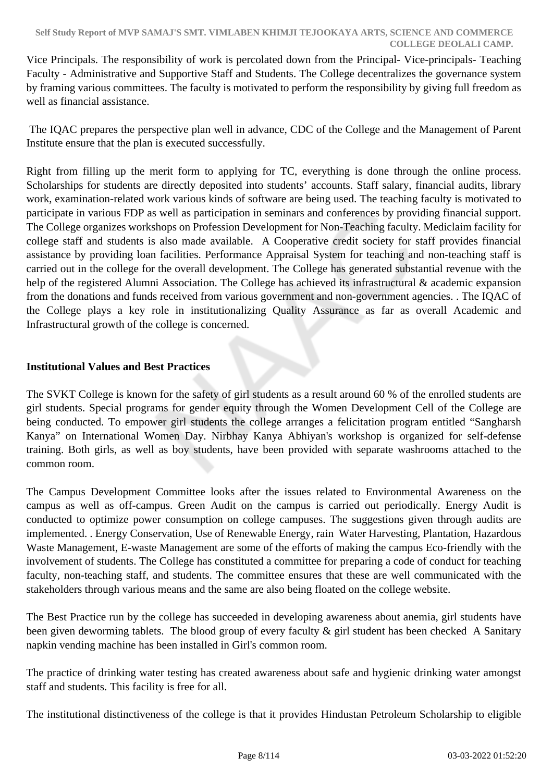Vice Principals. The responsibility of work is percolated down from the Principal- Vice-principals- Teaching Faculty - Administrative and Supportive Staff and Students. The College decentralizes the governance system by framing various committees. The faculty is motivated to perform the responsibility by giving full freedom as well as financial assistance.

 The IQAC prepares the perspective plan well in advance, CDC of the College and the Management of Parent Institute ensure that the plan is executed successfully.

Right from filling up the merit form to applying for TC, everything is done through the online process. Scholarships for students are directly deposited into students' accounts. Staff salary, financial audits, library work, examination-related work various kinds of software are being used. The teaching faculty is motivated to participate in various FDP as well as participation in seminars and conferences by providing financial support. The College organizes workshops on Profession Development for Non-Teaching faculty. Mediclaim facility for college staff and students is also made available. A Cooperative credit society for staff provides financial assistance by providing loan facilities. Performance Appraisal System for teaching and non-teaching staff is carried out in the college for the overall development. The College has generated substantial revenue with the help of the registered Alumni Association. The College has achieved its infrastructural & academic expansion from the donations and funds received from various government and non-government agencies. . The IQAC of the College plays a key role in institutionalizing Quality Assurance as far as overall Academic and Infrastructural growth of the college is concerned.

#### **Institutional Values and Best Practices**

The SVKT College is known for the safety of girl students as a result around 60 % of the enrolled students are girl students. Special programs for gender equity through the Women Development Cell of the College are being conducted. To empower girl students the college arranges a felicitation program entitled "Sangharsh Kanya" on International Women Day. Nirbhay Kanya Abhiyan's workshop is organized for self-defense training. Both girls, as well as boy students, have been provided with separate washrooms attached to the common room.

The Campus Development Committee looks after the issues related to Environmental Awareness on the campus as well as off-campus. Green Audit on the campus is carried out periodically. Energy Audit is conducted to optimize power consumption on college campuses. The suggestions given through audits are implemented. . Energy Conservation, Use of Renewable Energy, rain Water Harvesting, Plantation, Hazardous Waste Management, E-waste Management are some of the efforts of making the campus Eco-friendly with the involvement of students. The College has constituted a committee for preparing a code of conduct for teaching faculty, non-teaching staff, and students. The committee ensures that these are well communicated with the stakeholders through various means and the same are also being floated on the college website.

The Best Practice run by the college has succeeded in developing awareness about anemia, girl students have been given deworming tablets. The blood group of every faculty & girl student has been checked A Sanitary napkin vending machine has been installed in Girl's common room.

The practice of drinking water testing has created awareness about safe and hygienic drinking water amongst staff and students. This facility is free for all.

The institutional distinctiveness of the college is that it provides Hindustan Petroleum Scholarship to eligible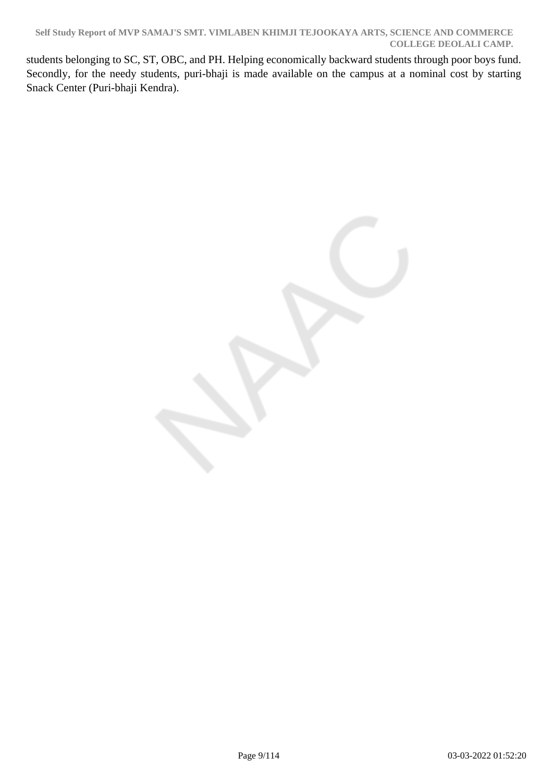students belonging to SC, ST, OBC, and PH. Helping economically backward students through poor boys fund. Secondly, for the needy students, puri-bhaji is made available on the campus at a nominal cost by starting Snack Center (Puri-bhaji Kendra).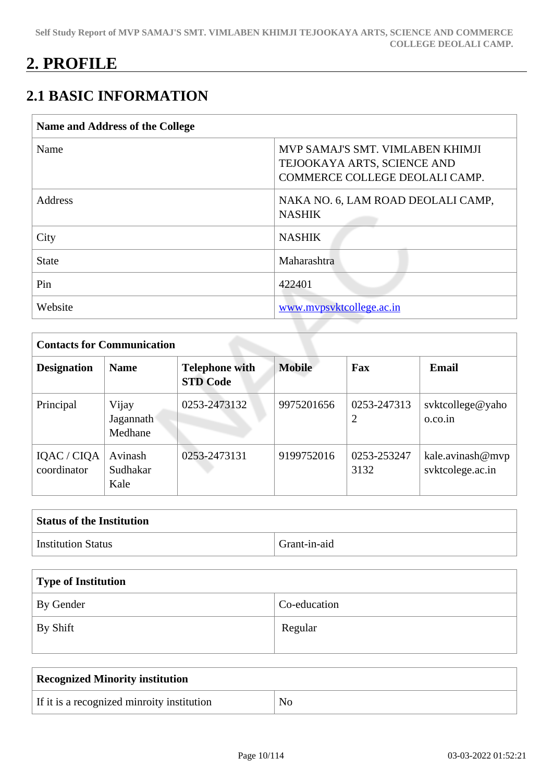# **2. PROFILE**

# **2.1 BASIC INFORMATION**

| Name and Address of the College |                                                                                                   |  |  |  |  |
|---------------------------------|---------------------------------------------------------------------------------------------------|--|--|--|--|
| Name                            | MVP SAMAJ'S SMT. VIMLABEN KHIMJI<br>TEJOOKAYA ARTS, SCIENCE AND<br>COMMERCE COLLEGE DEOLALI CAMP. |  |  |  |  |
| Address                         | NAKA NO. 6, LAM ROAD DEOLALI CAMP,<br><b>NASHIK</b>                                               |  |  |  |  |
| City                            | <b>NASHIK</b>                                                                                     |  |  |  |  |
| <b>State</b>                    | Maharashtra                                                                                       |  |  |  |  |
| Pin                             | 422401                                                                                            |  |  |  |  |
| Website                         | www.mypsyktcollege.ac.in                                                                          |  |  |  |  |

| <b>Contacts for Communication</b> |                               |                                          |               |                     |                                      |  |  |  |
|-----------------------------------|-------------------------------|------------------------------------------|---------------|---------------------|--------------------------------------|--|--|--|
| <b>Designation</b>                | <b>Name</b>                   | <b>Telephone with</b><br><b>STD Code</b> | <b>Mobile</b> | Fax                 | Email                                |  |  |  |
| Principal                         | Vijay<br>Jagannath<br>Medhane | 0253-2473132                             | 9975201656    | 0253-247313<br>2    | svktcollege@yaho<br>o.co.in          |  |  |  |
| IQAC / CIQA<br>coordinator        | Avinash<br>Sudhakar<br>Kale   | 0253-2473131                             | 9199752016    | 0253-253247<br>3132 | kale.avinash@mvp<br>svktcolege.ac.in |  |  |  |

| <b>Status of the Institution</b> |              |
|----------------------------------|--------------|
| <b>Institution Status</b>        | Grant-in-aid |

| Type of Institution |              |  |  |  |
|---------------------|--------------|--|--|--|
| By Gender           | Co-education |  |  |  |
| ∣ By Shift          | Regular      |  |  |  |

| Recognized Minority institution            |    |  |  |
|--------------------------------------------|----|--|--|
| If it is a recognized minroity institution | No |  |  |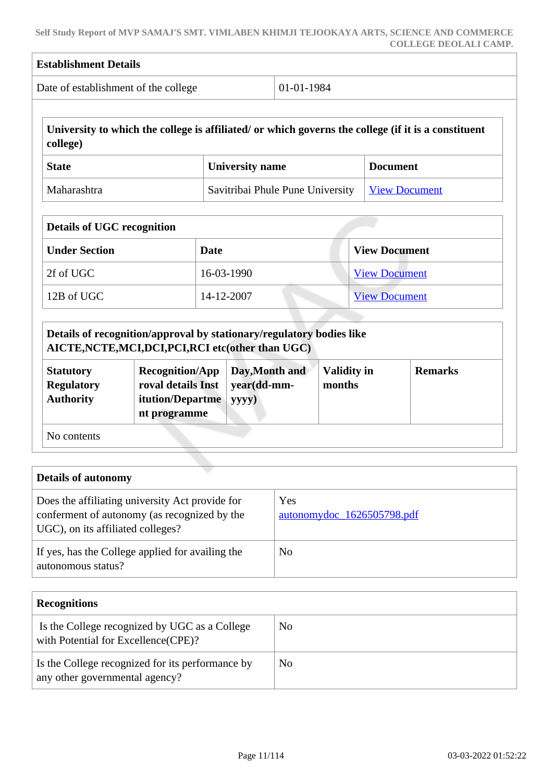| <b>Establishment Details</b>                              |                                                                                                                                                                                                 |             |                                        |            |                              |                      |                                                                                                     |  |
|-----------------------------------------------------------|-------------------------------------------------------------------------------------------------------------------------------------------------------------------------------------------------|-------------|----------------------------------------|------------|------------------------------|----------------------|-----------------------------------------------------------------------------------------------------|--|
|                                                           | Date of establishment of the college                                                                                                                                                            |             |                                        | 01-01-1984 |                              |                      |                                                                                                     |  |
| college)                                                  |                                                                                                                                                                                                 |             |                                        |            |                              |                      | University to which the college is affiliated/ or which governs the college (if it is a constituent |  |
| <b>State</b>                                              |                                                                                                                                                                                                 |             | <b>University name</b>                 |            |                              | <b>Document</b>      |                                                                                                     |  |
| Maharashtra                                               |                                                                                                                                                                                                 |             | Savitribai Phule Pune University       |            |                              |                      | <b>View Document</b>                                                                                |  |
| <b>Details of UGC recognition</b><br><b>Under Section</b> |                                                                                                                                                                                                 | <b>Date</b> |                                        |            |                              | <b>View Document</b> |                                                                                                     |  |
| 2f of UGC                                                 |                                                                                                                                                                                                 | 16-03-1990  |                                        |            | <b>View Document</b>         |                      |                                                                                                     |  |
| 12B of UGC                                                |                                                                                                                                                                                                 |             | 14-12-2007                             |            |                              | <b>View Document</b> |                                                                                                     |  |
| <b>Statutory</b><br><b>Regulatory</b><br><b>Authority</b> | Details of recognition/approval by stationary/regulatory bodies like<br>AICTE, NCTE, MCI, DCI, PCI, RCI etc(other than UGC)<br><b>Recognition/App</b><br>roval details Inst<br>itution/Departme |             | Day, Month and<br>year(dd-mm-<br>yyyy) |            | <b>Validity in</b><br>months |                      | <b>Remarks</b>                                                                                      |  |
|                                                           | nt programme                                                                                                                                                                                    |             |                                        |            |                              |                      |                                                                                                     |  |
| No contents                                               |                                                                                                                                                                                                 |             |                                        |            |                              |                      |                                                                                                     |  |

| <b>Details of autonomy</b>                                                                                                           |                                   |  |  |  |  |
|--------------------------------------------------------------------------------------------------------------------------------------|-----------------------------------|--|--|--|--|
| Does the affiliating university Act provide for<br>conferment of autonomy (as recognized by the<br>UGC), on its affiliated colleges? | Yes<br>autonomydoc 1626505798.pdf |  |  |  |  |
| If yes, has the College applied for availing the<br>autonomous status?                                                               | No                                |  |  |  |  |

| <b>Recognitions</b>                                                                   |    |  |  |  |
|---------------------------------------------------------------------------------------|----|--|--|--|
| Is the College recognized by UGC as a College<br>with Potential for Excellence (CPE)? | No |  |  |  |
| Is the College recognized for its performance by<br>any other governmental agency?    | No |  |  |  |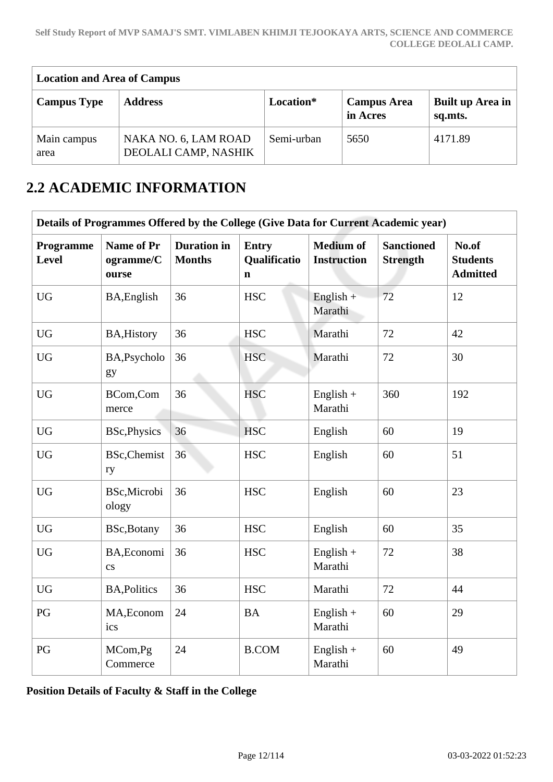| <b>Location and Area of Campus</b> |                                              |            |                                |                                    |  |  |  |  |
|------------------------------------|----------------------------------------------|------------|--------------------------------|------------------------------------|--|--|--|--|
| <b>Campus Type</b>                 | <b>Address</b>                               | Location*  | <b>Campus Area</b><br>in Acres | <b>Built up Area in</b><br>sq.mts. |  |  |  |  |
| Main campus<br>area                | NAKA NO. 6, LAM ROAD<br>DEOLALI CAMP, NASHIK | Semi-urban | 5650                           | 4171.89                            |  |  |  |  |

# **2.2 ACADEMIC INFORMATION**

|                    | Details of Programmes Offered by the College (Give Data for Current Academic year) |                                     |                                             |                                        |                                      |                                             |  |  |
|--------------------|------------------------------------------------------------------------------------|-------------------------------------|---------------------------------------------|----------------------------------------|--------------------------------------|---------------------------------------------|--|--|
| Programme<br>Level | <b>Name of Pr</b><br>ogramme/C<br>ourse                                            | <b>Duration</b> in<br><b>Months</b> | <b>Entry</b><br>Qualificatio<br>$\mathbf n$ | <b>Medium of</b><br><b>Instruction</b> | <b>Sanctioned</b><br><b>Strength</b> | No.of<br><b>Students</b><br><b>Admitted</b> |  |  |
| <b>UG</b>          | BA, English                                                                        | 36                                  | <b>HSC</b>                                  | English $+$<br>Marathi                 | 72                                   | 12                                          |  |  |
| <b>UG</b>          | <b>BA, History</b>                                                                 | 36                                  | <b>HSC</b>                                  | Marathi                                | 72                                   | 42                                          |  |  |
| <b>UG</b>          | BA, Psycholo<br>gy                                                                 | 36                                  | <b>HSC</b>                                  | Marathi                                | 72                                   | 30                                          |  |  |
| <b>UG</b>          | BCom,Com<br>merce                                                                  | 36                                  | <b>HSC</b>                                  | $English +$<br>Marathi                 | 360                                  | 192                                         |  |  |
| <b>UG</b>          | <b>BSc, Physics</b>                                                                | 36                                  | <b>HSC</b>                                  | English                                | 60                                   | 19                                          |  |  |
| <b>UG</b>          | <b>BSc,Chemist</b><br>ry                                                           | 36                                  | <b>HSC</b>                                  | English                                | 60                                   | 51                                          |  |  |
| <b>UG</b>          | BSc, Microbi<br>ology                                                              | 36                                  | <b>HSC</b>                                  | English                                | 60                                   | 23                                          |  |  |
| <b>UG</b>          | BSc, Botany                                                                        | 36                                  | <b>HSC</b>                                  | English                                | 60                                   | 35                                          |  |  |
| <b>UG</b>          | BA, Economi<br>$\mathbf{c}\mathbf{s}$                                              | 36                                  | <b>HSC</b>                                  | $English +$<br>Marathi                 | 72                                   | 38                                          |  |  |
| <b>UG</b>          | <b>BA, Politics</b>                                                                | 36                                  | <b>HSC</b>                                  | Marathi                                | 72                                   | 44                                          |  |  |
| PG                 | MA, Econom<br>ics                                                                  | 24                                  | <b>BA</b>                                   | $English +$<br>Marathi                 | 60                                   | 29                                          |  |  |
| PG                 | MCom,Pg<br>Commerce                                                                | 24                                  | <b>B.COM</b>                                | $English +$<br>Marathi                 | 60                                   | 49                                          |  |  |

**Position Details of Faculty & Staff in the College**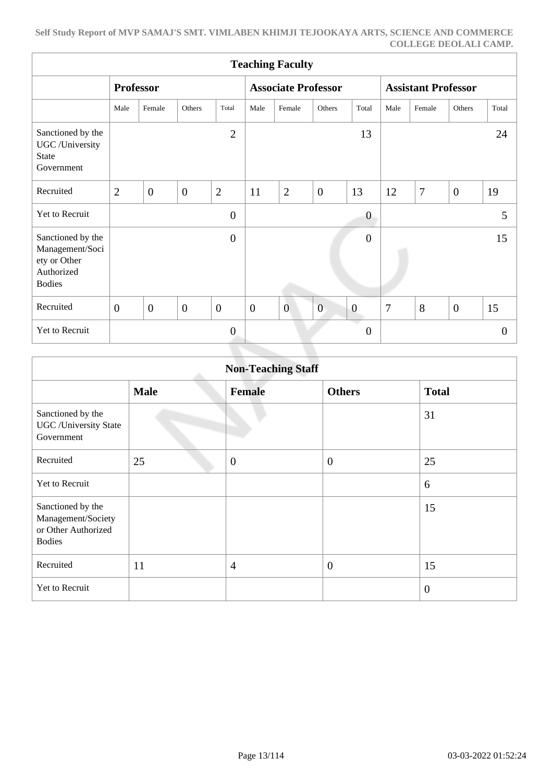|                                                                                     | <b>Teaching Faculty</b> |                |                |                |                  |                            |                |                         |        |                            |                |          |
|-------------------------------------------------------------------------------------|-------------------------|----------------|----------------|----------------|------------------|----------------------------|----------------|-------------------------|--------|----------------------------|----------------|----------|
|                                                                                     | <b>Professor</b>        |                |                |                |                  | <b>Associate Professor</b> |                |                         |        | <b>Assistant Professor</b> |                |          |
|                                                                                     | Male                    | Female         | Others         | Total          | Male             | Female                     | Others         | Total                   | Male   | Female                     | Others         | Total    |
| Sanctioned by the<br>UGC /University<br><b>State</b><br>Government                  |                         |                |                | $\overline{2}$ |                  |                            |                | 13                      |        |                            |                | 24       |
| Recruited                                                                           | $\overline{2}$          | $\overline{0}$ | $\overline{0}$ | $\overline{2}$ | 11               | $\overline{2}$             | $\overline{0}$ | 13                      | 12     | $\overline{7}$             | $\overline{0}$ | 19       |
| Yet to Recruit                                                                      |                         |                |                | $\overline{0}$ |                  |                            |                | $\boldsymbol{0}$        |        |                            |                | 5        |
| Sanctioned by the<br>Management/Soci<br>ety or Other<br>Authorized<br><b>Bodies</b> |                         |                |                | $\overline{0}$ |                  |                            |                | $\overline{0}$          |        |                            |                | 15       |
| Recruited                                                                           | $\boldsymbol{0}$        | $\overline{0}$ | $\mathbf{0}$   | $\overline{0}$ | $\boldsymbol{0}$ | $\overline{0}$             | $\overline{0}$ | $\boldsymbol{0}$        | $\tau$ | 8                          | $\overline{0}$ | 15       |
| Yet to Recruit                                                                      |                         |                |                | $\overline{0}$ |                  |                            |                | - 7<br>$\boldsymbol{0}$ |        |                            |                | $\theta$ |

| <b>Non-Teaching Staff</b>                                                       |             |                |                  |                |  |  |  |
|---------------------------------------------------------------------------------|-------------|----------------|------------------|----------------|--|--|--|
|                                                                                 | <b>Male</b> | <b>Female</b>  | <b>Others</b>    | <b>Total</b>   |  |  |  |
| Sanctioned by the<br><b>UGC</b> / University State<br>Government                |             |                |                  | 31             |  |  |  |
| Recruited                                                                       | 25          | $\mathbf{0}$   | $\boldsymbol{0}$ | 25             |  |  |  |
| Yet to Recruit                                                                  |             |                |                  | 6              |  |  |  |
| Sanctioned by the<br>Management/Society<br>or Other Authorized<br><b>Bodies</b> |             |                |                  | 15             |  |  |  |
| Recruited                                                                       | 11          | $\overline{4}$ | $\overline{0}$   | 15             |  |  |  |
| Yet to Recruit                                                                  |             |                |                  | $\overline{0}$ |  |  |  |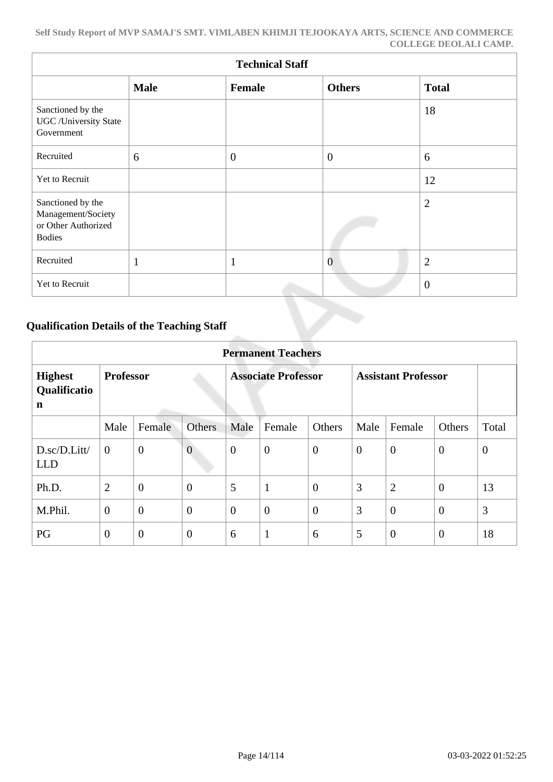| <b>Technical Staff</b>                                                          |              |              |                |                |  |  |  |  |
|---------------------------------------------------------------------------------|--------------|--------------|----------------|----------------|--|--|--|--|
|                                                                                 | <b>Male</b>  | Female       | <b>Others</b>  | <b>Total</b>   |  |  |  |  |
| Sanctioned by the<br>UGC/University State<br>Government                         |              |              |                | 18             |  |  |  |  |
| Recruited                                                                       | 6            | $\mathbf{0}$ | $\overline{0}$ | 6              |  |  |  |  |
| Yet to Recruit                                                                  |              |              |                | 12             |  |  |  |  |
| Sanctioned by the<br>Management/Society<br>or Other Authorized<br><b>Bodies</b> |              |              |                | $\overline{2}$ |  |  |  |  |
| Recruited                                                                       | $\mathbf{1}$ | $\bf{I}$     | $\overline{0}$ | $\overline{2}$ |  |  |  |  |
| Yet to Recruit                                                                  |              |              |                | $\overline{0}$ |  |  |  |  |

# **Qualification Details of the Teaching Staff**

|                                                         | <b>Permanent Teachers</b> |                            |                |                  |                            |                |          |                |                |              |
|---------------------------------------------------------|---------------------------|----------------------------|----------------|------------------|----------------------------|----------------|----------|----------------|----------------|--------------|
| <b>Professor</b><br><b>Highest</b><br>Qualificatio<br>n |                           | <b>Associate Professor</b> |                |                  | <b>Assistant Professor</b> |                |          |                |                |              |
|                                                         | Male                      | Female                     | Others         | Male             | Female                     | Others         | Male     | Female         | Others         | Total        |
| D.sc/D.Litt/<br><b>LLD</b>                              | $\overline{0}$            | $\overline{0}$             | $\overline{0}$ | $\boldsymbol{0}$ | $\boldsymbol{0}$           | $\theta$       | $\theta$ | $\overline{0}$ | $\overline{0}$ | $\mathbf{0}$ |
| Ph.D.                                                   | $\overline{2}$            | $\overline{0}$             | $\theta$       | 5                | $\mathbf{1}$               | $\overline{0}$ | 3        | $\overline{2}$ | $\overline{0}$ | 13           |
| M.Phil.                                                 | $\theta$                  | $\overline{0}$             | $\overline{0}$ | $\overline{0}$   | $\overline{0}$             | $\overline{0}$ | 3        | $\overline{0}$ | $\overline{0}$ | 3            |
| PG                                                      | $\overline{0}$            | $\overline{0}$             | $\overline{0}$ | 6                | $\mathbf{1}$               | 6              | 5        | $\overline{0}$ | $\overline{0}$ | 18           |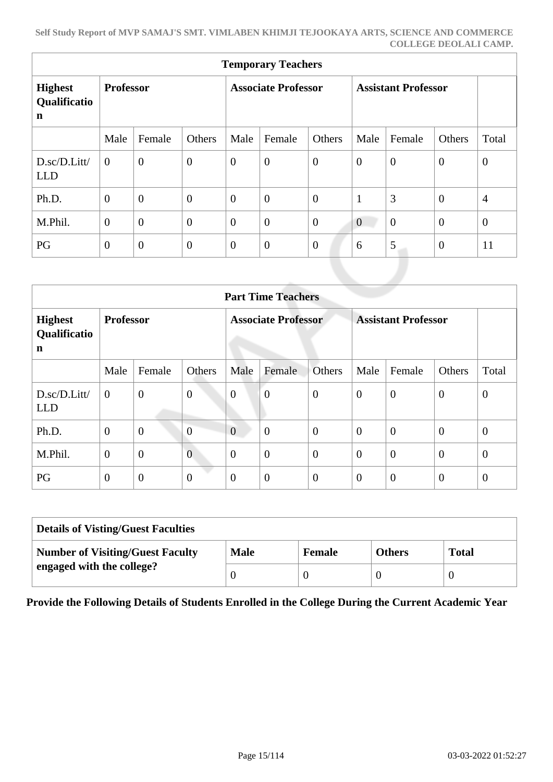| <b>Temporary Teachers</b>                     |                  |                  |                            |                  |                  |                            |                |                  |                |                  |
|-----------------------------------------------|------------------|------------------|----------------------------|------------------|------------------|----------------------------|----------------|------------------|----------------|------------------|
| <b>Highest</b><br>Qualificatio<br>$\mathbf n$ | <b>Professor</b> |                  | <b>Associate Professor</b> |                  |                  | <b>Assistant Professor</b> |                |                  |                |                  |
|                                               | Male             | Female           | Others                     | Male             | Female           | Others                     | Male           | Female           | Others         | Total            |
| D.sc/D.Litt/<br><b>LLD</b>                    | $\overline{0}$   | $\overline{0}$   | $\overline{0}$             | $\overline{0}$   | $\overline{0}$   | $\overline{0}$             | $\theta$       | $\theta$         | $\overline{0}$ | $\boldsymbol{0}$ |
| Ph.D.                                         | $\overline{0}$   | $\overline{0}$   | $\overline{0}$             | $\boldsymbol{0}$ | $\overline{0}$   | $\overline{0}$             | $\mathbf{1}$   | 3                | $\overline{0}$ | $\overline{4}$   |
| M.Phil.                                       | $\overline{0}$   | $\overline{0}$   | $\overline{0}$             | $\boldsymbol{0}$ | $\overline{0}$   | $\overline{0}$             | $\overline{0}$ | $\boldsymbol{0}$ | $\mathbf{0}$   | $\overline{0}$   |
| PG                                            | $\overline{0}$   | $\boldsymbol{0}$ | $\boldsymbol{0}$           | $\overline{0}$   | $\boldsymbol{0}$ | $\boldsymbol{0}$           | 6              | 5                | $\overline{0}$ | 11               |
|                                               |                  |                  |                            |                  |                  |                            |                |                  |                |                  |

|                                     | <b>Part Time Teachers</b> |                |                            |                  |                  |                            |                |                  |                |                |
|-------------------------------------|---------------------------|----------------|----------------------------|------------------|------------------|----------------------------|----------------|------------------|----------------|----------------|
| <b>Highest</b><br>Qualificatio<br>n | <b>Professor</b>          |                | <b>Associate Professor</b> |                  |                  | <b>Assistant Professor</b> |                |                  |                |                |
|                                     | Male                      | Female         | Others                     | Male             | Female           | Others                     | Male           | Female           | Others         | Total          |
| D.sc/D.Litt/<br><b>LLD</b>          | $\overline{0}$            | $\mathbf{0}$   | $\overline{0}$             | $\overline{0}$   | $\overline{0}$   | $\mathbf{0}$               | $\overline{0}$ | $\overline{0}$   | $\mathbf{0}$   | $\theta$       |
| Ph.D.                               | $\theta$                  | $\mathbf{0}$   | $\overline{0}$             | $\overline{0}$   | $\overline{0}$   | $\boldsymbol{0}$           | $\theta$       | $\boldsymbol{0}$ | $\overline{0}$ | $\overline{0}$ |
| M.Phil.                             | $\theta$                  | $\overline{0}$ | $\overline{0}$             | $\boldsymbol{0}$ | $\boldsymbol{0}$ | $\overline{0}$             | $\overline{0}$ | $\boldsymbol{0}$ | $\theta$       | $\theta$       |
| PG                                  | $\mathbf{0}$              | $\mathbf{0}$   | $\overline{0}$             | $\theta$         | $\boldsymbol{0}$ | $\theta$                   | $\overline{0}$ | $\overline{0}$   | $\theta$       | $\theta$       |

| <b>Details of Visting/Guest Faculties</b> |             |               |               |              |  |  |
|-------------------------------------------|-------------|---------------|---------------|--------------|--|--|
| <b>Number of Visiting/Guest Faculty</b>   | <b>Male</b> | <b>Female</b> | <b>Others</b> | <b>Total</b> |  |  |
| engaged with the college?                 |             |               |               |              |  |  |

**Provide the Following Details of Students Enrolled in the College During the Current Academic Year**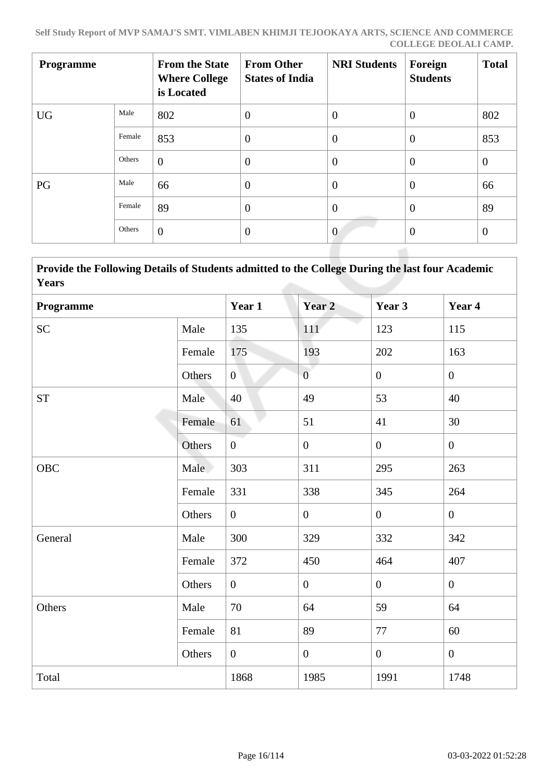| <b>Programme</b> |        | <b>From the State</b><br><b>Where College</b><br>is Located | <b>From Other</b><br><b>States of India</b> | <b>NRI Students</b> | Foreign<br><b>Students</b> | <b>Total</b> |
|------------------|--------|-------------------------------------------------------------|---------------------------------------------|---------------------|----------------------------|--------------|
| <b>UG</b>        | Male   | 802                                                         | $\theta$                                    | $\theta$            | $\theta$                   | 802          |
|                  | Female | 853                                                         | $\theta$                                    | $\overline{0}$      | $\theta$                   | 853          |
|                  | Others | $\overline{0}$                                              | $\overline{0}$                              | $\overline{0}$      | $\overline{0}$             | $\mathbf{0}$ |
| PG               | Male   | 66                                                          | $\theta$                                    | $\overline{0}$      | $\theta$                   | 66           |
|                  | Female | 89                                                          | $\overline{0}$                              | $\theta$            | $\theta$                   | 89           |
|                  | Others | $\overline{0}$                                              | $\overline{0}$                              | $\overline{0}$      | $\theta$                   | $\theta$     |

|       | <b>Provide the Following Details of Students admitted to the College During the last four Academic</b> |
|-------|--------------------------------------------------------------------------------------------------------|
| Years |                                                                                                        |

| Programme  |        | Year 1         | Year <sub>2</sub> | Year 3         | Year 4           |
|------------|--------|----------------|-------------------|----------------|------------------|
| ${\bf SC}$ | Male   | 135            | 111               | 123            | 115              |
|            | Female | 175            | 193               | 202            | 163              |
|            | Others | $\overline{0}$ | $\overline{0}$    | $\mathbf{0}$   | $\overline{0}$   |
| <b>ST</b>  | Male   | 40             | 49                | 53             | 40               |
|            | Female | 61             | 51                | 41             | 30               |
|            | Others | $\overline{0}$ | $\boldsymbol{0}$  | $\mathbf{0}$   | $\overline{0}$   |
| OBC        | Male   | 303            | 311               | 295            | 263              |
|            | Female | 331            | 338               | 345            | 264              |
|            | Others | $\overline{0}$ | $\boldsymbol{0}$  | $\overline{0}$ | $\boldsymbol{0}$ |
| General    | Male   | 300            | 329               | 332            | 342              |
|            | Female | 372            | 450               | 464            | 407              |
|            | Others | $\overline{0}$ | $\overline{0}$    | $\mathbf{0}$   | $\overline{0}$   |
| Others     | Male   | 70             | 64                | 59             | 64               |
|            | Female | 81             | 89                | 77             | 60               |
|            | Others | $\overline{0}$ | $\boldsymbol{0}$  | $\mathbf{0}$   | $\overline{0}$   |
| Total      |        | 1868           | 1985              | 1991           | 1748             |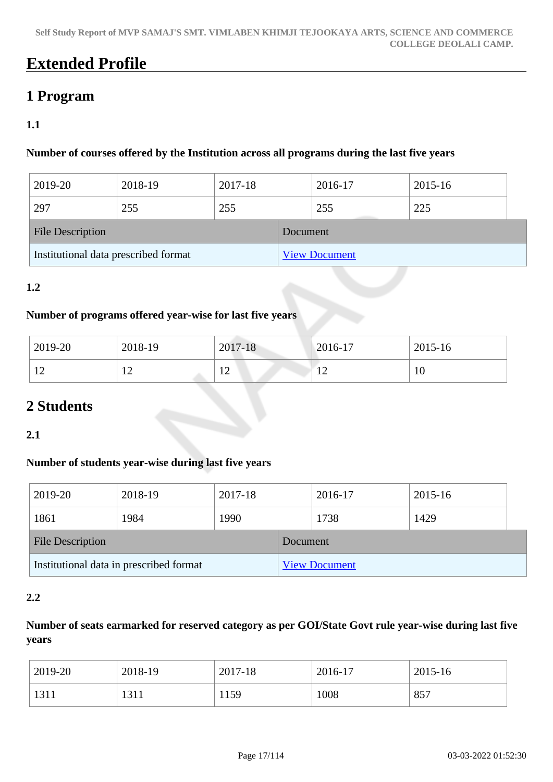# **Extended Profile**

# **1 Program**

# **1.1**

### **Number of courses offered by the Institution across all programs during the last five years**

| 2019-20                              | 2018-19 | 2017-18              |          | 2016-17 | 2015-16 |  |
|--------------------------------------|---------|----------------------|----------|---------|---------|--|
| 297                                  | 255     | 255                  |          | 255     | 225     |  |
| <b>File Description</b>              |         |                      | Document |         |         |  |
| Institutional data prescribed format |         | <b>View Document</b> |          |         |         |  |

### **1.2**

#### **Number of programs offered year-wise for last five years**

| 2019-20             | 2018-19        | 2017-18                   | 2016-17         | 2015-16 |
|---------------------|----------------|---------------------------|-----------------|---------|
| $1 \cap$<br>$\perp$ | $\overline{1}$ | 1 <sub>0</sub><br>$\perp$ | $1^{\sim}$<br>┸ | 10      |

# **2 Students**

### **2.1**

#### **Number of students year-wise during last five years**

| 2019-20                                 | 2018-19 | 2017-18 |                      | 2016-17 | 2015-16 |  |
|-----------------------------------------|---------|---------|----------------------|---------|---------|--|
| 1861                                    | 1984    | 1990    |                      | 1738    | 1429    |  |
| <b>File Description</b>                 |         |         | Document             |         |         |  |
| Institutional data in prescribed format |         |         | <b>View Document</b> |         |         |  |

#### **2.2**

### **Number of seats earmarked for reserved category as per GOI/State Govt rule year-wise during last five years**

| 2019-20 | 2018-19 | 2017-18 | 2016-17 | 2015-16         |
|---------|---------|---------|---------|-----------------|
| 1311    | 1311    | 1159    | 1008    | 85 <sup>7</sup> |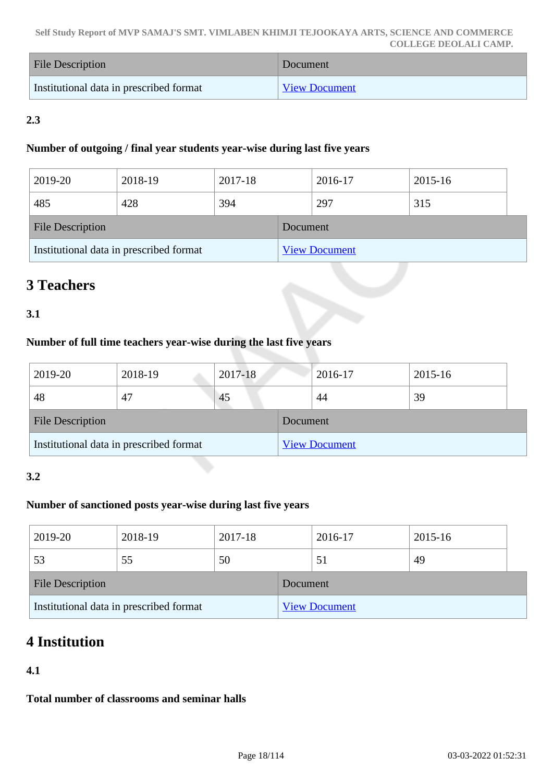| File Description                        | Document             |
|-----------------------------------------|----------------------|
| Institutional data in prescribed format | <b>View Document</b> |

### **2.3**

#### **Number of outgoing / final year students year-wise during last five years**

| 2019-20                                 | 2018-19 | 2017-18 |                      | 2016-17 | 2015-16 |  |
|-----------------------------------------|---------|---------|----------------------|---------|---------|--|
| 485                                     | 428     | 394     |                      | 297     | 315     |  |
| <b>File Description</b>                 |         |         | Document             |         |         |  |
| Institutional data in prescribed format |         |         | <b>View Document</b> |         |         |  |

# **3 Teachers**

### **3.1**

#### **Number of full time teachers year-wise during the last five years**

| 2019-20                                 | 2018-19 | 2017-18  |                      | 2016-17 | 2015-16 |  |
|-----------------------------------------|---------|----------|----------------------|---------|---------|--|
| 48                                      | 47      | 45       |                      | 44      | 39      |  |
| <b>File Description</b>                 |         | Document |                      |         |         |  |
| Institutional data in prescribed format |         |          | <b>View Document</b> |         |         |  |

### **3.2**

### **Number of sanctioned posts year-wise during last five years**

| 2019-20                                 | 2018-19 | 2017-18  |                      | 2016-17 | 2015-16 |
|-----------------------------------------|---------|----------|----------------------|---------|---------|
| 53                                      | 55      | 50       |                      | 51      | 49      |
| <b>File Description</b>                 |         | Document |                      |         |         |
| Institutional data in prescribed format |         |          | <b>View Document</b> |         |         |

# **4 Institution**

# **4.1**

**Total number of classrooms and seminar halls**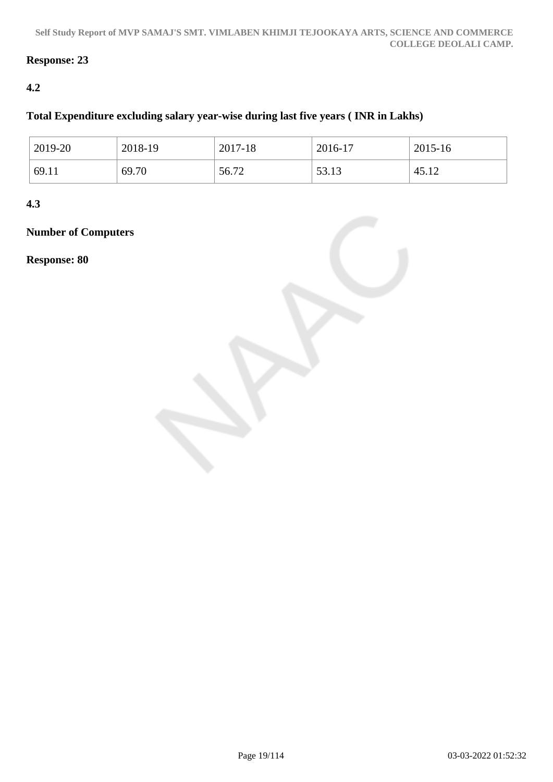# **Response: 23**

### **4.2**

### **Total Expenditure excluding salary year-wise during last five years ( INR in Lakhs)**

| 2019-20 | 2018-19 | 2017-18 | 2016-17       | 2015-16 |
|---------|---------|---------|---------------|---------|
| 69.11   | 69.70   | 56.72   | 5312<br>JJ.IJ | 45.12   |

**4.3**

**Number of Computers**

**Response: 80**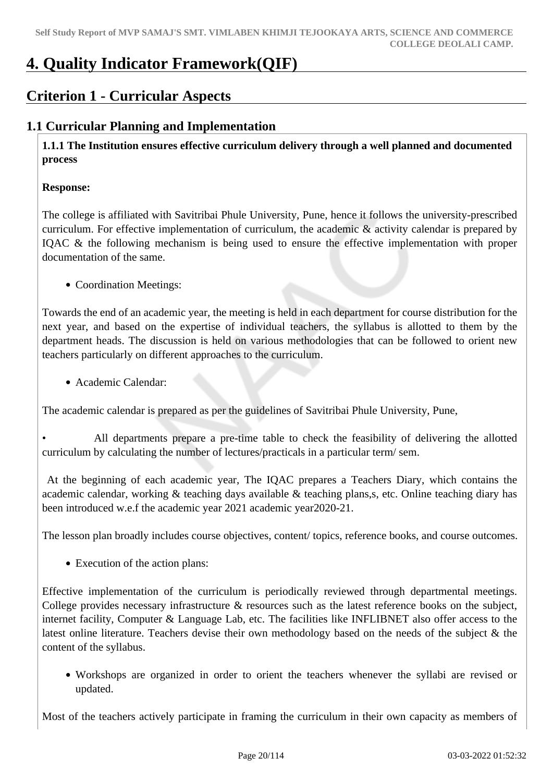# **4. Quality Indicator Framework(QIF)**

# **Criterion 1 - Curricular Aspects**

# **1.1 Curricular Planning and Implementation**

 **1.1.1 The Institution ensures effective curriculum delivery through a well planned and documented process**

#### **Response:**

The college is affiliated with Savitribai Phule University, Pune, hence it follows the university-prescribed curriculum. For effective implementation of curriculum, the academic & activity calendar is prepared by IQAC & the following mechanism is being used to ensure the effective implementation with proper documentation of the same.

• Coordination Meetings:

Towards the end of an academic year, the meeting is held in each department for course distribution for the next year, and based on the expertise of individual teachers, the syllabus is allotted to them by the department heads. The discussion is held on various methodologies that can be followed to orient new teachers particularly on different approaches to the curriculum.

Academic Calendar:

The academic calendar is prepared as per the guidelines of Savitribai Phule University, Pune,

• All departments prepare a pre-time table to check the feasibility of delivering the allotted curriculum by calculating the number of lectures/practicals in a particular term/ sem.

 At the beginning of each academic year, The IQAC prepares a Teachers Diary, which contains the academic calendar, working & teaching days available & teaching plans,s, etc. Online teaching diary has been introduced w.e.f the academic year 2021 academic year2020-21.

The lesson plan broadly includes course objectives, content/ topics, reference books, and course outcomes.

Execution of the action plans:

Effective implementation of the curriculum is periodically reviewed through departmental meetings. College provides necessary infrastructure & resources such as the latest reference books on the subject, internet facility, Computer & Language Lab, etc. The facilities like INFLIBNET also offer access to the latest online literature. Teachers devise their own methodology based on the needs of the subject & the content of the syllabus.

Workshops are organized in order to orient the teachers whenever the syllabi are revised or updated.

Most of the teachers actively participate in framing the curriculum in their own capacity as members of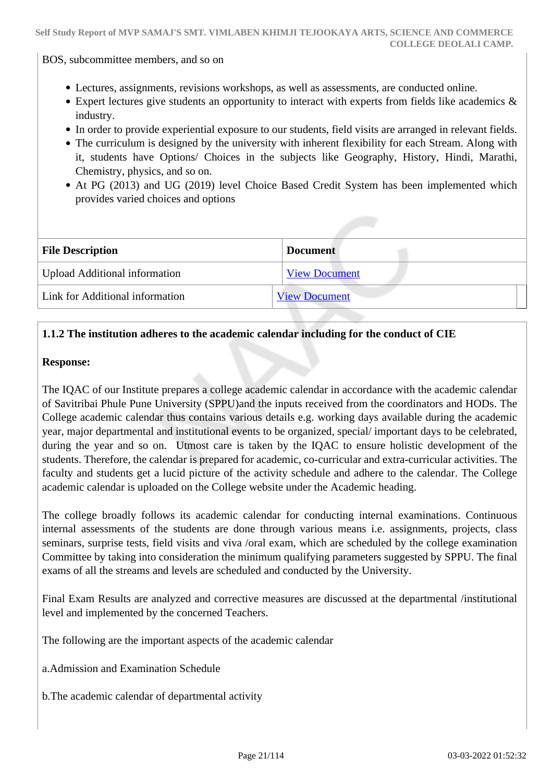BOS, subcommittee members, and so on

- Lectures, assignments, revisions workshops, as well as assessments, are conducted online.
- Expert lectures give students an opportunity to interact with experts from fields like academics & industry.
- In order to provide experiential exposure to our students, field visits are arranged in relevant fields.
- The curriculum is designed by the university with inherent flexibility for each Stream. Along with it, students have Options/ Choices in the subjects like Geography, History, Hindi, Marathi, Chemistry, physics, and so on.
- At PG (2013) and UG (2019) level Choice Based Credit System has been implemented which provides varied choices and options

| <b>File Description</b>              | <b>Document</b>      |
|--------------------------------------|----------------------|
| <b>Upload Additional information</b> | <b>View Document</b> |
| Link for Additional information      | <b>View Document</b> |

#### **1.1.2 The institution adheres to the academic calendar including for the conduct of CIE**

#### **Response:**

The IQAC of our Institute prepares a college academic calendar in accordance with the academic calendar of Savitribai Phule Pune University (SPPU)and the inputs received from the coordinators and HODs. The College academic calendar thus contains various details e.g. working days available during the academic year, major departmental and institutional events to be organized, special/ important days to be celebrated, during the year and so on. Utmost care is taken by the IQAC to ensure holistic development of the students. Therefore, the calendar is prepared for academic, co-curricular and extra-curricular activities. The faculty and students get a lucid picture of the activity schedule and adhere to the calendar. The College academic calendar is uploaded on the College website under the Academic heading.

The college broadly follows its academic calendar for conducting internal examinations. Continuous internal assessments of the students are done through various means i.e. assignments, projects, class seminars, surprise tests, field visits and viva /oral exam, which are scheduled by the college examination Committee by taking into consideration the minimum qualifying parameters suggested by SPPU. The final exams of all the streams and levels are scheduled and conducted by the University.

Final Exam Results are analyzed and corrective measures are discussed at the departmental /institutional level and implemented by the concerned Teachers.

The following are the important aspects of the academic calendar

- a.Admission and Examination Schedule
- b.The academic calendar of departmental activity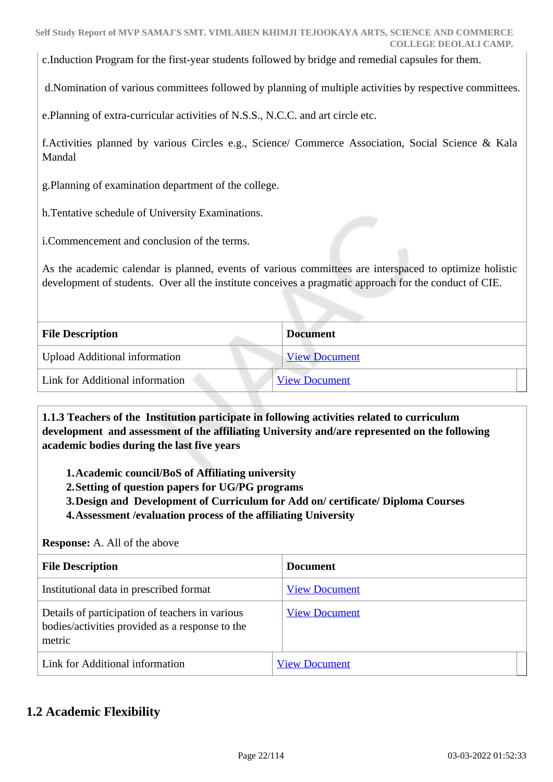c.Induction Program for the first-year students followed by bridge and remedial capsules for them.

d.Nomination of various committees followed by planning of multiple activities by respective committees.

e.Planning of extra-curricular activities of N.S.S., N.C.C. and art circle etc.

f.Activities planned by various Circles e.g., Science/ Commerce Association, Social Science & Kala Mandal

g.Planning of examination department of the college.

h.Tentative schedule of University Examinations.

i.Commencement and conclusion of the terms.

As the academic calendar is planned, events of various committees are interspaced to optimize holistic development of students. Over all the institute conceives a pragmatic approach for the conduct of CIE.

| <b>File Description</b>              | <b>Document</b>      |
|--------------------------------------|----------------------|
| <b>Upload Additional information</b> | <b>View Document</b> |
| Link for Additional information      | <b>View Document</b> |

 **1.1.3 Teachers of the Institution participate in following activities related to curriculum development and assessment of the affiliating University and/are represented on the following academic bodies during the last five years** 

**1.Academic council/BoS of Affiliating university**

**2.Setting of question papers for UG/PG programs** 

**3.Design and Development of Curriculum for Add on/ certificate/ Diploma Courses** 

**4.Assessment /evaluation process of the affiliating University**

**Response:** A. All of the above

| <b>File Description</b>                                                                                      | <b>Document</b>      |
|--------------------------------------------------------------------------------------------------------------|----------------------|
| Institutional data in prescribed format                                                                      | <b>View Document</b> |
| Details of participation of teachers in various<br>bodies/activities provided as a response to the<br>metric | <b>View Document</b> |
| Link for Additional information                                                                              | <b>View Document</b> |

# **1.2 Academic Flexibility**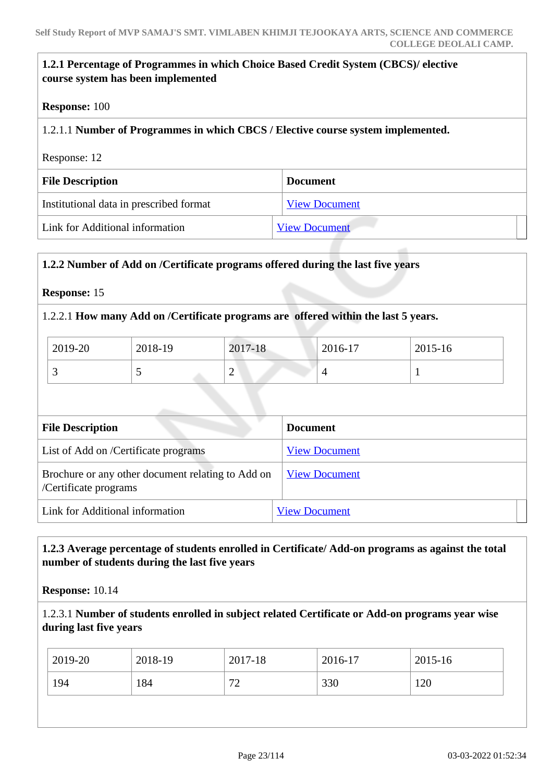#### **1.2.1 Percentage of Programmes in which Choice Based Credit System (CBCS)/ elective course system has been implemented**

#### **Response:** 100

#### 1.2.1.1 **Number of Programmes in which CBCS / Elective course system implemented.**

#### Response: 12

| <b>File Description</b>                 | <b>Document</b>      |
|-----------------------------------------|----------------------|
| Institutional data in prescribed format | <b>View Document</b> |
| Link for Additional information         | <b>View Document</b> |

#### **1.2.2 Number of Add on /Certificate programs offered during the last five years**

#### **Response:** 15

#### 1.2.2.1 **How many Add on /Certificate programs are offered within the last 5 years.**

| 2019-20       | 2018-19 | 2017-18 | 2016-17 | 2015-16 |
|---------------|---------|---------|---------|---------|
| $\sim$ $\sim$ |         | ∼       |         |         |

| <b>File Description</b>                                                    | <b>Document</b>      |
|----------------------------------------------------------------------------|----------------------|
| List of Add on /Certificate programs                                       | <b>View Document</b> |
| Brochure or any other document relating to Add on<br>/Certificate programs | <b>View Document</b> |
| Link for Additional information                                            | <b>View Document</b> |

#### **1.2.3 Average percentage of students enrolled in Certificate/ Add-on programs as against the total number of students during the last five years**

**Response:** 10.14

### 1.2.3.1 **Number of students enrolled in subject related Certificate or Add-on programs year wise during last five years**

| 2019-20 | 2018-19 | 2017-18           | 2016-17 | 2015-16 |
|---------|---------|-------------------|---------|---------|
| 194     | 184     | $\mathbf{z}$<br>∼ | 330     | 120     |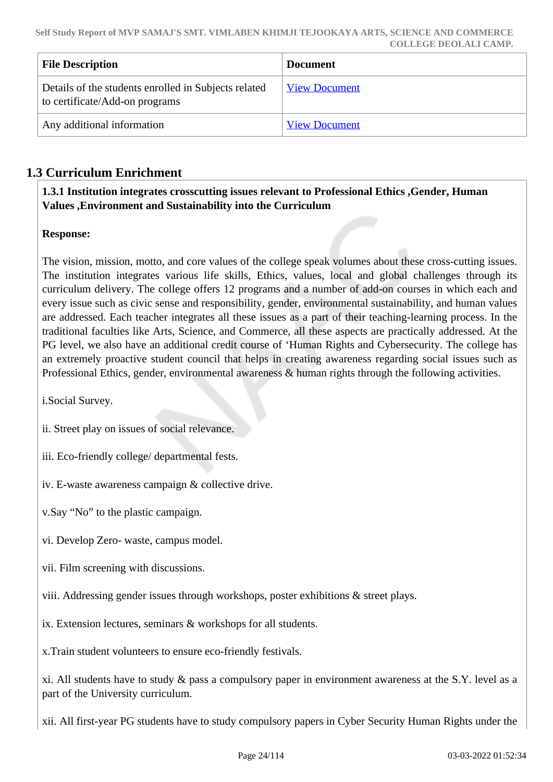| <b>File Description</b>                                                                | <b>Document</b>      |
|----------------------------------------------------------------------------------------|----------------------|
| Details of the students enrolled in Subjects related<br>to certificate/Add-on programs | <b>View Document</b> |
| Any additional information                                                             | <b>View Document</b> |

# **1.3 Curriculum Enrichment**

 **1.3.1 Institution integrates crosscutting issues relevant to Professional Ethics ,Gender, Human Values ,Environment and Sustainability into the Curriculum**

#### **Response:**

The vision, mission, motto, and core values of the college speak volumes about these cross-cutting issues. The institution integrates various life skills, Ethics, values, local and global challenges through its curriculum delivery. The college offers 12 programs and a number of add-on courses in which each and every issue such as civic sense and responsibility, gender, environmental sustainability, and human values are addressed. Each teacher integrates all these issues as a part of their teaching-learning process. In the traditional faculties like Arts, Science, and Commerce, all these aspects are practically addressed. At the PG level, we also have an additional credit course of 'Human Rights and Cybersecurity. The college has an extremely proactive student council that helps in creating awareness regarding social issues such as Professional Ethics, gender, environmental awareness & human rights through the following activities.

i.Social Survey.

ii. Street play on issues of social relevance.

iii. Eco-friendly college/ departmental fests.

iv. E-waste awareness campaign & collective drive.

v.Say "No" to the plastic campaign.

- vi. Develop Zero- waste, campus model.
- vii. Film screening with discussions.

viii. Addressing gender issues through workshops, poster exhibitions & street plays.

ix. Extension lectures, seminars & workshops for all students.

x.Train student volunteers to ensure eco-friendly festivals.

xi. All students have to study  $\&$  pass a compulsory paper in environment awareness at the S.Y. level as a part of the University curriculum.

xii. All first-year PG students have to study compulsory papers in Cyber Security Human Rights under the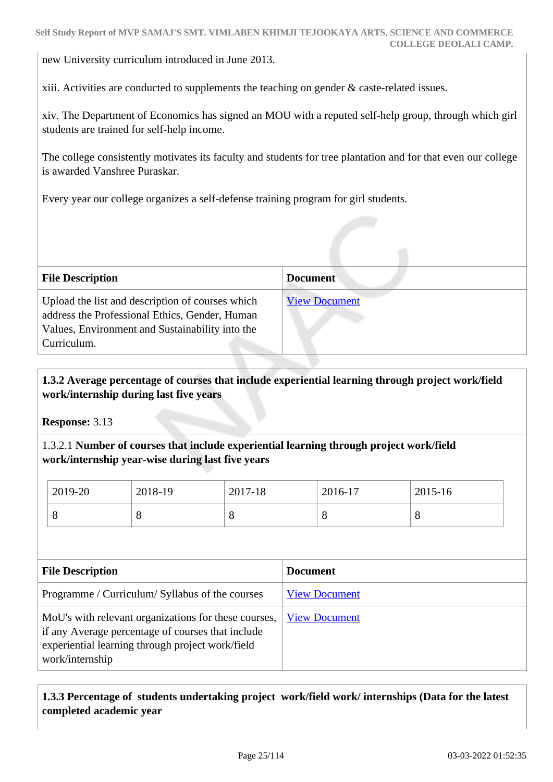new University curriculum introduced in June 2013.

xiii. Activities are conducted to supplements the teaching on gender & caste-related issues.

xiv. The Department of Economics has signed an MOU with a reputed self-help group, through which girl students are trained for self-help income.

The college consistently motivates its faculty and students for tree plantation and for that even our college is awarded Vanshree Puraskar.

Every year our college organizes a self-defense training program for girl students.

| <b>File Description</b>                                                                                                                                              | <b>Document</b>      |
|----------------------------------------------------------------------------------------------------------------------------------------------------------------------|----------------------|
| Upload the list and description of courses which<br>address the Professional Ethics, Gender, Human<br>Values, Environment and Sustainability into the<br>Curriculum. | <b>View Document</b> |

#### **1.3.2 Average percentage of courses that include experiential learning through project work/field work/internship during last five years**

**Response:** 3.13

1.3.2.1 **Number of courses that include experiential learning through project work/field work/internship year-wise during last five years**

| 2019-20 | 2018-19 | 2017-18 | 2016-17 | 2015-16 |
|---------|---------|---------|---------|---------|
|         | v       | v       | $\circ$ | $\circ$ |

| <b>File Description</b>                                                                                                                                                          | <b>Document</b>      |
|----------------------------------------------------------------------------------------------------------------------------------------------------------------------------------|----------------------|
| Programme / Curriculum/ Syllabus of the courses                                                                                                                                  | <b>View Document</b> |
| MoU's with relevant organizations for these courses,<br>if any Average percentage of courses that include<br>experiential learning through project work/field<br>work/internship | <b>View Document</b> |

# **1.3.3 Percentage of students undertaking project work/field work/ internships (Data for the latest completed academic year**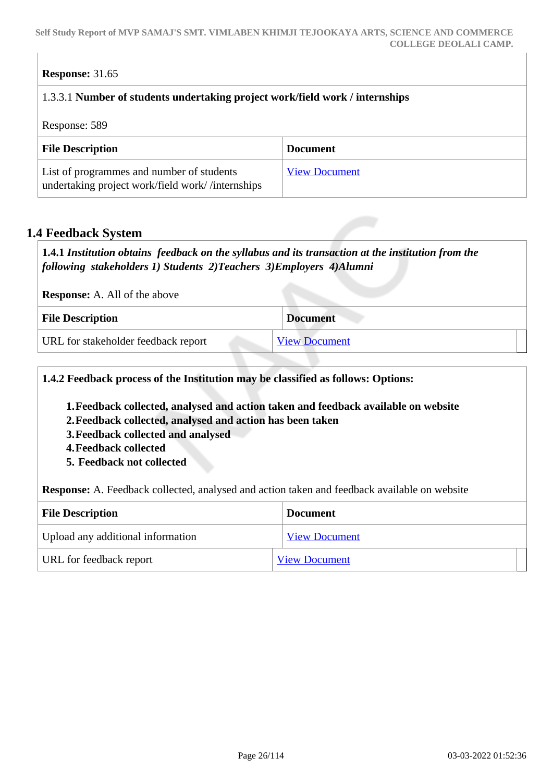#### **Response:** 31.65

#### 1.3.3.1 **Number of students undertaking project work/field work / internships**

Response: 589

| <b>File Description</b>                                                                       | <b>Document</b>      |
|-----------------------------------------------------------------------------------------------|----------------------|
| List of programmes and number of students<br>undertaking project work/field work//internships | <b>View Document</b> |

#### **1.4 Feedback System**

 **1.4.1** *Institution obtains feedback on the syllabus and its transaction at the institution from the following stakeholders 1) Students 2)Teachers 3)Employers 4)Alumni*  **Response:** A. All of the above

| <b>File Description</b>             | <b>Document</b>      |
|-------------------------------------|----------------------|
| URL for stakeholder feedback report | <b>View Document</b> |

**1.4.2 Feedback process of the Institution may be classified as follows: Options:**

- **1.Feedback collected, analysed and action taken and feedback available on website**
- **2.Feedback collected, analysed and action has been taken**
- **3.Feedback collected and analysed**
- **4.Feedback collected**
- **5. Feedback not collected**

**Response:** A. Feedback collected, analysed and action taken and feedback available on website

| <b>File Description</b>           | <b>Document</b>      |
|-----------------------------------|----------------------|
| Upload any additional information | <b>View Document</b> |
| URL for feedback report           | <b>View Document</b> |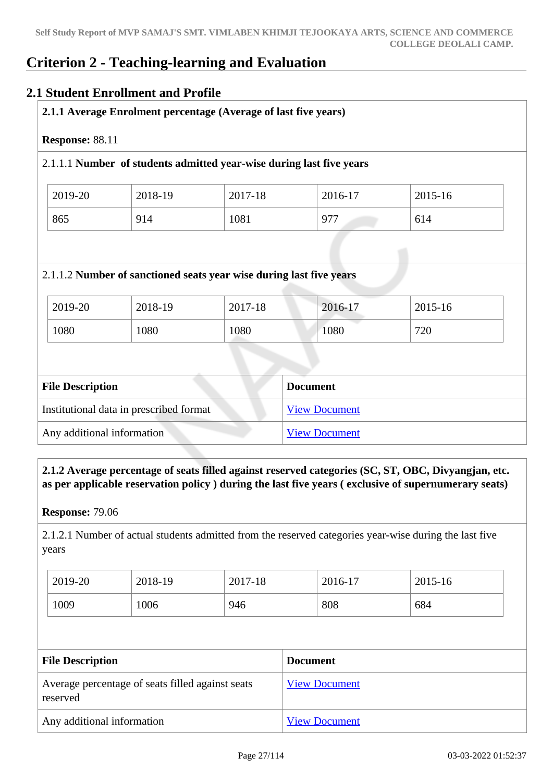# **Criterion 2 - Teaching-learning and Evaluation**

### **2.1 Student Enrollment and Profile**

| <b>Response: 88.11</b>                                               |         |         |         |         |
|----------------------------------------------------------------------|---------|---------|---------|---------|
| 2.1.1.1 Number of students admitted year-wise during last five years |         |         |         |         |
| 2019-20                                                              | 2018-19 | 2017-18 | 2016-17 | 2015-16 |
| 865                                                                  | 914     | 1081    | 977     | 614     |

#### 2.1.1.2 **Number of sanctioned seats year wise during last five years**

| 2019-20 | 2018-19 | 2017-18 | 2016-17 | 2015-16 |
|---------|---------|---------|---------|---------|
| 1080    | 1080    | 1080    | 1080    | 720     |

| <b>File Description</b>                 | <b>Document</b>      |
|-----------------------------------------|----------------------|
| Institutional data in prescribed format | <b>View Document</b> |
| Any additional information              | <b>View Document</b> |

#### **2.1.2 Average percentage of seats filled against reserved categories (SC, ST, OBC, Divyangjan, etc. as per applicable reservation policy ) during the last five years ( exclusive of supernumerary seats)**

**Response:** 79.06

2.1.2.1 Number of actual students admitted from the reserved categories year-wise during the last five years

| 2019-20 | 2018-19 | 2017-18 | 2016-17 | 2015-16 |
|---------|---------|---------|---------|---------|
| 1009    | 1006    | 946     | 808     | 684     |

| <b>File Description</b>                                      | <b>Document</b>      |
|--------------------------------------------------------------|----------------------|
| Average percentage of seats filled against seats<br>reserved | <b>View Document</b> |
| Any additional information                                   | <b>View Document</b> |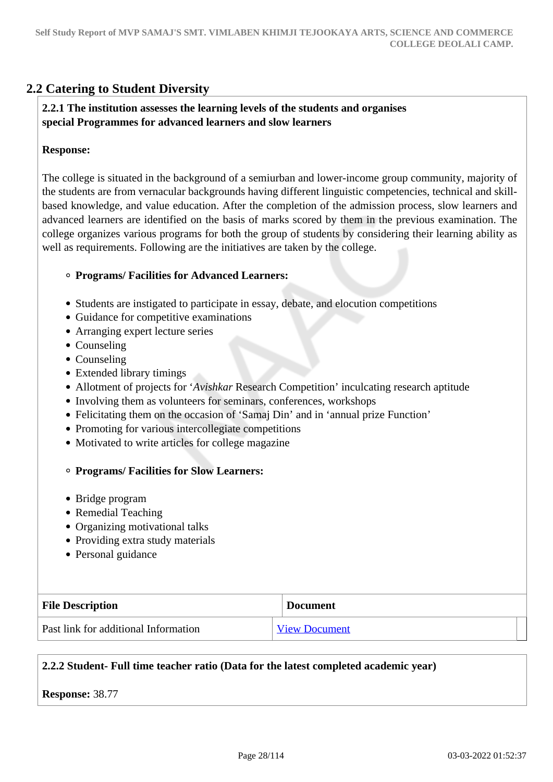# **2.2 Catering to Student Diversity**

#### **2.2.1 The institution assesses the learning levels of the students and organises special Programmes for advanced learners and slow learners**

#### **Response:**

The college is situated in the background of a semiurban and lower-income group community, majority of the students are from vernacular backgrounds having different linguistic competencies, technical and skillbased knowledge, and value education. After the completion of the admission process, slow learners and advanced learners are identified on the basis of marks scored by them in the previous examination. The college organizes various programs for both the group of students by considering their learning ability as well as requirements. Following are the initiatives are taken by the college.

#### **Programs/ Facilities for Advanced Learners:**

- Students are instigated to participate in essay, debate, and elocution competitions
- Guidance for competitive examinations
- Arranging expert lecture series
- Counseling
- Counseling
- Extended library timings
- Allotment of projects for '*Avishkar* Research Competition' inculcating research aptitude
- Involving them as volunteers for seminars, conferences, workshops
- Felicitating them on the occasion of 'Samaj Din' and in 'annual prize Function'
- Promoting for various intercollegiate competitions
- Motivated to write articles for college magazine
- **Programs/ Facilities for Slow Learners:**
- Bridge program
- Remedial Teaching
- Organizing motivational talks
- Providing extra study materials
- Personal guidance

| <b>File Description</b>              | <b>Document</b>      |
|--------------------------------------|----------------------|
| Past link for additional Information | <b>View Document</b> |

#### **2.2.2 Student- Full time teacher ratio (Data for the latest completed academic year)**

**Response:** 38.77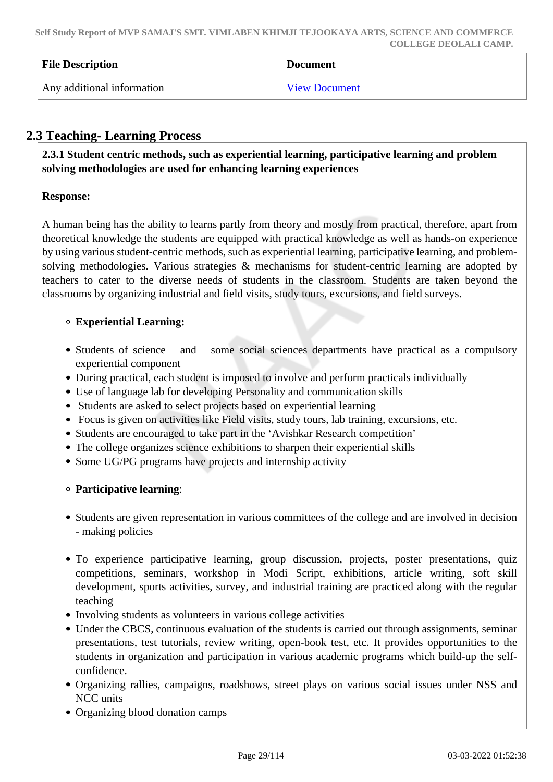| <b>File Description</b>    | <b>Document</b>      |
|----------------------------|----------------------|
| Any additional information | <b>View Document</b> |

# **2.3 Teaching- Learning Process**

 **2.3.1 Student centric methods, such as experiential learning, participative learning and problem solving methodologies are used for enhancing learning experiences**

#### **Response:**

A human being has the ability to learns partly from theory and mostly from practical, therefore, apart from theoretical knowledge the students are equipped with practical knowledge as well as hands-on experience by using various student-centric methods, such as experiential learning, participative learning, and problemsolving methodologies. Various strategies & mechanisms for student-centric learning are adopted by teachers to cater to the diverse needs of students in the classroom. Students are taken beyond the classrooms by organizing industrial and field visits, study tours, excursions, and field surveys.

#### **Experiential Learning:**

- Students of science and some social sciences departments have practical as a compulsory experiential component
- During practical, each student is imposed to involve and perform practicals individually
- Use of language lab for developing Personality and communication skills
- Students are asked to select projects based on experiential learning
- Focus is given on activities like Field visits, study tours, lab training, excursions, etc.
- Students are encouraged to take part in the 'Avishkar Research competition'
- The college organizes science exhibitions to sharpen their experiential skills
- Some UG/PG programs have projects and internship activity
- **Participative learning**:
- Students are given representation in various committees of the college and are involved in decision - making policies
- To experience participative learning, group discussion, projects, poster presentations, quiz competitions, seminars, workshop in Modi Script, exhibitions, article writing, soft skill development, sports activities, survey, and industrial training are practiced along with the regular teaching
- Involving students as volunteers in various college activities
- Under the CBCS, continuous evaluation of the students is carried out through assignments, seminar presentations, test tutorials, review writing, open-book test, etc. It provides opportunities to the students in organization and participation in various academic programs which build-up the selfconfidence.
- Organizing rallies, campaigns, roadshows, street plays on various social issues under NSS and NCC units
- Organizing blood donation camps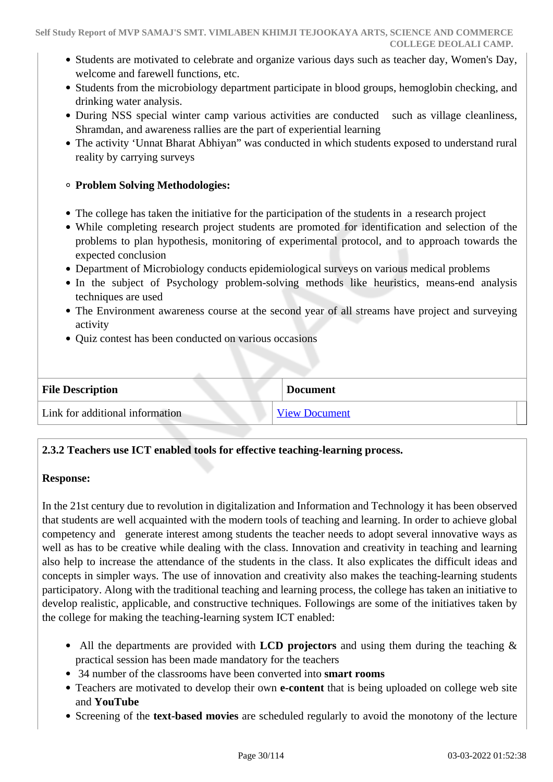- Students are motivated to celebrate and organize various days such as teacher day, Women's Day, welcome and farewell functions, etc.
- Students from the microbiology department participate in blood groups, hemoglobin checking, and drinking water analysis.
- During NSS special winter camp various activities are conducted such as village cleanliness, Shramdan, and awareness rallies are the part of experiential learning
- The activity 'Unnat Bharat Abhiyan" was conducted in which students exposed to understand rural reality by carrying surveys

#### **Problem Solving Methodologies:**

- The college has taken the initiative for the participation of the students in a research project
- While completing research project students are promoted for identification and selection of the problems to plan hypothesis, monitoring of experimental protocol, and to approach towards the expected conclusion
- Department of Microbiology conducts epidemiological surveys on various medical problems
- In the subject of Psychology problem-solving methods like heuristics, means-end analysis techniques are used
- The Environment awareness course at the second year of all streams have project and surveying activity
- Quiz contest has been conducted on various occasions

| <b>File Description</b>         | <b>Document</b>      |  |
|---------------------------------|----------------------|--|
| Link for additional information | <b>View Document</b> |  |

# **2.3.2 Teachers use ICT enabled tools for effective teaching-learning process.**

#### **Response:**

In the 21st century due to revolution in digitalization and Information and Technology it has been observed that students are well acquainted with the modern tools of teaching and learning. In order to achieve global competency and generate interest among students the teacher needs to adopt several innovative ways as well as has to be creative while dealing with the class. Innovation and creativity in teaching and learning also help to increase the attendance of the students in the class. It also explicates the difficult ideas and concepts in simpler ways. The use of innovation and creativity also makes the teaching-learning students participatory. Along with the traditional teaching and learning process, the college has taken an initiative to develop realistic, applicable, and constructive techniques. Followings are some of the initiatives taken by the college for making the teaching-learning system ICT enabled:

- All the departments are provided with **LCD projectors** and using them during the teaching & practical session has been made mandatory for the teachers
- 34 number of the classrooms have been converted into **smart rooms**
- Teachers are motivated to develop their own **e-content** that is being uploaded on college web site and **YouTube**
- Screening of the **text-based movies** are scheduled regularly to avoid the monotony of the lecture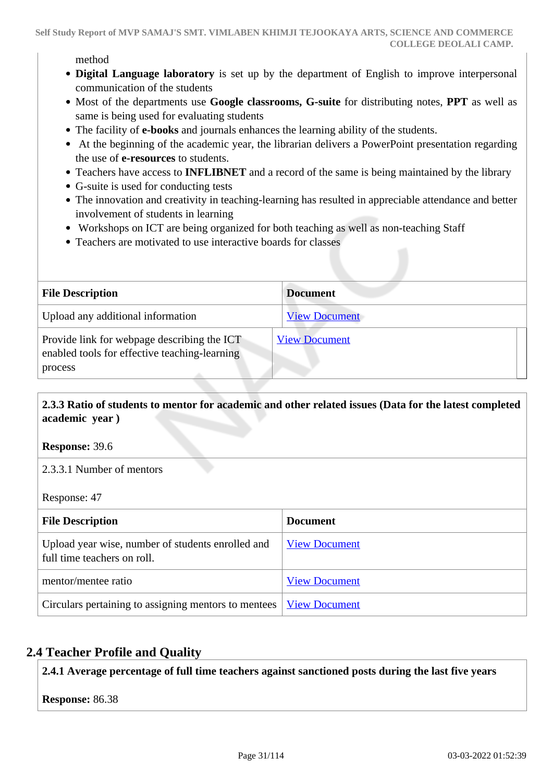method

- **Digital Language laboratory** is set up by the department of English to improve interpersonal communication of the students
- Most of the departments use **Google classrooms, G-suite** for distributing notes, **PPT** as well as same is being used for evaluating students
- The facility of **e-books** and journals enhances the learning ability of the students.
- At the beginning of the academic year, the librarian delivers a PowerPoint presentation regarding the use of **e-resources** to students.
- Teachers have access to **INFLIBNET** and a record of the same is being maintained by the library
- G-suite is used for conducting tests
- The innovation and creativity in teaching-learning has resulted in appreciable attendance and better involvement of students in learning
- Workshops on ICT are being organized for both teaching as well as non-teaching Staff
- Teachers are motivated to use interactive boards for classes

| <b>File Description</b>                                                                                 | <b>Document</b>      |
|---------------------------------------------------------------------------------------------------------|----------------------|
| Upload any additional information                                                                       | <b>View Document</b> |
| Provide link for webpage describing the ICT<br>enabled tools for effective teaching-learning<br>process | <b>View Document</b> |

#### **2.3.3 Ratio of students to mentor for academic and other related issues (Data for the latest completed academic year )**

**Response:** 39.6

2.3.3.1 Number of mentors

Response: 47

| <b>File Description</b>                                                          | <b>Document</b>      |
|----------------------------------------------------------------------------------|----------------------|
| Upload year wise, number of students enrolled and<br>full time teachers on roll. | <b>View Document</b> |
| mentor/mentee ratio                                                              | <b>View Document</b> |
| Circulars pertaining to assigning mentors to mentees   View Document             |                      |

# **2.4 Teacher Profile and Quality**

**2.4.1 Average percentage of full time teachers against sanctioned posts during the last five years**

**Response:** 86.38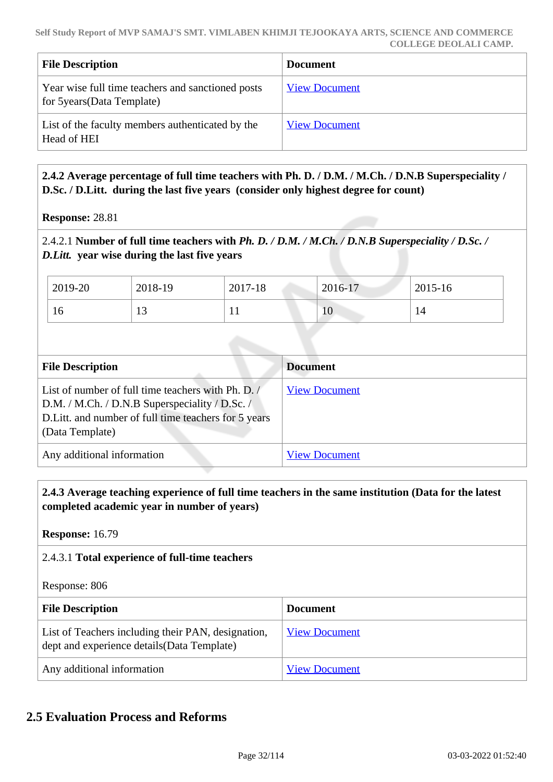| <b>File Description</b>                                                          | <b>Document</b>      |
|----------------------------------------------------------------------------------|----------------------|
| Year wise full time teachers and sanctioned posts<br>for 5 years (Data Template) | <b>View Document</b> |
| List of the faculty members authenticated by the<br>Head of HEI                  | <b>View Document</b> |

 **2.4.2 Average percentage of full time teachers with Ph. D. / D.M. / M.Ch. / D.N.B Superspeciality / D.Sc. / D.Litt. during the last five years (consider only highest degree for count)**

**Response:** 28.81

2.4.2.1 **Number of full time teachers with** *Ph. D. / D.M. / M.Ch. / D.N.B Superspeciality / D.Sc. / D.Litt.* **year wise during the last five years**

| 2019-20 | 2018-19      | 2017-18 | 2016-17 | 2015-16 |
|---------|--------------|---------|---------|---------|
| 16      | $\sim$<br>13 | . .     | 10      | 14      |

| <b>Document</b>      |
|----------------------|
| <b>View Document</b> |
| <b>View Document</b> |
|                      |

 **2.4.3 Average teaching experience of full time teachers in the same institution (Data for the latest completed academic year in number of years)** 

**Response:** 16.79

#### 2.4.3.1 **Total experience of full-time teachers**

Response: 806

| <b>File Description</b>                                                                           | <b>Document</b>      |
|---------------------------------------------------------------------------------------------------|----------------------|
| List of Teachers including their PAN, designation,<br>dept and experience details (Data Template) | <b>View Document</b> |
| Any additional information                                                                        | <b>View Document</b> |

# **2.5 Evaluation Process and Reforms**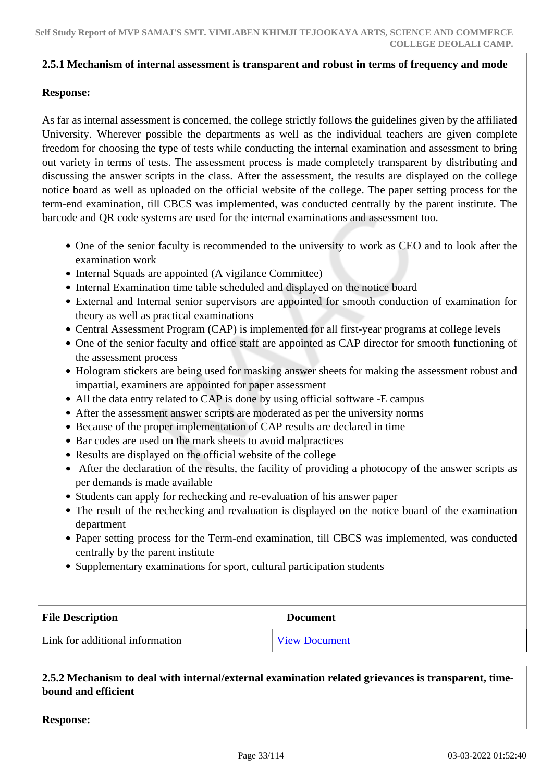#### **2.5.1 Mechanism of internal assessment is transparent and robust in terms of frequency and mode**

#### **Response:**

As far as internal assessment is concerned, the college strictly follows the guidelines given by the affiliated University. Wherever possible the departments as well as the individual teachers are given complete freedom for choosing the type of tests while conducting the internal examination and assessment to bring out variety in terms of tests. The assessment process is made completely transparent by distributing and discussing the answer scripts in the class. After the assessment, the results are displayed on the college notice board as well as uploaded on the official website of the college. The paper setting process for the term-end examination, till CBCS was implemented, was conducted centrally by the parent institute. The barcode and QR code systems are used for the internal examinations and assessment too.

- One of the senior faculty is recommended to the university to work as CEO and to look after the examination work
- Internal Squads are appointed (A vigilance Committee)
- Internal Examination time table scheduled and displayed on the notice board
- External and Internal senior supervisors are appointed for smooth conduction of examination for theory as well as practical examinations
- Central Assessment Program (CAP) is implemented for all first-year programs at college levels
- One of the senior faculty and office staff are appointed as CAP director for smooth functioning of the assessment process
- Hologram stickers are being used for masking answer sheets for making the assessment robust and impartial, examiners are appointed for paper assessment
- All the data entry related to CAP is done by using official software -E campus
- After the assessment answer scripts are moderated as per the university norms
- Because of the proper implementation of CAP results are declared in time
- Bar codes are used on the mark sheets to avoid malpractices
- Results are displayed on the official website of the college
- After the declaration of the results, the facility of providing a photocopy of the answer scripts as per demands is made available
- Students can apply for rechecking and re-evaluation of his answer paper
- The result of the rechecking and revaluation is displayed on the notice board of the examination department
- Paper setting process for the Term-end examination, till CBCS was implemented, was conducted centrally by the parent institute
- Supplementary examinations for sport, cultural participation students

| <b>File Description</b>         | <b>Document</b>      |
|---------------------------------|----------------------|
| Link for additional information | <b>View Document</b> |

#### **2.5.2 Mechanism to deal with internal/external examination related grievances is transparent, timebound and efficient**

**Response:**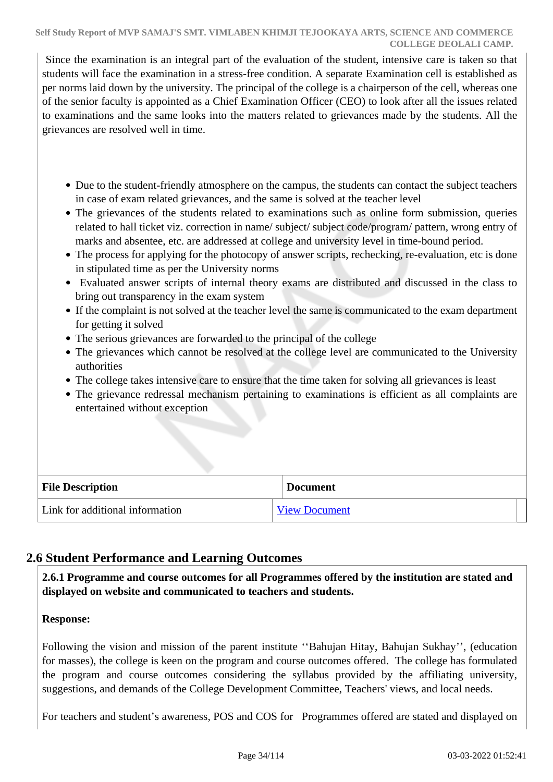Since the examination is an integral part of the evaluation of the student, intensive care is taken so that students will face the examination in a stress-free condition. A separate Examination cell is established as per norms laid down by the university. The principal of the college is a chairperson of the cell, whereas one of the senior faculty is appointed as a Chief Examination Officer (CEO) to look after all the issues related to examinations and the same looks into the matters related to grievances made by the students. All the grievances are resolved well in time.

- Due to the student-friendly atmosphere on the campus, the students can contact the subject teachers in case of exam related grievances, and the same is solved at the teacher level
- The grievances of the students related to examinations such as online form submission, queries related to hall ticket viz. correction in name/ subject/ subject code/program/ pattern, wrong entry of marks and absentee, etc. are addressed at college and university level in time-bound period.
- The process for applying for the photocopy of answer scripts, rechecking, re-evaluation, etc is done in stipulated time as per the University norms
- Evaluated answer scripts of internal theory exams are distributed and discussed in the class to bring out transparency in the exam system
- If the complaint is not solved at the teacher level the same is communicated to the exam department for getting it solved
- The serious grievances are forwarded to the principal of the college
- The grievances which cannot be resolved at the college level are communicated to the University authorities
- The college takes intensive care to ensure that the time taken for solving all grievances is least
- The grievance redressal mechanism pertaining to examinations is efficient as all complaints are entertained without exception

| <b>File Description</b>         | <b>Document</b>      |
|---------------------------------|----------------------|
| Link for additional information | <b>View Document</b> |

# **2.6 Student Performance and Learning Outcomes**

 **2.6.1 Programme and course outcomes for all Programmes offered by the institution are stated and displayed on website and communicated to teachers and students.**

### **Response:**

Following the vision and mission of the parent institute ''Bahujan Hitay, Bahujan Sukhay'', (education for masses), the college is keen on the program and course outcomes offered. The college has formulated the program and course outcomes considering the syllabus provided by the affiliating university, suggestions, and demands of the College Development Committee, Teachers' views, and local needs.

For teachers and student's awareness, POS and COS for Programmes offered are stated and displayed on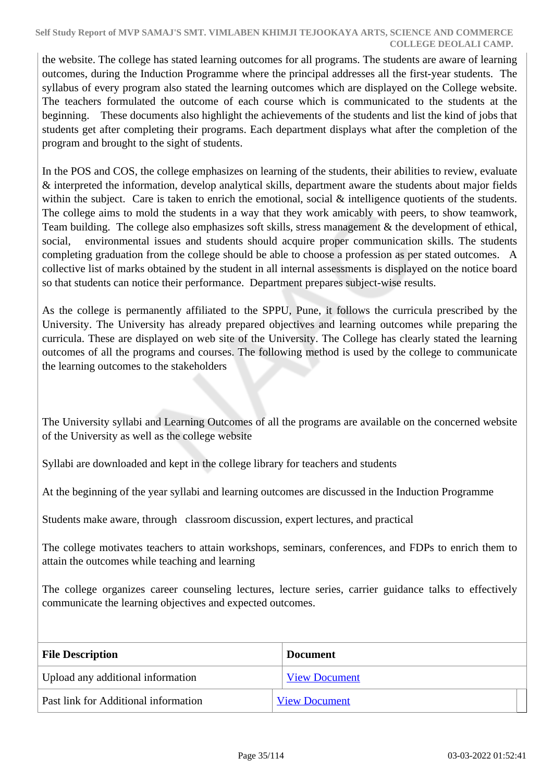the website. The college has stated learning outcomes for all programs. The students are aware of learning outcomes, during the Induction Programme where the principal addresses all the first-year students. The syllabus of every program also stated the learning outcomes which are displayed on the College website. The teachers formulated the outcome of each course which is communicated to the students at the beginning. These documents also highlight the achievements of the students and list the kind of jobs that students get after completing their programs. Each department displays what after the completion of the program and brought to the sight of students.

In the POS and COS, the college emphasizes on learning of the students, their abilities to review, evaluate & interpreted the information, develop analytical skills, department aware the students about major fields within the subject. Care is taken to enrich the emotional, social  $\&$  intelligence quotients of the students. The college aims to mold the students in a way that they work amicably with peers, to show teamwork, Team building. The college also emphasizes soft skills, stress management & the development of ethical, social, environmental issues and students should acquire proper communication skills. The students completing graduation from the college should be able to choose a profession as per stated outcomes. A collective list of marks obtained by the student in all internal assessments is displayed on the notice board so that students can notice their performance. Department prepares subject-wise results.

As the college is permanently affiliated to the SPPU, Pune, it follows the curricula prescribed by the University. The University has already prepared objectives and learning outcomes while preparing the curricula. These are displayed on web site of the University. The College has clearly stated the learning outcomes of all the programs and courses. The following method is used by the college to communicate the learning outcomes to the stakeholders

The University syllabi and Learning Outcomes of all the programs are available on the concerned website of the University as well as the college website

Syllabi are downloaded and kept in the college library for teachers and students

At the beginning of the year syllabi and learning outcomes are discussed in the Induction Programme

Students make aware, through classroom discussion, expert lectures, and practical

The college motivates teachers to attain workshops, seminars, conferences, and FDPs to enrich them to attain the outcomes while teaching and learning

The college organizes career counseling lectures, lecture series, carrier guidance talks to effectively communicate the learning objectives and expected outcomes.

| <b>File Description</b>              | <b>Document</b>      |
|--------------------------------------|----------------------|
| Upload any additional information    | <b>View Document</b> |
| Past link for Additional information | <b>View Document</b> |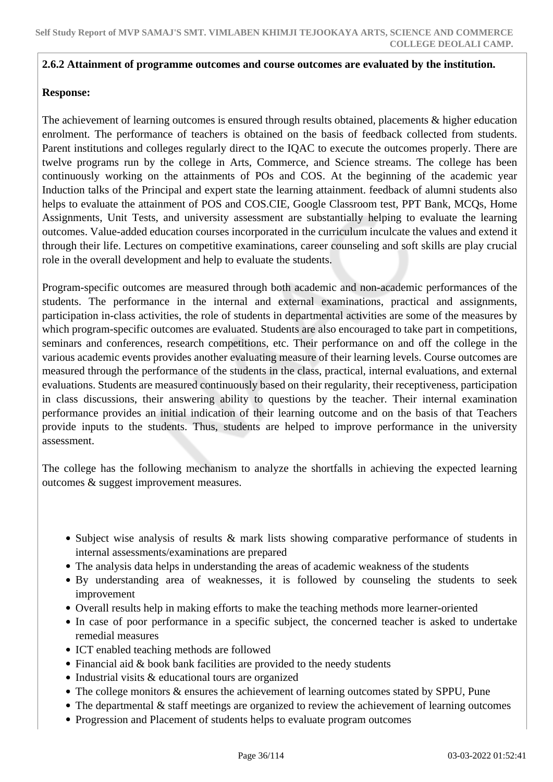#### **2.6.2 Attainment of programme outcomes and course outcomes are evaluated by the institution.**

#### **Response:**

The achievement of learning outcomes is ensured through results obtained, placements & higher education enrolment. The performance of teachers is obtained on the basis of feedback collected from students. Parent institutions and colleges regularly direct to the IQAC to execute the outcomes properly. There are twelve programs run by the college in Arts, Commerce, and Science streams. The college has been continuously working on the attainments of POs and COS. At the beginning of the academic year Induction talks of the Principal and expert state the learning attainment. feedback of alumni students also helps to evaluate the attainment of POS and COS.CIE, Google Classroom test, PPT Bank, MCQs, Home Assignments, Unit Tests, and university assessment are substantially helping to evaluate the learning outcomes. Value-added education courses incorporated in the curriculum inculcate the values and extend it through their life. Lectures on competitive examinations, career counseling and soft skills are play crucial role in the overall development and help to evaluate the students.

Program-specific outcomes are measured through both academic and non-academic performances of the students. The performance in the internal and external examinations, practical and assignments, participation in-class activities, the role of students in departmental activities are some of the measures by which program-specific outcomes are evaluated. Students are also encouraged to take part in competitions, seminars and conferences, research competitions, etc. Their performance on and off the college in the various academic events provides another evaluating measure of their learning levels. Course outcomes are measured through the performance of the students in the class, practical, internal evaluations, and external evaluations. Students are measured continuously based on their regularity, their receptiveness, participation in class discussions, their answering ability to questions by the teacher. Their internal examination performance provides an initial indication of their learning outcome and on the basis of that Teachers provide inputs to the students. Thus, students are helped to improve performance in the university assessment.

The college has the following mechanism to analyze the shortfalls in achieving the expected learning outcomes & suggest improvement measures.

- Subject wise analysis of results & mark lists showing comparative performance of students in internal assessments/examinations are prepared
- The analysis data helps in understanding the areas of academic weakness of the students
- By understanding area of weaknesses, it is followed by counseling the students to seek improvement
- Overall results help in making efforts to make the teaching methods more learner-oriented
- In case of poor performance in a specific subject, the concerned teacher is asked to undertake remedial measures
- ICT enabled teaching methods are followed
- Financial aid & book bank facilities are provided to the needy students
- Industrial visits & educational tours are organized
- The college monitors & ensures the achievement of learning outcomes stated by SPPU, Pune
- The departmental & staff meetings are organized to review the achievement of learning outcomes
- Progression and Placement of students helps to evaluate program outcomes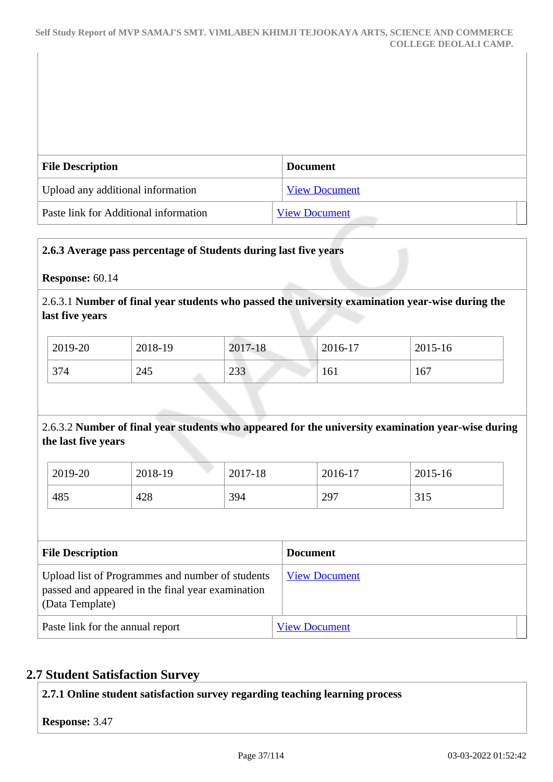| <b>File Description</b>               | <b>Document</b>      |
|---------------------------------------|----------------------|
| Upload any additional information     | <b>View Document</b> |
| Paste link for Additional information | <b>View Document</b> |

### **2.6.3 Average pass percentage of Students during last five years**

### **Response:** 60.14

2.6.3.1 **Number of final year students who passed the university examination year-wise during the last five years**

| 2019-20 | 2018-19 | 2017-18 | 2016-17 | 2015-16 |
|---------|---------|---------|---------|---------|
| 374     | 245     | 233     | 161     | 167     |

### 2.6.3.2 **Number of final year students who appeared for the university examination year-wise during the last five years**

| 2019-20 | 2018-19 | 2017-18 | 2016-17 | 2015-16    |
|---------|---------|---------|---------|------------|
| 485     | 428     | 394     | 297     | 215<br>31J |

| <b>File Description</b>                                                                                                  | <b>Document</b>      |
|--------------------------------------------------------------------------------------------------------------------------|----------------------|
| Upload list of Programmes and number of students<br>passed and appeared in the final year examination<br>(Data Template) | <b>View Document</b> |
| Paste link for the annual report                                                                                         | <b>View Document</b> |

### **2.7 Student Satisfaction Survey**

**2.7.1 Online student satisfaction survey regarding teaching learning process**

**Response:** 3.47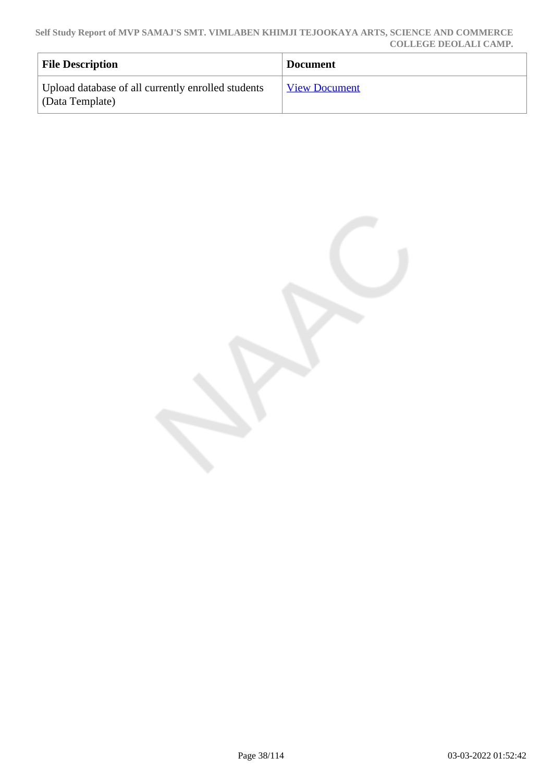| <b>File Description</b>                                               | <b>Document</b>      |
|-----------------------------------------------------------------------|----------------------|
| Upload database of all currently enrolled students<br>(Data Template) | <b>View Document</b> |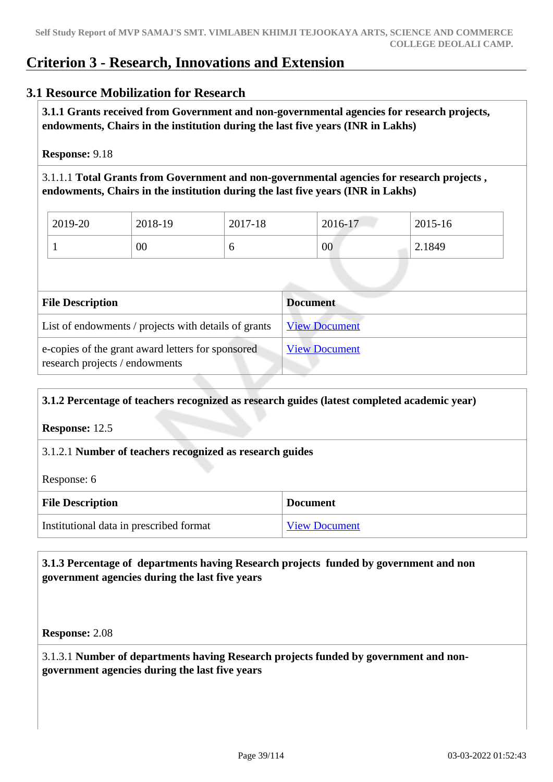# **Criterion 3 - Research, Innovations and Extension**

### **3.1 Resource Mobilization for Research**

 **3.1.1 Grants received from Government and non-governmental agencies for research projects, endowments, Chairs in the institution during the last five years (INR in Lakhs)** 

**Response:** 9.18

3.1.1.1 **Total Grants from Government and non-governmental agencies for research projects , endowments, Chairs in the institution during the last five years (INR in Lakhs)**

| 2019-20 | 2018-19 | 2017-18 | 2016-17 | 2015-16 |
|---------|---------|---------|---------|---------|
|         | 00      |         | 00      | 2.1849  |

| <b>File Description</b>                                                             | <b>Document</b>      |
|-------------------------------------------------------------------------------------|----------------------|
| List of endowments / projects with details of grants                                | <b>View Document</b> |
| e-copies of the grant award letters for sponsored<br>research projects / endowments | <b>View Document</b> |

# **3.1.2 Percentage of teachers recognized as research guides (latest completed academic year) Response:** 12.5 3.1.2.1 **Number of teachers recognized as research guides** Response: 6 **File Description Document** Institutional data in prescribed format [View Document](https://assessmentonline.naac.gov.in/storage/app/hei/SSR/102746/3.1.2_1626860493_6619.pdf)

### **3.1.3 Percentage of departments having Research projects funded by government and non government agencies during the last five years**

**Response:** 2.08

3.1.3.1 **Number of departments having Research projects funded by government and nongovernment agencies during the last five years**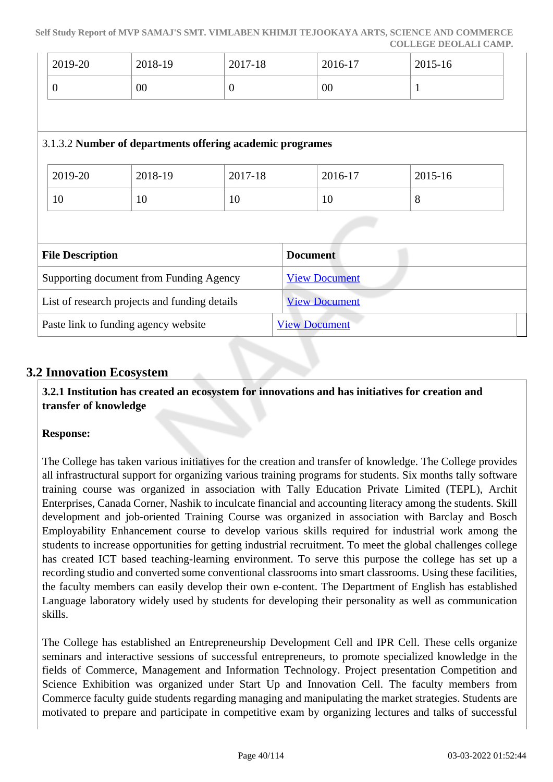|                                               | 2019-20                              | 2018-19                                                   | 2017-18        |                      | 2016-17              | 2015-16      |
|-----------------------------------------------|--------------------------------------|-----------------------------------------------------------|----------------|----------------------|----------------------|--------------|
|                                               | $\theta$                             | 00                                                        | $\overline{0}$ |                      | 00                   | $\mathbf{1}$ |
|                                               |                                      |                                                           |                |                      |                      |              |
|                                               |                                      | 3.1.3.2 Number of departments offering academic programes |                |                      |                      |              |
|                                               | 2019-20                              | 2018-19                                                   | 2017-18        |                      | 2016-17              | 2015-16      |
|                                               | 10                                   | 10                                                        | 10             |                      | 10                   | 8            |
|                                               |                                      |                                                           |                |                      |                      |              |
|                                               | <b>File Description</b>              |                                                           |                | <b>Document</b>      |                      |              |
| Supporting document from Funding Agency       |                                      |                                                           |                |                      | <b>View Document</b> |              |
| List of research projects and funding details |                                      |                                                           |                |                      | <b>View Document</b> |              |
|                                               | Paste link to funding agency website |                                                           |                | <b>View Document</b> |                      |              |
|                                               |                                      |                                                           |                |                      |                      |              |

# **3.2 Innovation Ecosystem**

 **3.2.1 Institution has created an ecosystem for innovations and has initiatives for creation and transfer of knowledge**

### **Response:**

The College has taken various initiatives for the creation and transfer of knowledge. The College provides all infrastructural support for organizing various training programs for students. Six months tally software training course was organized in association with Tally Education Private Limited (TEPL), Archit Enterprises, Canada Corner, Nashik to inculcate financial and accounting literacy among the students. Skill development and job-oriented Training Course was organized in association with Barclay and Bosch Employability Enhancement course to develop various skills required for industrial work among the students to increase opportunities for getting industrial recruitment. To meet the global challenges college has created ICT based teaching-learning environment. To serve this purpose the college has set up a recording studio and converted some conventional classrooms into smart classrooms. Using these facilities, the faculty members can easily develop their own e-content. The Department of English has established Language laboratory widely used by students for developing their personality as well as communication skills.

The College has established an Entrepreneurship Development Cell and IPR Cell. These cells organize seminars and interactive sessions of successful entrepreneurs, to promote specialized knowledge in the fields of Commerce, Management and Information Technology. Project presentation Competition and Science Exhibition was organized under Start Up and Innovation Cell. The faculty members from Commerce faculty guide students regarding managing and manipulating the market strategies. Students are motivated to prepare and participate in competitive exam by organizing lectures and talks of successful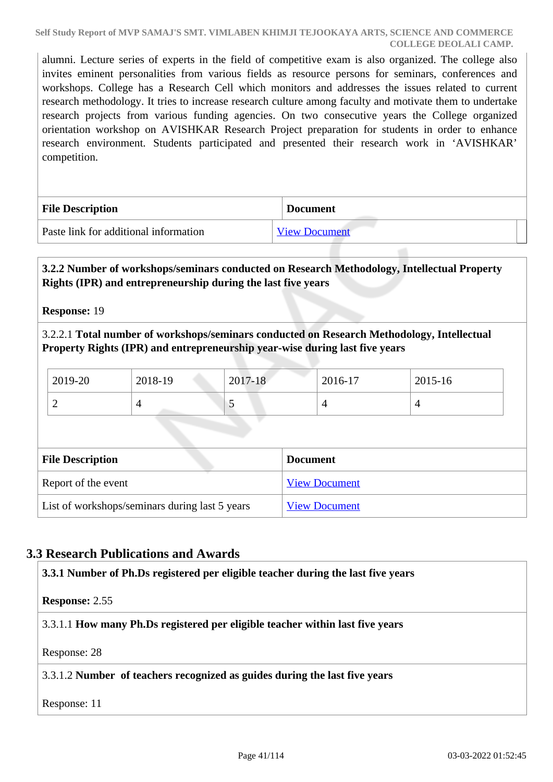alumni. Lecture series of experts in the field of competitive exam is also organized. The college also invites eminent personalities from various fields as resource persons for seminars, conferences and workshops. College has a Research Cell which monitors and addresses the issues related to current research methodology. It tries to increase research culture among faculty and motivate them to undertake research projects from various funding agencies. On two consecutive years the College organized orientation workshop on AVISHKAR Research Project preparation for students in order to enhance research environment. Students participated and presented their research work in 'AVISHKAR' competition.

| <b>File Description</b>               | <b>Document</b>      |
|---------------------------------------|----------------------|
| Paste link for additional information | <b>View Document</b> |

### **3.2.2 Number of workshops/seminars conducted on Research Methodology, Intellectual Property Rights (IPR) and entrepreneurship during the last five years**

**Response:** 19

3.2.2.1 **Total number of workshops/seminars conducted on Research Methodology, Intellectual Property Rights (IPR) and entrepreneurship year-wise during last five years** 

|                                                | 2019-20 | 2018-19        | 2017-18              |                      | 2016-17 | 2015-16        |  |
|------------------------------------------------|---------|----------------|----------------------|----------------------|---------|----------------|--|
|                                                | 2       | $\overline{4}$ | 5                    |                      | 4       | $\overline{4}$ |  |
|                                                |         |                |                      |                      |         |                |  |
| <b>File Description</b><br><b>Document</b>     |         |                |                      |                      |         |                |  |
| Report of the event                            |         |                | <b>View Document</b> |                      |         |                |  |
| List of workshops/seminars during last 5 years |         |                |                      | <b>View Document</b> |         |                |  |

### **3.3 Research Publications and Awards**

**3.3.1 Number of Ph.Ds registered per eligible teacher during the last five years**

**Response:** 2.55

3.3.1.1 **How many Ph.Ds registered per eligible teacher within last five years**

Response: 28

### 3.3.1.2 **Number of teachers recognized as guides during the last five years**

Response: 11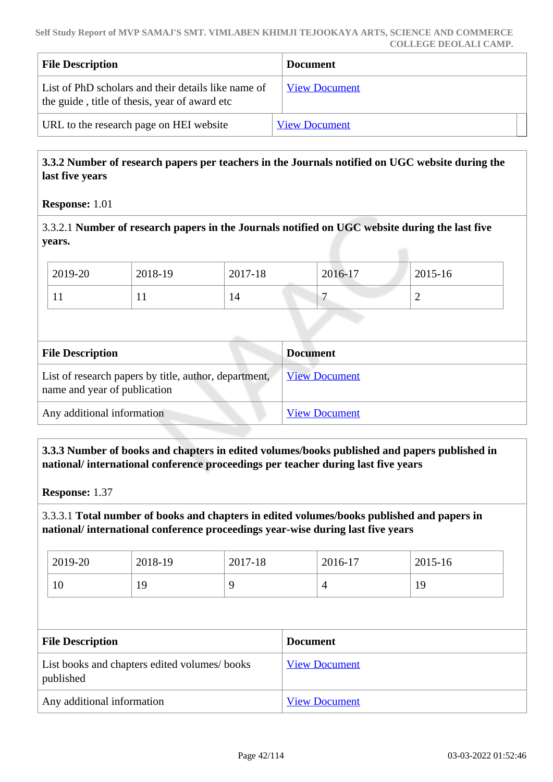| <b>File Description</b>                                                                              | <b>Document</b>      |
|------------------------------------------------------------------------------------------------------|----------------------|
| List of PhD scholars and their details like name of<br>the guide, title of thesis, year of award etc | <b>View Document</b> |
| URL to the research page on HEI website                                                              | <b>View Document</b> |

### **3.3.2 Number of research papers per teachers in the Journals notified on UGC website during the last five years**

**Response:** 1.01

3.3.2.1 **Number of research papers in the Journals notified on UGC website during the last five years.**

| 2019-20 | 2018-19 | 2017-18 | 2016-17 | 2015-16 |
|---------|---------|---------|---------|---------|
|         |         | 14      |         |         |

| <b>File Description</b>                                                               | <b>Document</b>      |
|---------------------------------------------------------------------------------------|----------------------|
| List of research papers by title, author, department,<br>name and year of publication | <b>View Document</b> |
| Any additional information                                                            | <b>View Document</b> |

### **3.3.3 Number of books and chapters in edited volumes/books published and papers published in national/ international conference proceedings per teacher during last five years**

**Response:** 1.37

3.3.3.1 **Total number of books and chapters in edited volumes/books published and papers in national/ international conference proceedings year-wise during last five years**

| 2019-20 | 2018-19        | 2017-18 | 2016-17 | 2015-16 |
|---------|----------------|---------|---------|---------|
| 10      | $\Omega$<br>** |         |         | 19      |

| <b>File Description</b>                                   | <b>Document</b>      |
|-----------------------------------------------------------|----------------------|
| List books and chapters edited volumes/books<br>published | <b>View Document</b> |
| Any additional information                                | <b>View Document</b> |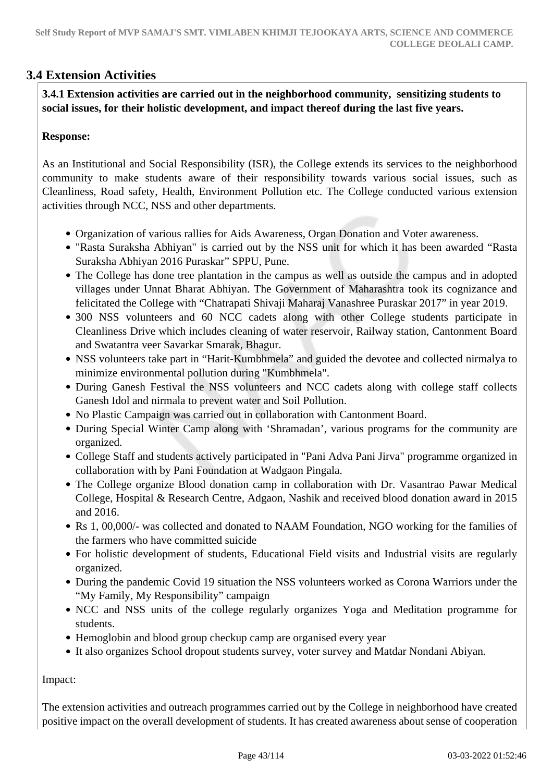# **3.4 Extension Activities**

 **3.4.1 Extension activities are carried out in the neighborhood community, sensitizing students to social issues, for their holistic development, and impact thereof during the last five years.**

### **Response:**

As an Institutional and Social Responsibility (ISR), the College extends its services to the neighborhood community to make students aware of their responsibility towards various social issues, such as Cleanliness, Road safety, Health, Environment Pollution etc. The College conducted various extension activities through NCC, NSS and other departments.

- Organization of various rallies for Aids Awareness, Organ Donation and Voter awareness.
- "Rasta Suraksha Abhiyan" is carried out by the NSS unit for which it has been awarded "Rasta Suraksha Abhiyan 2016 Puraskar" SPPU, Pune.
- The College has done tree plantation in the campus as well as outside the campus and in adopted villages under Unnat Bharat Abhiyan. The Government of Maharashtra took its cognizance and felicitated the College with "Chatrapati Shivaji Maharaj Vanashree Puraskar 2017" in year 2019.
- 300 NSS volunteers and 60 NCC cadets along with other College students participate in Cleanliness Drive which includes cleaning of water reservoir, Railway station, Cantonment Board and Swatantra veer Savarkar Smarak, Bhagur.
- NSS volunteers take part in "Harit-Kumbhmela" and guided the devotee and collected nirmalya to minimize environmental pollution during "Kumbhmela".
- During Ganesh Festival the NSS volunteers and NCC cadets along with college staff collects Ganesh Idol and nirmala to prevent water and Soil Pollution.
- No Plastic Campaign was carried out in collaboration with Cantonment Board.
- During Special Winter Camp along with 'Shramadan', various programs for the community are organized.
- College Staff and students actively participated in "Pani Adva Pani Jirva" programme organized in collaboration with by Pani Foundation at Wadgaon Pingala.
- The College organize Blood donation camp in collaboration with Dr. Vasantrao Pawar Medical College, Hospital & Research Centre, Adgaon, Nashik and received blood donation award in 2015 and 2016.
- Rs 1, 00,000/- was collected and donated to NAAM Foundation, NGO working for the families of the farmers who have committed suicide
- For holistic development of students, Educational Field visits and Industrial visits are regularly organized.
- During the pandemic Covid 19 situation the NSS volunteers worked as Corona Warriors under the "My Family, My Responsibility" campaign
- NCC and NSS units of the college regularly organizes Yoga and Meditation programme for students.
- Hemoglobin and blood group checkup camp are organised every year
- It also organizes School dropout students survey, voter survey and Matdar Nondani Abiyan.

Impact:

The extension activities and outreach programmes carried out by the College in neighborhood have created positive impact on the overall development of students. It has created awareness about sense of cooperation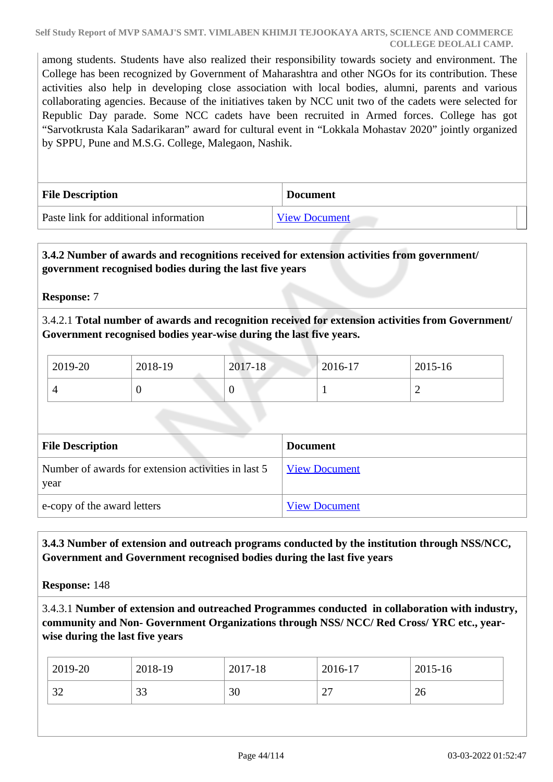among students. Students have also realized their responsibility towards society and environment. The College has been recognized by Government of Maharashtra and other NGOs for its contribution. These activities also help in developing close association with local bodies, alumni, parents and various collaborating agencies. Because of the initiatives taken by NCC unit two of the cadets were selected for Republic Day parade. Some NCC cadets have been recruited in Armed forces. College has got "Sarvotkrusta Kala Sadarikaran" award for cultural event in "Lokkala Mohastav 2020" jointly organized by SPPU, Pune and M.S.G. College, Malegaon, Nashik.

| <b>File Description</b>               | <b>Document</b>      |
|---------------------------------------|----------------------|
| Paste link for additional information | <b>View Document</b> |

### **3.4.2 Number of awards and recognitions received for extension activities from government/ government recognised bodies during the last five years**

**Response:** 7

3.4.2.1 **Total number of awards and recognition received for extension activities from Government/ Government recognised bodies year-wise during the last five years.**

| 2019-20        | 2018-19 | 2017-18 | 2016-17 | 2015-16 |
|----------------|---------|---------|---------|---------|
| $\overline{ }$ |         | ν       |         | -       |

| <b>File Description</b>                                     | <b>Document</b>      |
|-------------------------------------------------------------|----------------------|
| Number of awards for extension activities in last 5<br>year | <b>View Document</b> |
| e-copy of the award letters                                 | <b>View Document</b> |

 **3.4.3 Number of extension and outreach programs conducted by the institution through NSS/NCC, Government and Government recognised bodies during the last five years**

**Response:** 148

3.4.3.1 **Number of extension and outreached Programmes conducted in collaboration with industry, community and Non- Government Organizations through NSS/ NCC/ Red Cross/ YRC etc., yearwise during the last five years**

| 2019-20       | 2018-19        | 2017-18 | 2016-17        | 2015-16 |
|---------------|----------------|---------|----------------|---------|
| $\cap$<br>ے ر | $\Omega$<br>ЭJ | 30      | $\sim$<br>،  ے | 26      |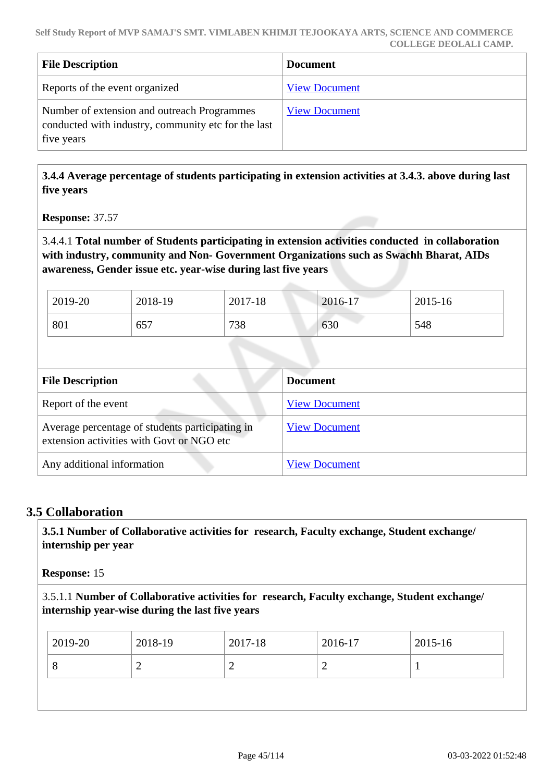| <b>File Description</b>                                                                                          | <b>Document</b>      |
|------------------------------------------------------------------------------------------------------------------|----------------------|
| Reports of the event organized                                                                                   | <b>View Document</b> |
| Number of extension and outreach Programmes<br>conducted with industry, community etc for the last<br>five years | <b>View Document</b> |

 **3.4.4 Average percentage of students participating in extension activities at 3.4.3. above during last five years**

**Response:** 37.57

3.4.4.1 **Total number of Students participating in extension activities conducted in collaboration with industry, community and Non- Government Organizations such as Swachh Bharat, AIDs awareness, Gender issue etc. year-wise during last five years**

| 2019-20 | 2018-19 | 2017-18 | 2016-17 | 2015-16 |
|---------|---------|---------|---------|---------|
| 801     | 657     | 738     | 630     | 548     |

| <b>File Description</b>                                                                      | <b>Document</b>      |
|----------------------------------------------------------------------------------------------|----------------------|
| Report of the event                                                                          | <b>View Document</b> |
| Average percentage of students participating in<br>extension activities with Govt or NGO etc | <b>View Document</b> |
| Any additional information                                                                   | <b>View Document</b> |

### **3.5 Collaboration**

 **3.5.1 Number of Collaborative activities for research, Faculty exchange, Student exchange/ internship per year**

### **Response:** 15

3.5.1.1 **Number of Collaborative activities for research, Faculty exchange, Student exchange/ internship year-wise during the last five years**

| Ω<br>$\circ$<br>∽ |  |
|-------------------|--|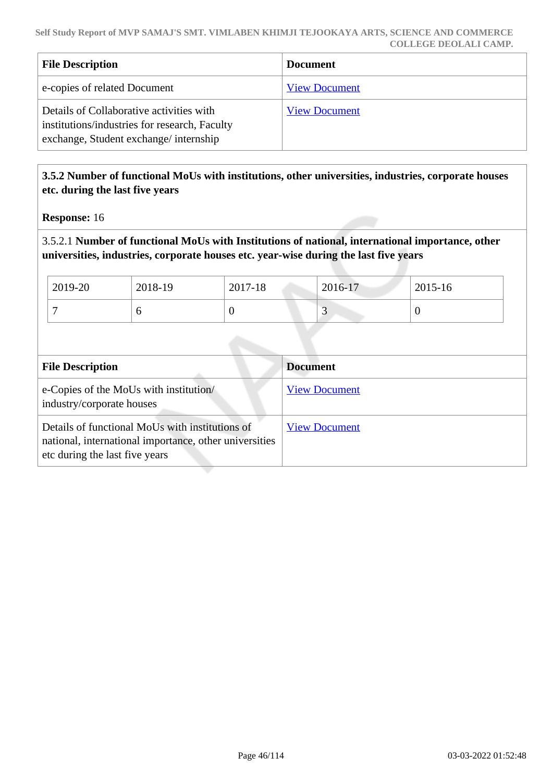| <b>File Description</b>                                                                                                            | <b>Document</b>      |
|------------------------------------------------------------------------------------------------------------------------------------|----------------------|
| e-copies of related Document                                                                                                       | <b>View Document</b> |
| Details of Collaborative activities with<br>institutions/industries for research, Faculty<br>exchange, Student exchange/internship | <b>View Document</b> |

### **3.5.2 Number of functional MoUs with institutions, other universities, industries, corporate houses etc. during the last five years**

**Response:** 16

3.5.2.1 **Number of functional MoUs with Institutions of national, international importance, other universities, industries, corporate houses etc. year-wise during the last five years**

| 2019-20 | 2018-19 | 2017-18 | 2016-17 | 2015-16 |
|---------|---------|---------|---------|---------|
|         |         | U       |         |         |

| <b>File Description</b>                                                                                                                     | <b>Document</b>      |
|---------------------------------------------------------------------------------------------------------------------------------------------|----------------------|
| e-Copies of the MoUs with institution/<br>industry/corporate houses                                                                         | <b>View Document</b> |
| Details of functional MoUs with institutions of<br>national, international importance, other universities<br>etc during the last five years | <b>View Document</b> |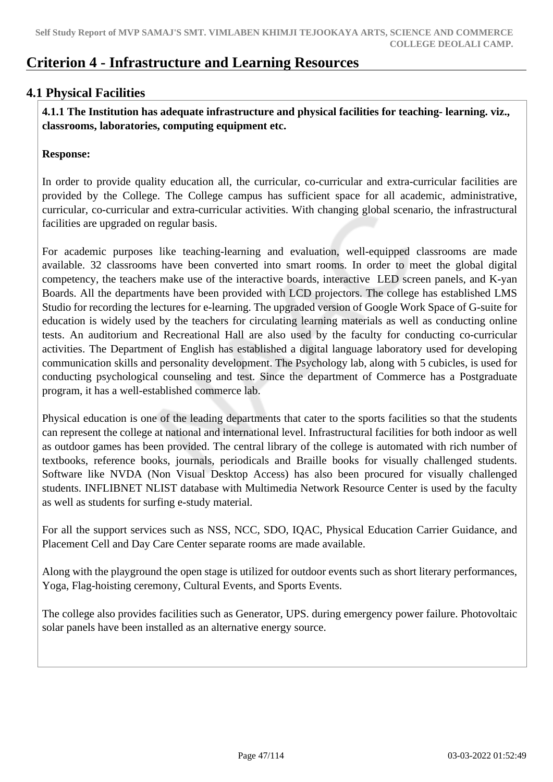# **Criterion 4 - Infrastructure and Learning Resources**

# **4.1 Physical Facilities**

 **4.1.1 The Institution has adequate infrastructure and physical facilities for teaching- learning. viz., classrooms, laboratories, computing equipment etc.** 

### **Response:**

In order to provide quality education all, the curricular, co-curricular and extra-curricular facilities are provided by the College. The College campus has sufficient space for all academic, administrative, curricular, co-curricular and extra-curricular activities. With changing global scenario, the infrastructural facilities are upgraded on regular basis.

For academic purposes like teaching-learning and evaluation, well-equipped classrooms are made available. 32 classrooms have been converted into smart rooms. In order to meet the global digital competency, the teachers make use of the interactive boards, interactive LED screen panels, and K-yan Boards. All the departments have been provided with LCD projectors. The college has established LMS Studio for recording the lectures for e-learning. The upgraded version of Google Work Space of G-suite for education is widely used by the teachers for circulating learning materials as well as conducting online tests. An auditorium and Recreational Hall are also used by the faculty for conducting co-curricular activities. The Department of English has established a digital language laboratory used for developing communication skills and personality development. The Psychology lab, along with 5 cubicles, is used for conducting psychological counseling and test. Since the department of Commerce has a Postgraduate program, it has a well-established commerce lab.

Physical education is one of the leading departments that cater to the sports facilities so that the students can represent the college at national and international level. Infrastructural facilities for both indoor as well as outdoor games has been provided. The central library of the college is automated with rich number of textbooks, reference books, journals, periodicals and Braille books for visually challenged students. Software like NVDA (Non Visual Desktop Access) has also been procured for visually challenged students. INFLIBNET NLIST database with Multimedia Network Resource Center is used by the faculty as well as students for surfing e-study material.

For all the support services such as NSS, NCC, SDO, IQAC, Physical Education Carrier Guidance, and Placement Cell and Day Care Center separate rooms are made available.

Along with the playground the open stage is utilized for outdoor events such as short literary performances, Yoga, Flag-hoisting ceremony, Cultural Events, and Sports Events.

The college also provides facilities such as Generator, UPS. during emergency power failure. Photovoltaic solar panels have been installed as an alternative energy source.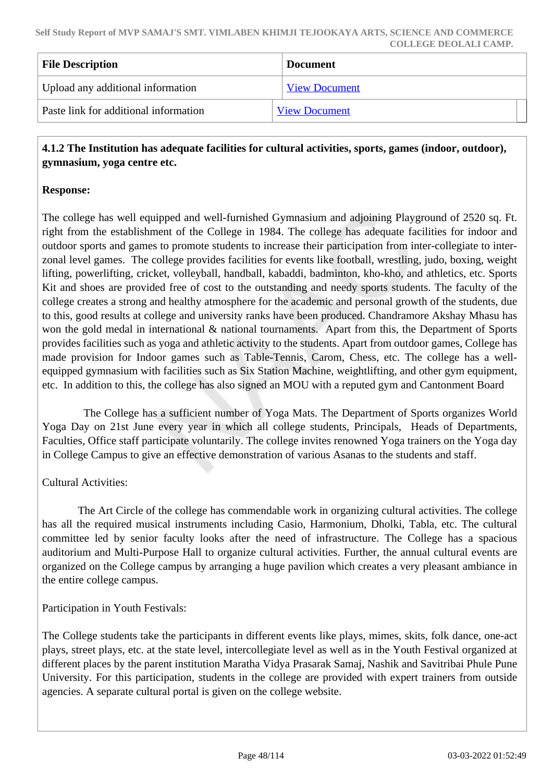| <b>File Description</b>               | <b>Document</b>      |
|---------------------------------------|----------------------|
| Upload any additional information     | <b>View Document</b> |
| Paste link for additional information | <b>View Document</b> |

### **4.1.2 The Institution has adequate facilities for cultural activities, sports, games (indoor, outdoor), gymnasium, yoga centre etc.**

### **Response:**

The college has well equipped and well-furnished Gymnasium and adjoining Playground of 2520 sq. Ft. right from the establishment of the College in 1984. The college has adequate facilities for indoor and outdoor sports and games to promote students to increase their participation from inter-collegiate to interzonal level games. The college provides facilities for events like football, wrestling, judo, boxing, weight lifting, powerlifting, cricket, volleyball, handball, kabaddi, badminton, kho-kho, and athletics, etc. Sports Kit and shoes are provided free of cost to the outstanding and needy sports students. The faculty of the college creates a strong and healthy atmosphere for the academic and personal growth of the students, due to this, good results at college and university ranks have been produced. Chandramore Akshay Mhasu has won the gold medal in international & national tournaments. Apart from this, the Department of Sports provides facilities such as yoga and athletic activity to the students. Apart from outdoor games, College has made provision for Indoor games such as Table-Tennis, Carom, Chess, etc. The college has a wellequipped gymnasium with facilities such as Six Station Machine, weightlifting, and other gym equipment, etc. In addition to this, the college has also signed an MOU with a reputed gym and Cantonment Board

 The College has a sufficient number of Yoga Mats. The Department of Sports organizes World Yoga Day on 21st June every year in which all college students, Principals, Heads of Departments, Faculties, Office staff participate voluntarily. The college invites renowned Yoga trainers on the Yoga day in College Campus to give an effective demonstration of various Asanas to the students and staff.

### Cultural Activities:

 The Art Circle of the college has commendable work in organizing cultural activities. The college has all the required musical instruments including Casio, Harmonium, Dholki, Tabla, etc. The cultural committee led by senior faculty looks after the need of infrastructure. The College has a spacious auditorium and Multi-Purpose Hall to organize cultural activities. Further, the annual cultural events are organized on the College campus by arranging a huge pavilion which creates a very pleasant ambiance in the entire college campus.

### Participation in Youth Festivals:

The College students take the participants in different events like plays, mimes, skits, folk dance, one-act plays, street plays, etc. at the state level, intercollegiate level as well as in the Youth Festival organized at different places by the parent institution Maratha Vidya Prasarak Samaj, Nashik and Savitribai Phule Pune University. For this participation, students in the college are provided with expert trainers from outside agencies. A separate cultural portal is given on the college website.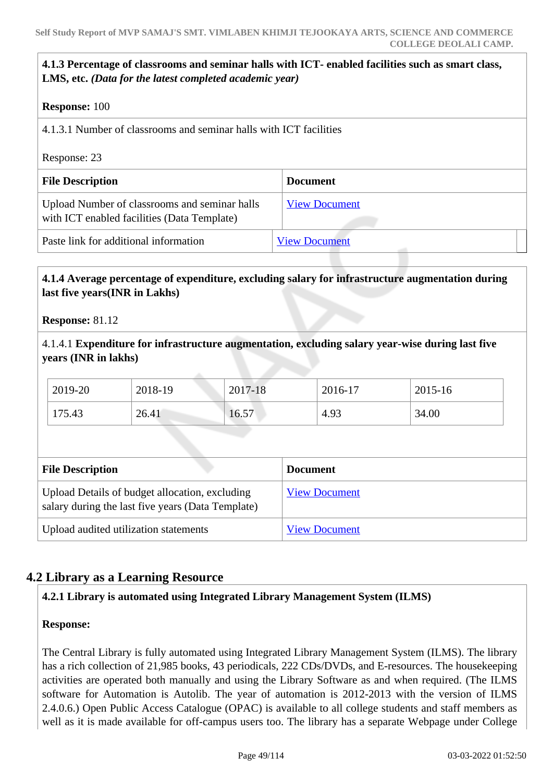### **4.1.3 Percentage of classrooms and seminar halls with ICT- enabled facilities such as smart class, LMS, etc.** *(Data for the latest completed academic year)*

### **Response:** 100

4.1.3.1 Number of classrooms and seminar halls with ICT facilities

Response: 23

| <b>File Description</b>                                                                      | <b>Document</b>      |
|----------------------------------------------------------------------------------------------|----------------------|
| Upload Number of classrooms and seminar halls<br>with ICT enabled facilities (Data Template) | <b>View Document</b> |
| Paste link for additional information                                                        | <b>View Document</b> |

### **4.1.4 Average percentage of expenditure, excluding salary for infrastructure augmentation during last five years(INR in Lakhs)**

**Response:** 81.12

4.1.4.1 **Expenditure for infrastructure augmentation, excluding salary year-wise during last five years (INR in lakhs)**

| 2019-20 | 2018-19 | 2017-18 | 2016-17 | 2015-16 |
|---------|---------|---------|---------|---------|
| 175.43  | 26.41   | 16.57   | 4.93    | 34.00   |

| <b>File Description</b>                                                                             | <b>Document</b>      |
|-----------------------------------------------------------------------------------------------------|----------------------|
| Upload Details of budget allocation, excluding<br>salary during the last five years (Data Template) | <b>View Document</b> |
| Upload audited utilization statements                                                               | <b>View Document</b> |

### **4.2 Library as a Learning Resource**

### **4.2.1 Library is automated using Integrated Library Management System (ILMS)**

#### **Response:**

The Central Library is fully automated using Integrated Library Management System (ILMS). The library has a rich collection of 21,985 books, 43 periodicals, 222 CDs/DVDs, and E-resources. The housekeeping activities are operated both manually and using the Library Software as and when required. (The ILMS software for Automation is Autolib. The year of automation is 2012-2013 with the version of ILMS 2.4.0.6.) Open Public Access Catalogue (OPAC) is available to all college students and staff members as well as it is made available for off-campus users too. The library has a separate Webpage under College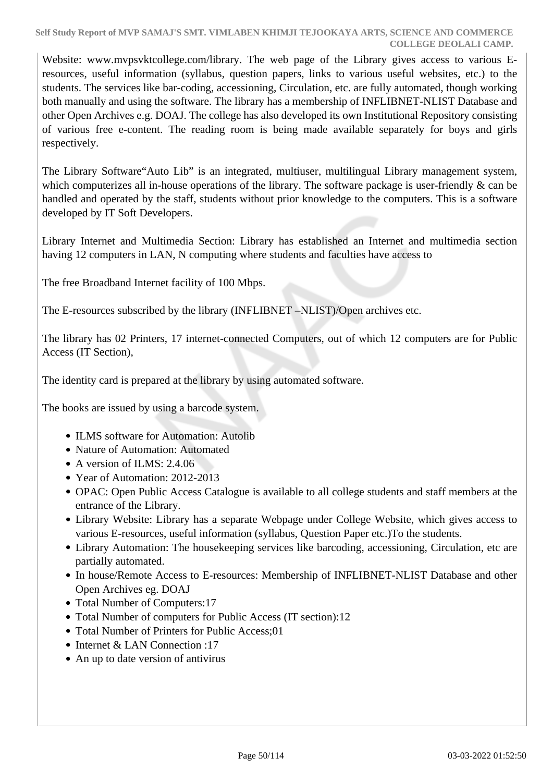Website: www.mvpsvktcollege.com/library. The web page of the Library gives access to various Eresources, useful information (syllabus, question papers, links to various useful websites, etc.) to the students. The services like bar-coding, accessioning, Circulation, etc. are fully automated, though working both manually and using the software. The library has a membership of INFLIBNET-NLIST Database and other Open Archives e.g. DOAJ. The college has also developed its own Institutional Repository consisting of various free e-content. The reading room is being made available separately for boys and girls respectively.

The Library Software"Auto Lib" is an integrated, multiuser, multilingual Library management system, which computerizes all in-house operations of the library. The software package is user-friendly  $\&$  can be handled and operated by the staff, students without prior knowledge to the computers. This is a software developed by IT Soft Developers.

Library Internet and Multimedia Section: Library has established an Internet and multimedia section having 12 computers in LAN, N computing where students and faculties have access to

The free Broadband Internet facility of 100 Mbps.

The E-resources subscribed by the library (INFLIBNET –NLIST)/Open archives etc.

The library has 02 Printers, 17 internet-connected Computers, out of which 12 computers are for Public Access (IT Section),

The identity card is prepared at the library by using automated software.

The books are issued by using a barcode system.

- ILMS software for Automation: Autolib
- Nature of Automation: Automated
- A version of ILMS: 2.4.06
- Year of Automation: 2012-2013
- OPAC: Open Public Access Catalogue is available to all college students and staff members at the entrance of the Library.
- Library Website: Library has a separate Webpage under College Website, which gives access to various E-resources, useful information (syllabus, Question Paper etc.)To the students.
- Library Automation: The housekeeping services like barcoding, accessioning, Circulation, etc are partially automated.
- In house/Remote Access to E-resources: Membership of INFLIBNET-NLIST Database and other Open Archives eg. DOAJ
- Total Number of Computers:17
- Total Number of computers for Public Access (IT section):12
- Total Number of Printers for Public Access;01
- Internet  $&$  LAN Connection :17
- An up to date version of antivirus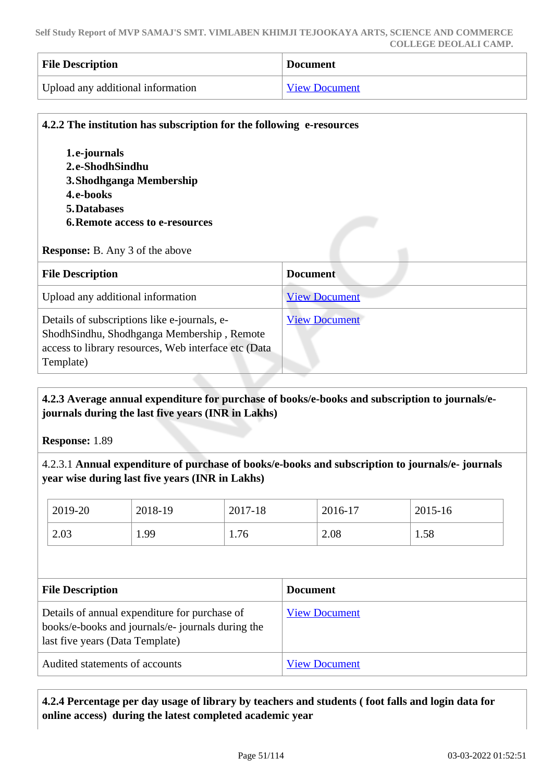| <b>File Description</b>           | <b>Document</b>      |
|-----------------------------------|----------------------|
| Upload any additional information | <b>View Document</b> |

| 1.e-journals<br>2.e-ShodhSindhu                                                                                                                    |                      |
|----------------------------------------------------------------------------------------------------------------------------------------------------|----------------------|
| 3. Shodhganga Membership                                                                                                                           |                      |
| 4.e-books                                                                                                                                          |                      |
| 5. Databases                                                                                                                                       |                      |
| <b>6. Remote access to e-resources</b><br><b>Response:</b> B. Any 3 of the above                                                                   |                      |
|                                                                                                                                                    |                      |
| <b>File Description</b>                                                                                                                            | <b>Document</b>      |
| Upload any additional information                                                                                                                  | <b>View Document</b> |
|                                                                                                                                                    | <b>View Document</b> |
| Details of subscriptions like e-journals, e-<br>ShodhSindhu, Shodhganga Membership, Remote<br>access to library resources, Web interface etc (Data |                      |

 **4.2.3 Average annual expenditure for purchase of books/e-books and subscription to journals/ejournals during the last five years (INR in Lakhs)** 

**Response:** 1.89

4.2.3.1 **Annual expenditure of purchase of books/e-books and subscription to journals/e- journals year wise during last five years (INR in Lakhs)**

| 2019-20 | 2018-19 | 2017-18 | 2016-17 | 2015-16 |
|---------|---------|---------|---------|---------|
| 2.03    | 1.99    | 1.76    | 2.08    | 1.58    |

| <b>File Description</b>                                                                                                               | <b>Document</b>      |
|---------------------------------------------------------------------------------------------------------------------------------------|----------------------|
| Details of annual expenditure for purchase of<br>books/e-books and journals/e- journals during the<br>last five years (Data Template) | <b>View Document</b> |
| Audited statements of accounts                                                                                                        | <b>View Document</b> |

 **4.2.4 Percentage per day usage of library by teachers and students ( foot falls and login data for online access) during the latest completed academic year**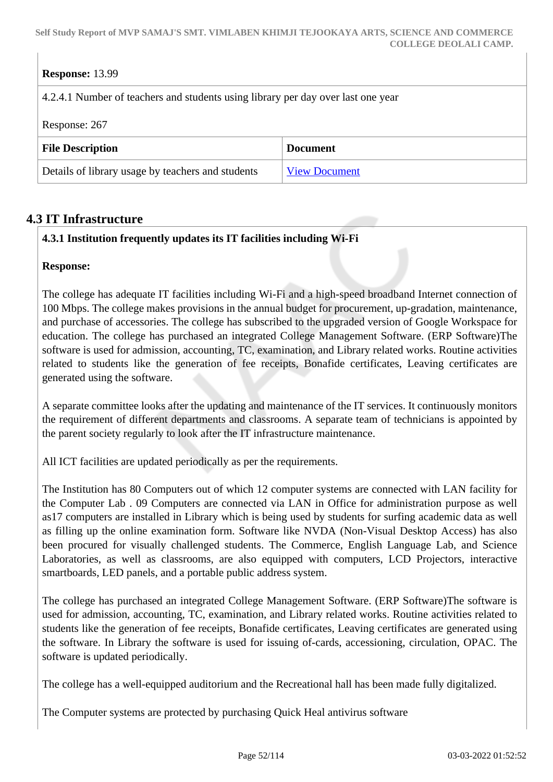### **Response:** 13.99

4.2.4.1 Number of teachers and students using library per day over last one year

Response: 267

| <b>File Description</b>                           | <b>Document</b>      |
|---------------------------------------------------|----------------------|
| Details of library usage by teachers and students | <b>View Document</b> |

## **4.3 IT Infrastructure**

### **4.3.1 Institution frequently updates its IT facilities including Wi-Fi**

#### **Response:**

The college has adequate IT facilities including Wi-Fi and a high-speed broadband Internet connection of 100 Mbps. The college makes provisions in the annual budget for procurement, up-gradation, maintenance, and purchase of accessories. The college has subscribed to the upgraded version of Google Workspace for education. The college has purchased an integrated College Management Software. (ERP Software)The software is used for admission, accounting, TC, examination, and Library related works. Routine activities related to students like the generation of fee receipts, Bonafide certificates, Leaving certificates are generated using the software.

A separate committee looks after the updating and maintenance of the IT services. It continuously monitors the requirement of different departments and classrooms. A separate team of technicians is appointed by the parent society regularly to look after the IT infrastructure maintenance.

All ICT facilities are updated periodically as per the requirements.

The Institution has 80 Computers out of which 12 computer systems are connected with LAN facility for the Computer Lab . 09 Computers are connected via LAN in Office for administration purpose as well as17 computers are installed in Library which is being used by students for surfing academic data as well as filling up the online examination form. Software like NVDA (Non-Visual Desktop Access) has also been procured for visually challenged students. The Commerce, English Language Lab, and Science Laboratories, as well as classrooms, are also equipped with computers, LCD Projectors, interactive smartboards, LED panels, and a portable public address system.

The college has purchased an integrated College Management Software. (ERP Software)The software is used for admission, accounting, TC, examination, and Library related works. Routine activities related to students like the generation of fee receipts, Bonafide certificates, Leaving certificates are generated using the software. In Library the software is used for issuing of-cards, accessioning, circulation, OPAC. The software is updated periodically.

The college has a well-equipped auditorium and the Recreational hall has been made fully digitalized.

The Computer systems are protected by purchasing Quick Heal antivirus software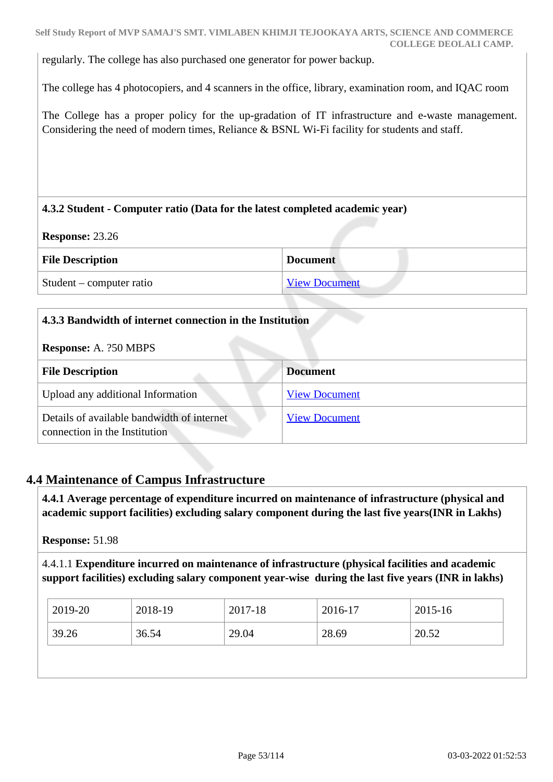regularly. The college has also purchased one generator for power backup.

The college has 4 photocopiers, and 4 scanners in the office, library, examination room, and IQAC room

The College has a proper policy for the up-gradation of IT infrastructure and e-waste management. Considering the need of modern times, Reliance & BSNL Wi-Fi facility for students and staff.

## **4.3.2 Student - Computer ratio (Data for the latest completed academic year)**

**Response:** 23.26

| <b>File Description</b>    | <b>Document</b>      |
|----------------------------|----------------------|
| $Student$ – computer ratio | <b>View Document</b> |

| 4.3.3 Bandwidth of internet connection in the Institution                   |                      |  |
|-----------------------------------------------------------------------------|----------------------|--|
| <b>Response: A. ?50 MBPS</b>                                                |                      |  |
| <b>File Description</b>                                                     | <b>Document</b>      |  |
| Upload any additional Information                                           | <b>View Document</b> |  |
| Details of available bandwidth of internet<br>connection in the Institution | <b>View Document</b> |  |

### **4.4 Maintenance of Campus Infrastructure**

 **4.4.1 Average percentage of expenditure incurred on maintenance of infrastructure (physical and academic support facilities) excluding salary component during the last five years(INR in Lakhs)**

**Response:** 51.98

4.4.1.1 **Expenditure incurred on maintenance of infrastructure (physical facilities and academic support facilities) excluding salary component year-wise during the last five years (INR in lakhs)**

| 2019-20 | 2018-19 | 2017-18 | 2016-17 | 2015-16 |
|---------|---------|---------|---------|---------|
| 39.26   | 36.54   | 29.04   | 28.69   | 20.52   |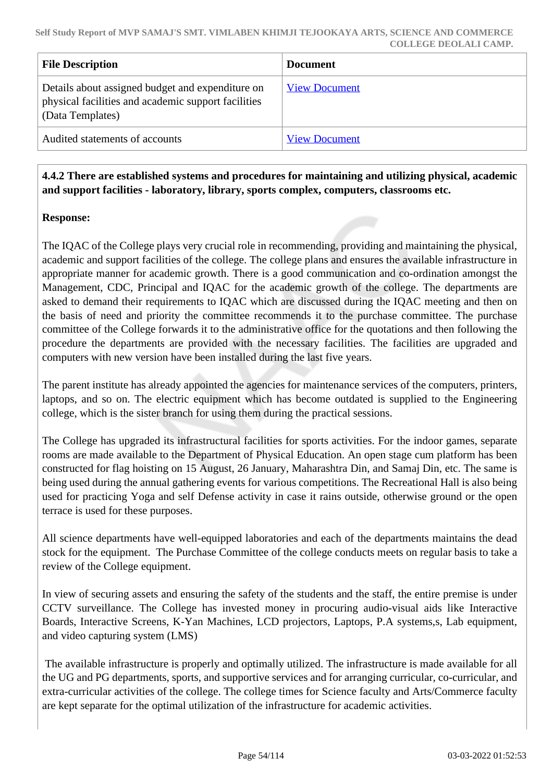| <b>File Description</b>                                                                                                     | <b>Document</b>      |
|-----------------------------------------------------------------------------------------------------------------------------|----------------------|
| Details about assigned budget and expenditure on<br>physical facilities and academic support facilities<br>(Data Templates) | <b>View Document</b> |
| Audited statements of accounts                                                                                              | <b>View Document</b> |

### **4.4.2 There are established systems and procedures for maintaining and utilizing physical, academic and support facilities - laboratory, library, sports complex, computers, classrooms etc.**

### **Response:**

The IQAC of the College plays very crucial role in recommending, providing and maintaining the physical, academic and support facilities of the college. The college plans and ensures the available infrastructure in appropriate manner for academic growth. There is a good communication and co-ordination amongst the Management, CDC, Principal and IQAC for the academic growth of the college. The departments are asked to demand their requirements to IQAC which are discussed during the IQAC meeting and then on the basis of need and priority the committee recommends it to the purchase committee. The purchase committee of the College forwards it to the administrative office for the quotations and then following the procedure the departments are provided with the necessary facilities. The facilities are upgraded and computers with new version have been installed during the last five years.

The parent institute has already appointed the agencies for maintenance services of the computers, printers, laptops, and so on. The electric equipment which has become outdated is supplied to the Engineering college, which is the sister branch for using them during the practical sessions.

The College has upgraded its infrastructural facilities for sports activities. For the indoor games, separate rooms are made available to the Department of Physical Education. An open stage cum platform has been constructed for flag hoisting on 15 August, 26 January, Maharashtra Din, and Samaj Din, etc. The same is being used during the annual gathering events for various competitions. The Recreational Hall is also being used for practicing Yoga and self Defense activity in case it rains outside, otherwise ground or the open terrace is used for these purposes.

All science departments have well-equipped laboratories and each of the departments maintains the dead stock for the equipment. The Purchase Committee of the college conducts meets on regular basis to take a review of the College equipment.

In view of securing assets and ensuring the safety of the students and the staff, the entire premise is under CCTV surveillance. The College has invested money in procuring audio-visual aids like Interactive Boards, Interactive Screens, K-Yan Machines, LCD projectors, Laptops, P.A systems,s, Lab equipment, and video capturing system (LMS)

 The available infrastructure is properly and optimally utilized. The infrastructure is made available for all the UG and PG departments, sports, and supportive services and for arranging curricular, co-curricular, and extra-curricular activities of the college. The college times for Science faculty and Arts/Commerce faculty are kept separate for the optimal utilization of the infrastructure for academic activities.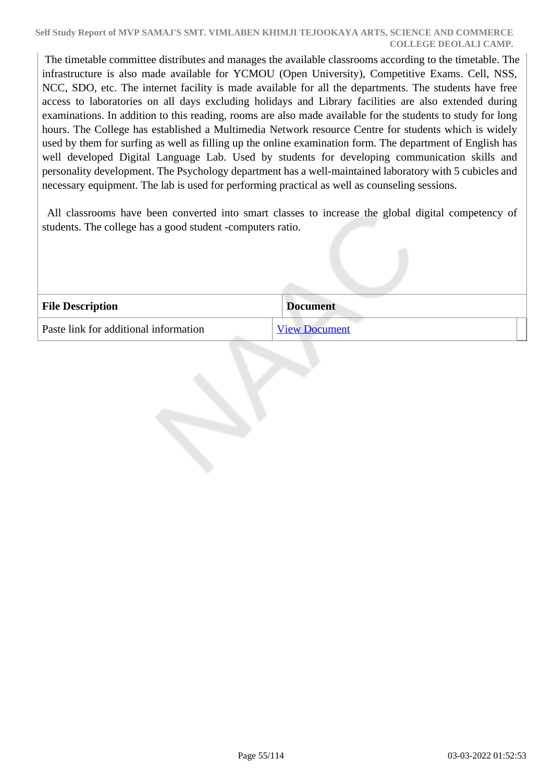The timetable committee distributes and manages the available classrooms according to the timetable. The infrastructure is also made available for YCMOU (Open University), Competitive Exams. Cell, NSS, NCC, SDO, etc. The internet facility is made available for all the departments. The students have free access to laboratories on all days excluding holidays and Library facilities are also extended during examinations. In addition to this reading, rooms are also made available for the students to study for long hours. The College has established a Multimedia Network resource Centre for students which is widely used by them for surfing as well as filling up the online examination form. The department of English has well developed Digital Language Lab. Used by students for developing communication skills and personality development. The Psychology department has a well-maintained laboratory with 5 cubicles and necessary equipment. The lab is used for performing practical as well as counseling sessions.

 All classrooms have been converted into smart classes to increase the global digital competency of students. The college has a good student -computers ratio.

| <b>File Description</b>               | Document             |
|---------------------------------------|----------------------|
| Paste link for additional information | <b>View Document</b> |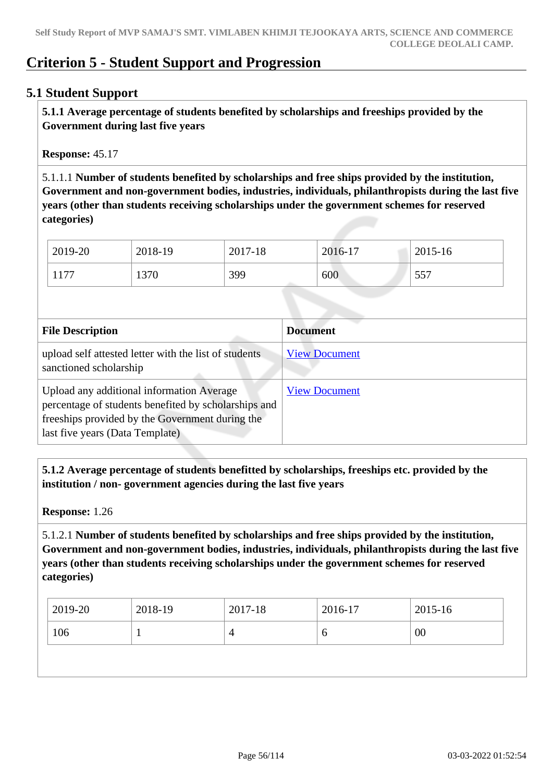# **Criterion 5 - Student Support and Progression**

## **5.1 Student Support**

 **5.1.1 Average percentage of students benefited by scholarships and freeships provided by the Government during last five years** 

**Response:** 45.17

5.1.1.1 **Number of students benefited by scholarships and free ships provided by the institution, Government and non-government bodies, industries, individuals, philanthropists during the last five years (other than students receiving scholarships under the government schemes for reserved categories)** 

| 2019-20 | 2018-19 | 2017-18 | 2016-17 | 2015-16 |
|---------|---------|---------|---------|---------|
| 1177    | 1370    | 399     | 600     | 557     |

| <b>File Description</b>                                                                                                                                                                 | <b>Document</b>      |
|-----------------------------------------------------------------------------------------------------------------------------------------------------------------------------------------|----------------------|
| upload self attested letter with the list of students<br>sanctioned scholarship                                                                                                         | <b>View Document</b> |
| Upload any additional information Average<br>percentage of students benefited by scholarships and<br>freeships provided by the Government during the<br>last five years (Data Template) | <b>View Document</b> |

 **5.1.2 Average percentage of students benefitted by scholarships, freeships etc. provided by the institution / non- government agencies during the last five years**

**Response:** 1.26

5.1.2.1 **Number of students benefited by scholarships and free ships provided by the institution, Government and non-government bodies, industries, individuals, philanthropists during the last five years (other than students receiving scholarships under the government schemes for reserved categories)** 

| 2019-20 | 2018-19 | 2017-18 | 2016-17 | $2015 - 16$ |
|---------|---------|---------|---------|-------------|
| 106     |         | 4       | O       | 00          |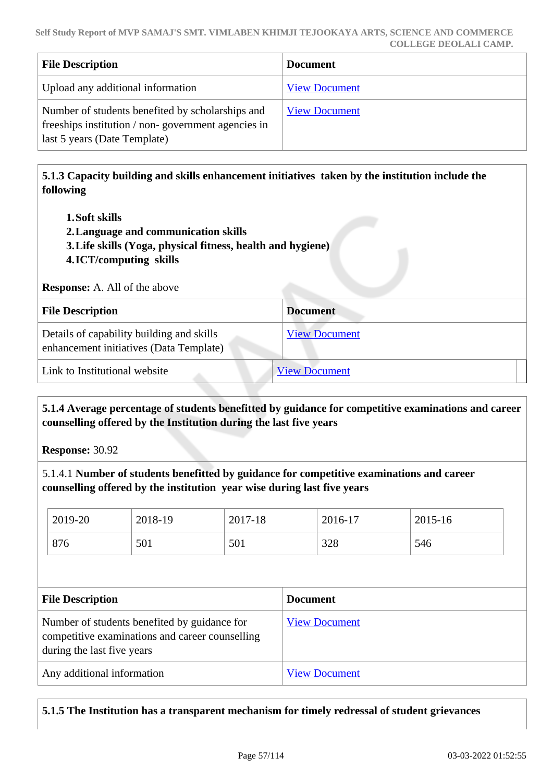| <b>File Description</b>                                                                                                                 | <b>Document</b>      |
|-----------------------------------------------------------------------------------------------------------------------------------------|----------------------|
| Upload any additional information                                                                                                       | <b>View Document</b> |
| Number of students benefited by scholarships and<br>free ships institution / non-government agencies in<br>last 5 years (Date Template) | <b>View Document</b> |

 **5.1.3 Capacity building and skills enhancement initiatives taken by the institution include the following**

#### **1.Soft skills**

- **2.Language and communication skills**
- **3.Life skills (Yoga, physical fitness, health and hygiene)**
- **4.ICT/computing skills**

**Response:** A. All of the above

| <b>File Description</b>                                                              | <b>Document</b>      |
|--------------------------------------------------------------------------------------|----------------------|
| Details of capability building and skills<br>enhancement initiatives (Data Template) | <b>View Document</b> |
| Link to Institutional website                                                        | <b>View Document</b> |

 **5.1.4 Average percentage of students benefitted by guidance for competitive examinations and career counselling offered by the Institution during the last five years**

**Response:** 30.92

5.1.4.1 **Number of students benefitted by guidance for competitive examinations and career counselling offered by the institution year wise during last five years**

| 2019-20 | 2018-19 | 2017-18 | 2016-17 | 2015-16 |
|---------|---------|---------|---------|---------|
| 876     | 501     | 501     | 328     | 546     |

| <b>File Description</b>                                                                                                       | <b>Document</b>      |
|-------------------------------------------------------------------------------------------------------------------------------|----------------------|
| Number of students benefited by guidance for<br>competitive examinations and career counselling<br>during the last five years | <b>View Document</b> |
| Any additional information                                                                                                    | <b>View Document</b> |

### **5.1.5 The Institution has a transparent mechanism for timely redressal of student grievances**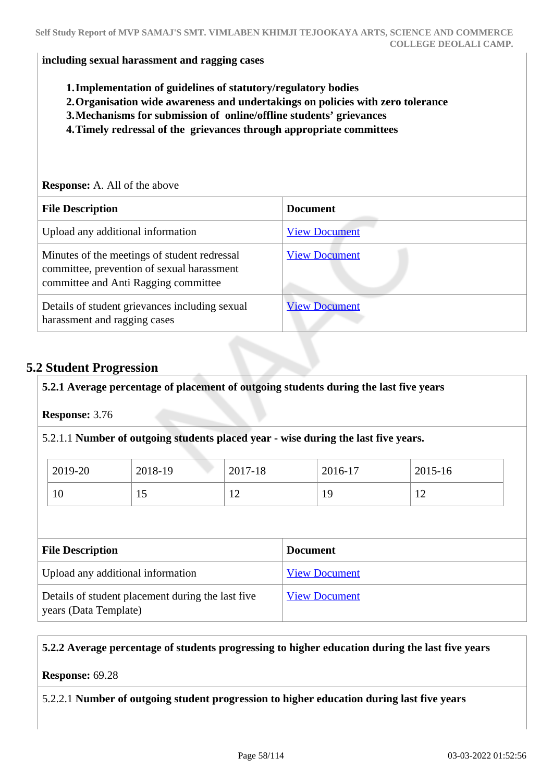#### **including sexual harassment and ragging cases**

- **1.Implementation of guidelines of statutory/regulatory bodies**
- **2.Organisation wide awareness and undertakings on policies with zero tolerance**
- **3.Mechanisms for submission of online/offline students' grievances**
- **4.Timely redressal of the grievances through appropriate committees**

# **Response:** A. All of the above **File Description Document** Upload any additional information [View Document](https://assessmentonline.naac.gov.in/storage/app/hei/SSR/102746/5.1.5_1627471985_6619.pdf) Minutes of the meetings of student redressal committee, prevention of sexual harassment committee and Anti Ragging committee [View Document](https://assessmentonline.naac.gov.in/storage/app/hei/SSR/102746/5.1.5_1627471554_6619.pdf) Details of student grievances including sexual harassment and ragging cases [View Document](https://assessmentonline.naac.gov.in/storage/app/hei/SSR/102746/5.1.5_1627471407_6619.pdf)

### **5.2 Student Progression**

### **5.2.1 Average percentage of placement of outgoing students during the last five years**

**Response:** 3.76

5.2.1.1 **Number of outgoing students placed year - wise during the last five years.**

| 2019-20 | 2018-19 | 2017-18                  | 2016-17 | 2015-16        |
|---------|---------|--------------------------|---------|----------------|
| 10      |         | $\sim$<br>$\overline{1}$ | 19      | $\overline{1}$ |

| <b>File Description</b>                                                    | <b>Document</b>      |
|----------------------------------------------------------------------------|----------------------|
| Upload any additional information                                          | <b>View Document</b> |
| Details of student placement during the last five<br>years (Data Template) | <b>View Document</b> |

### **5.2.2 Average percentage of students progressing to higher education during the last five years**

#### **Response:** 69.28

5.2.2.1 **Number of outgoing student progression to higher education during last five years**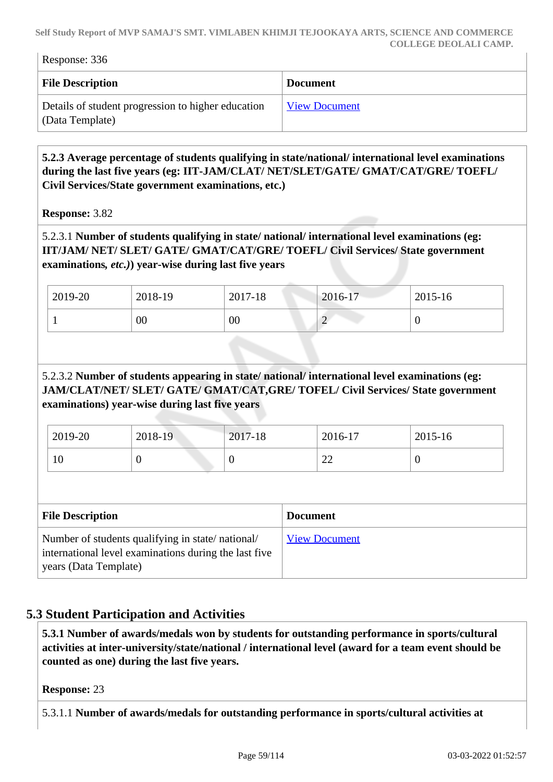| KUSPUHSU. JJU                                                         |                      |  |  |
|-----------------------------------------------------------------------|----------------------|--|--|
| <b>File Description</b>                                               | <b>Document</b>      |  |  |
| Details of student progression to higher education<br>(Data Template) | <b>View Document</b> |  |  |

### **5.2.3 Average percentage of students qualifying in state/national/ international level examinations during the last five years (eg: IIT-JAM/CLAT/ NET/SLET/GATE/ GMAT/CAT/GRE/ TOEFL/ Civil Services/State government examinations, etc.)**

**Response:** 3.82

 $R$ esponse: 336

5.2.3.1 **Number of students qualifying in state/ national/ international level examinations (eg: IIT/JAM/ NET/ SLET/ GATE/ GMAT/CAT/GRE/ TOEFL/ Civil Services/ State government examinations***, etc.)***) year-wise during last five years**

| 2019-20 | 2018-19 | 2017-18 | $2016-17$ | 2015-16 |
|---------|---------|---------|-----------|---------|
|         | 00      | 00      |           |         |

## 5.2.3.2 **Number of students appearing in state/ national/ international level examinations (eg: JAM/CLAT/NET/ SLET/ GATE/ GMAT/CAT,GRE/ TOFEL/ Civil Services/ State government examinations) year-wise during last five years**

| 2019-20                 | 2018-19  | 2017-18  | 2016-17         | 2015-16  |  |
|-------------------------|----------|----------|-----------------|----------|--|
| 10                      | $\theta$ | $\theta$ | 22              | $\theta$ |  |
|                         |          |          |                 |          |  |
|                         |          |          |                 |          |  |
| <b>File Description</b> |          |          | <b>Document</b> |          |  |

# **5.3 Student Participation and Activities**

 **5.3.1 Number of awards/medals won by students for outstanding performance in sports/cultural activities at inter-university/state/national / international level (award for a team event should be counted as one) during the last five years.**

**Response:** 23

years (Data Template)

5.3.1.1 **Number of awards/medals for outstanding performance in sports/cultural activities at**

 $\overline{\phantom{a}}$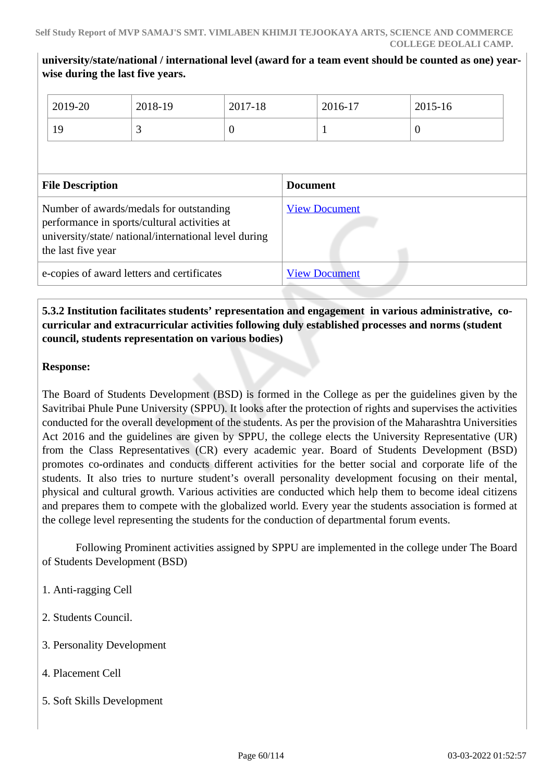|                                                                                                                                                                        | wise during the last five years. |         |                      |                      |         | university/state/national / international level (award for a team event should be counted as one) year- |  |
|------------------------------------------------------------------------------------------------------------------------------------------------------------------------|----------------------------------|---------|----------------------|----------------------|---------|---------------------------------------------------------------------------------------------------------|--|
|                                                                                                                                                                        | 2019-20                          | 2018-19 | 2017-18              |                      | 2016-17 | 2015-16                                                                                                 |  |
|                                                                                                                                                                        | 19                               | 3       | $\overline{0}$       |                      |         | $\theta$                                                                                                |  |
|                                                                                                                                                                        | <b>File Description</b>          |         |                      | <b>Document</b>      |         |                                                                                                         |  |
| Number of awards/medals for outstanding<br>performance in sports/cultural activities at<br>university/state/ national/international level during<br>the last five year |                                  |         | <b>View Document</b> |                      |         |                                                                                                         |  |
| e-copies of award letters and certificates                                                                                                                             |                                  |         |                      | <b>View Document</b> |         |                                                                                                         |  |

### **5.3.2 Institution facilitates students' representation and engagement in various administrative, cocurricular and extracurricular activities following duly established processes and norms (student council, students representation on various bodies)**

### **Response:**

The Board of Students Development (BSD) is formed in the College as per the guidelines given by the Savitribai Phule Pune University (SPPU). It looks after the protection of rights and supervises the activities conducted for the overall development of the students. As per the provision of the Maharashtra Universities Act 2016 and the guidelines are given by SPPU, the college elects the University Representative (UR) from the Class Representatives (CR) every academic year. Board of Students Development (BSD) promotes co-ordinates and conducts different activities for the better social and corporate life of the students. It also tries to nurture student's overall personality development focusing on their mental, physical and cultural growth. Various activities are conducted which help them to become ideal citizens and prepares them to compete with the globalized world. Every year the students association is formed at the college level representing the students for the conduction of departmental forum events.

 Following Prominent activities assigned by SPPU are implemented in the college under The Board of Students Development (BSD)

- 1. Anti-ragging Cell
- 2. Students Council.
- 3. Personality Development
- 4. Placement Cell
- 5. Soft Skills Development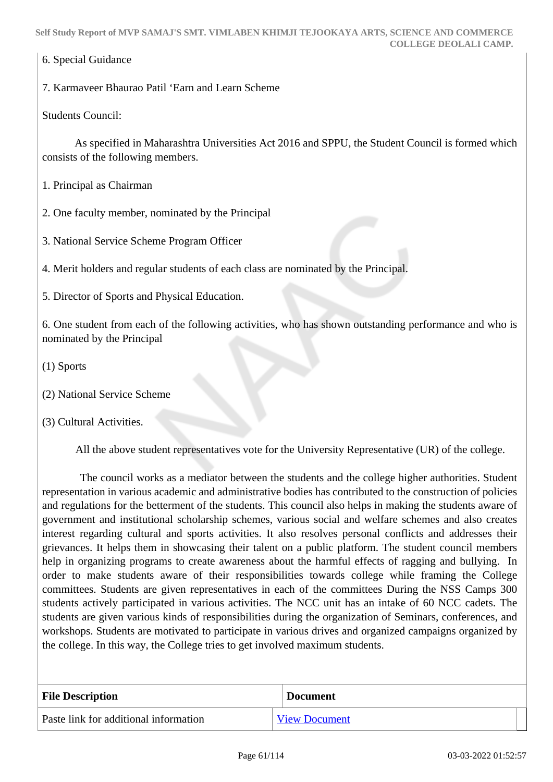### 6. Special Guidance

7. Karmaveer Bhaurao Patil 'Earn and Learn Scheme

Students Council:

 As specified in Maharashtra Universities Act 2016 and SPPU, the Student Council is formed which consists of the following members.

- 1. Principal as Chairman
- 2. One faculty member, nominated by the Principal
- 3. National Service Scheme Program Officer
- 4. Merit holders and regular students of each class are nominated by the Principal.
- 5. Director of Sports and Physical Education.

6. One student from each of the following activities, who has shown outstanding performance and who is nominated by the Principal

- (1) Sports
- (2) National Service Scheme
- (3) Cultural Activities.

All the above student representatives vote for the University Representative (UR) of the college.

 The council works as a mediator between the students and the college higher authorities. Student representation in various academic and administrative bodies has contributed to the construction of policies and regulations for the betterment of the students. This council also helps in making the students aware of government and institutional scholarship schemes, various social and welfare schemes and also creates interest regarding cultural and sports activities. It also resolves personal conflicts and addresses their grievances. It helps them in showcasing their talent on a public platform. The student council members help in organizing programs to create awareness about the harmful effects of ragging and bullying. In order to make students aware of their responsibilities towards college while framing the College committees. Students are given representatives in each of the committees During the NSS Camps 300 students actively participated in various activities. The NCC unit has an intake of 60 NCC cadets. The students are given various kinds of responsibilities during the organization of Seminars, conferences, and workshops. Students are motivated to participate in various drives and organized campaigns organized by the college. In this way, the College tries to get involved maximum students.

| <b>File Description</b>               | <b>Document</b>      |
|---------------------------------------|----------------------|
| Paste link for additional information | <b>View Document</b> |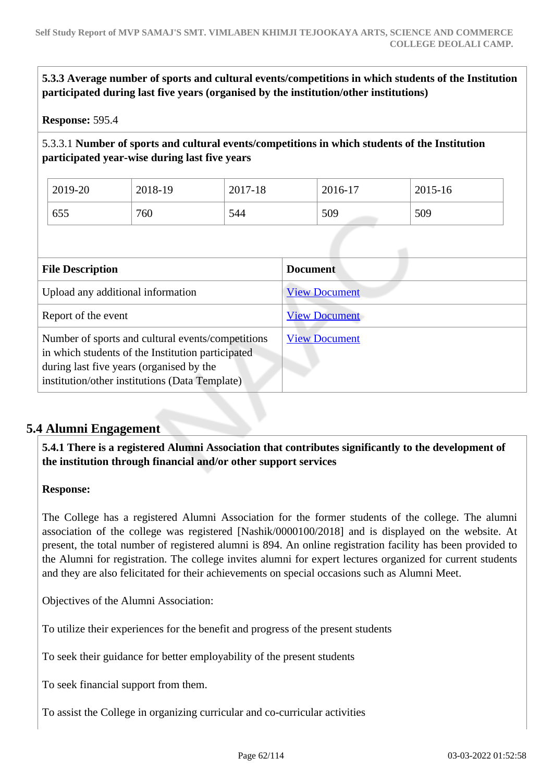### **5.3.3 Average number of sports and cultural events/competitions in which students of the Institution participated during last five years (organised by the institution/other institutions)**

**Response:** 595.4

5.3.3.1 **Number of sports and cultural events/competitions in which students of the Institution participated year-wise during last five years**

| 2019-20 | 2018-19 | 2017-18 | 2016-17 | 2015-16 |
|---------|---------|---------|---------|---------|
| 655     | 760     | 544     | 509     | 509     |

| <b>File Description</b>                                                                                                                                                                              | <b>Document</b>      |
|------------------------------------------------------------------------------------------------------------------------------------------------------------------------------------------------------|----------------------|
| Upload any additional information                                                                                                                                                                    | <b>View Document</b> |
| Report of the event                                                                                                                                                                                  | <b>View Document</b> |
| Number of sports and cultural events/competitions<br>in which students of the Institution participated<br>during last five years (organised by the<br>institution/other institutions (Data Template) | <b>View Document</b> |

# **5.4 Alumni Engagement**

 **5.4.1 There is a registered Alumni Association that contributes significantly to the development of the institution through financial and/or other support services**

### **Response:**

The College has a registered Alumni Association for the former students of the college. The alumni association of the college was registered [Nashik/0000100/2018] and is displayed on the website. At present, the total number of registered alumni is 894. An online registration facility has been provided to the Alumni for registration. The college invites alumni for expert lectures organized for current students and they are also felicitated for their achievements on special occasions such as Alumni Meet.

Objectives of the Alumni Association:

To utilize their experiences for the benefit and progress of the present students

To seek their guidance for better employability of the present students

To seek financial support from them.

To assist the College in organizing curricular and co-curricular activities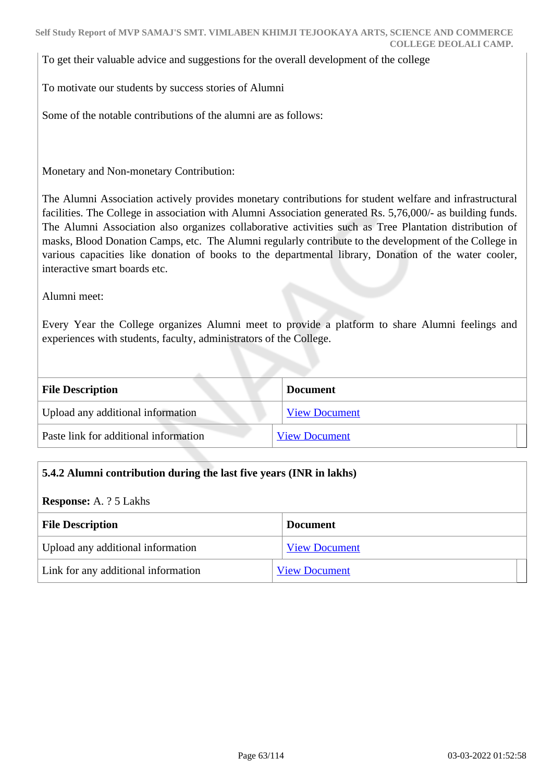To get their valuable advice and suggestions for the overall development of the college

To motivate our students by success stories of Alumni

Some of the notable contributions of the alumni are as follows:

Monetary and Non-monetary Contribution:

The Alumni Association actively provides monetary contributions for student welfare and infrastructural facilities. The College in association with Alumni Association generated Rs. 5,76,000/- as building funds. The Alumni Association also organizes collaborative activities such as Tree Plantation distribution of masks, Blood Donation Camps, etc. The Alumni regularly contribute to the development of the College in various capacities like donation of books to the departmental library, Donation of the water cooler, interactive smart boards etc.

#### Alumni meet:

Every Year the College organizes Alumni meet to provide a platform to share Alumni feelings and experiences with students, faculty, administrators of the College.

| <b>File Description</b>               | <b>Document</b>      |
|---------------------------------------|----------------------|
| Upload any additional information     | <b>View Document</b> |
| Paste link for additional information | <b>View Document</b> |

### **5.4.2 Alumni contribution during the last five years (INR in lakhs)**

#### **Response:** A. ? 5 Lakhs

| <b>File Description</b>             | <b>Document</b>      |
|-------------------------------------|----------------------|
| Upload any additional information   | <b>View Document</b> |
| Link for any additional information | <b>View Document</b> |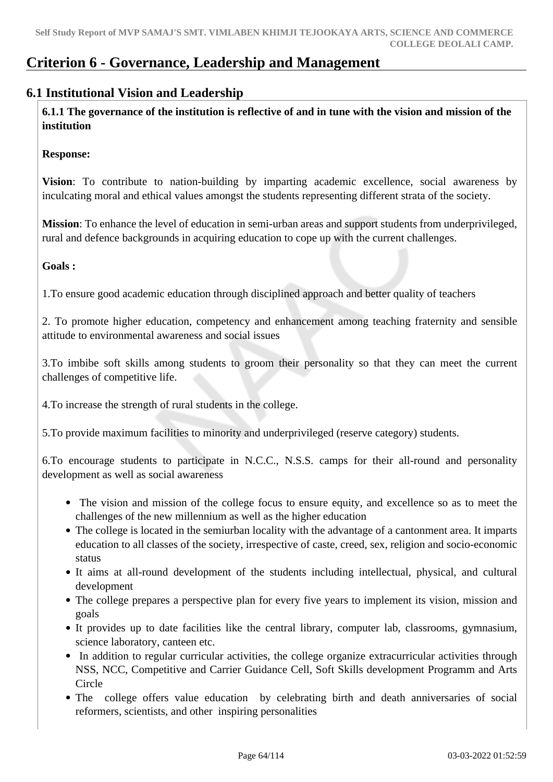# **Criterion 6 - Governance, Leadership and Management**

# **6.1 Institutional Vision and Leadership**

 **6.1.1 The governance of the institution is reflective of and in tune with the vision and mission of the institution**

### **Response:**

**Vision**: To contribute to nation-building by imparting academic excellence, social awareness by inculcating moral and ethical values amongst the students representing different strata of the society.

**Mission**: To enhance the level of education in semi-urban areas and support students from underprivileged, rural and defence backgrounds in acquiring education to cope up with the current challenges.

### **Goals :**

1.To ensure good academic education through disciplined approach and better quality of teachers

2. To promote higher education, competency and enhancement among teaching fraternity and sensible attitude to environmental awareness and social issues

3.To imbibe soft skills among students to groom their personality so that they can meet the current challenges of competitive life.

4.To increase the strength of rural students in the college.

5.To provide maximum facilities to minority and underprivileged (reserve category) students.

6.To encourage students to participate in N.C.C., N.S.S. camps for their all-round and personality development as well as social awareness

- The vision and mission of the college focus to ensure equity, and excellence so as to meet the challenges of the new millennium as well as the higher education
- The college is located in the semiurban locality with the advantage of a cantonment area. It imparts education to all classes of the society, irrespective of caste, creed, sex, religion and socio-economic status
- It aims at all-round development of the students including intellectual, physical, and cultural development
- The college prepares a perspective plan for every five years to implement its vision, mission and goals
- It provides up to date facilities like the central library, computer lab, classrooms, gymnasium, science laboratory, canteen etc.
- In addition to regular curricular activities, the college organize extracurricular activities through NSS, NCC, Competitive and Carrier Guidance Cell, Soft Skills development Programm and Arts Circle
- The college offers value education by celebrating birth and death anniversaries of social reformers, scientists, and other inspiring personalities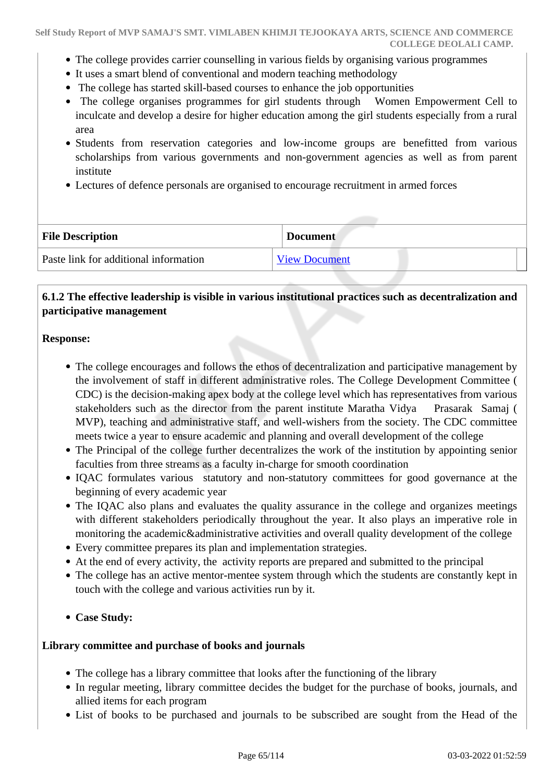- The college provides carrier counselling in various fields by organising various programmes
- It uses a smart blend of conventional and modern teaching methodology
- The college has started skill-based courses to enhance the job opportunities
- The college organises programmes for girl students through Women Empowerment Cell to inculcate and develop a desire for higher education among the girl students especially from a rural area
- Students from reservation categories and low-income groups are benefitted from various scholarships from various governments and non-government agencies as well as from parent institute
- Lectures of defence personals are organised to encourage recruitment in armed forces

| <b>File Description</b>               | <b>Document</b> |
|---------------------------------------|-----------------|
| Paste link for additional information | View Document   |

### **6.1.2 The effective leadership is visible in various institutional practices such as decentralization and participative management**

#### **Response:**

- The college encourages and follows the ethos of decentralization and participative management by the involvement of staff in different administrative roles. The College Development Committee ( CDC) is the decision-making apex body at the college level which has representatives from various stakeholders such as the director from the parent institute Maratha Vidya Prasarak Samaj ( MVP), teaching and administrative staff, and well-wishers from the society. The CDC committee meets twice a year to ensure academic and planning and overall development of the college
- The Principal of the college further decentralizes the work of the institution by appointing senior faculties from three streams as a faculty in-charge for smooth coordination
- IQAC formulates various statutory and non-statutory committees for good governance at the beginning of every academic year
- The IQAC also plans and evaluates the quality assurance in the college and organizes meetings with different stakeholders periodically throughout the year. It also plays an imperative role in monitoring the academic&administrative activities and overall quality development of the college
- Every committee prepares its plan and implementation strategies.
- At the end of every activity, the activity reports are prepared and submitted to the principal
- The college has an active mentor-mentee system through which the students are constantly kept in touch with the college and various activities run by it.
- **Case Study:**

#### **Library committee and purchase of books and journals**

- The college has a library committee that looks after the functioning of the library
- In regular meeting, library committee decides the budget for the purchase of books, journals, and allied items for each program
- List of books to be purchased and journals to be subscribed are sought from the Head of the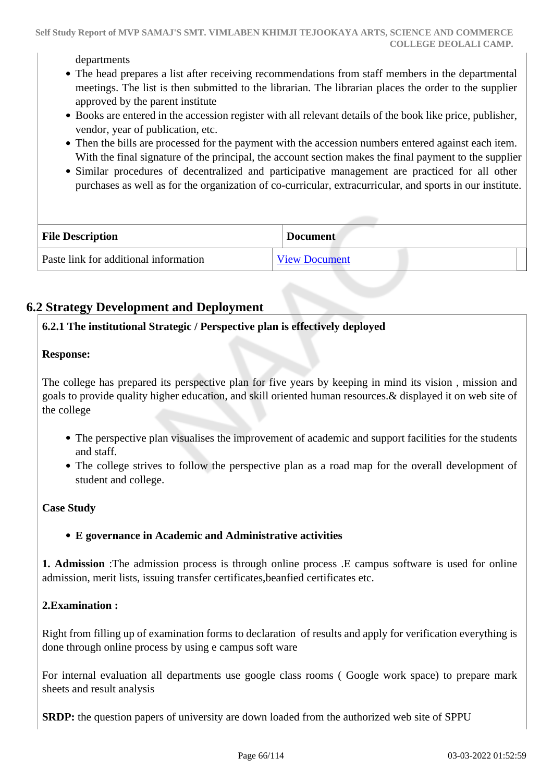departments

- The head prepares a list after receiving recommendations from staff members in the departmental meetings. The list is then submitted to the librarian. The librarian places the order to the supplier approved by the parent institute
- Books are entered in the accession register with all relevant details of the book like price, publisher, vendor, year of publication, etc.
- Then the bills are processed for the payment with the accession numbers entered against each item. With the final signature of the principal, the account section makes the final payment to the supplier
- Similar procedures of decentralized and participative management are practiced for all other purchases as well as for the organization of co-curricular, extracurricular, and sports in our institute.

| <b>File Description</b>               | <b>Document</b>      |
|---------------------------------------|----------------------|
| Paste link for additional information | <b>View Document</b> |

# **6.2 Strategy Development and Deployment**

### **6.2.1 The institutional Strategic / Perspective plan is effectively deployed**

#### **Response:**

The college has prepared its perspective plan for five years by keeping in mind its vision , mission and goals to provide quality higher education, and skill oriented human resources.& displayed it on web site of the college

- The perspective plan visualises the improvement of academic and support facilities for the students and staff.
- The college strives to follow the perspective plan as a road map for the overall development of student and college.

#### **Case Study**

### **E governance in Academic and Administrative activities**

**1. Admission** :The admission process is through online process .E campus software is used for online admission, merit lists, issuing transfer certificates,beanfied certificates etc.

### **2.Examination :**

Right from filling up of examination forms to declaration of results and apply for verification everything is done through online process by using e campus soft ware

For internal evaluation all departments use google class rooms ( Google work space) to prepare mark sheets and result analysis

**SRDP:** the question papers of university are down loaded from the authorized web site of SPPU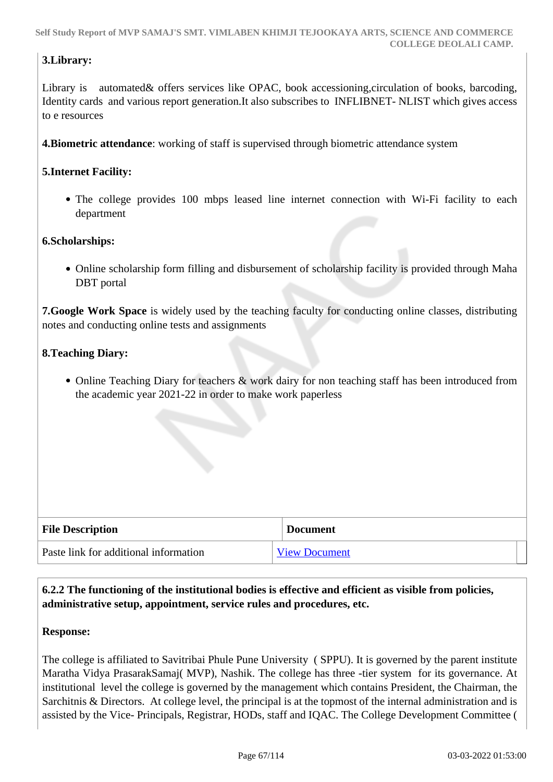### **3.Library:**

Library is automated & offers services like OPAC, book accessioning, circulation of books, barcoding, Identity cards and various report generation.It also subscribes to INFLIBNET- NLIST which gives access to e resources

**4.Biometric attendance**: working of staff is supervised through biometric attendance system

### **5.Internet Facility:**

The college provides 100 mbps leased line internet connection with Wi-Fi facility to each department

#### **6.Scholarships:**

Online scholarship form filling and disbursement of scholarship facility is provided through Maha DBT portal

**7.Google Work Space** is widely used by the teaching faculty for conducting online classes, distributing notes and conducting online tests and assignments

### **8.Teaching Diary:**

• Online Teaching Diary for teachers & work dairy for non teaching staff has been introduced from the academic year 2021-22 in order to make work paperless

| <b>File Description</b>               | <b>Document</b>      |  |
|---------------------------------------|----------------------|--|
| Paste link for additional information | <b>View Document</b> |  |

### **6.2.2 The functioning of the institutional bodies is effective and efficient as visible from policies, administrative setup, appointment, service rules and procedures, etc.**

#### **Response:**

The college is affiliated to Savitribai Phule Pune University ( SPPU). It is governed by the parent institute Maratha Vidya PrasarakSamaj( MVP), Nashik. The college has three -tier system for its governance. At institutional level the college is governed by the management which contains President, the Chairman, the Sarchitnis & Directors. At college level, the principal is at the topmost of the internal administration and is assisted by the Vice- Principals, Registrar, HODs, staff and IQAC. The College Development Committee (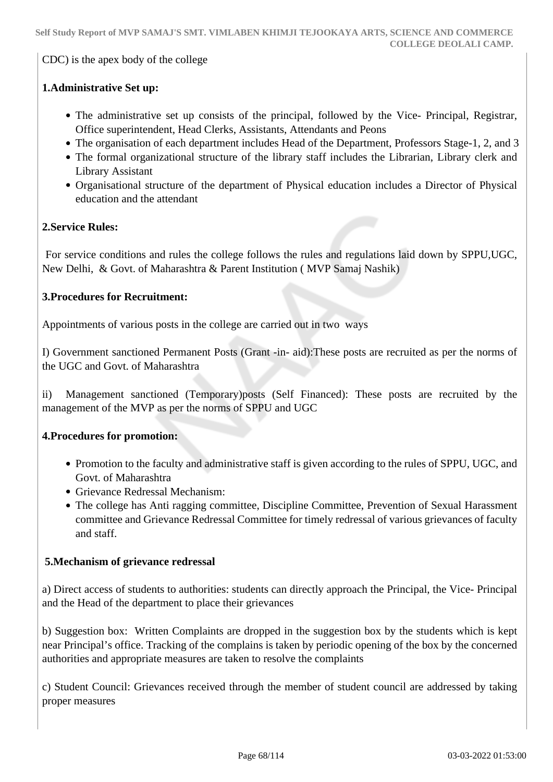CDC) is the apex body of the college

### **1.Administrative Set up:**

- The administrative set up consists of the principal, followed by the Vice- Principal, Registrar, Office superintendent, Head Clerks, Assistants, Attendants and Peons
- The organisation of each department includes Head of the Department, Professors Stage-1, 2, and 3
- The formal organizational structure of the library staff includes the Librarian, Library clerk and Library Assistant
- Organisational structure of the department of Physical education includes a Director of Physical education and the attendant

### **2.Service Rules:**

 For service conditions and rules the college follows the rules and regulations laid down by SPPU,UGC, New Delhi, & Govt. of Maharashtra & Parent Institution ( MVP Samaj Nashik)

#### **3.Procedures for Recruitment:**

Appointments of various posts in the college are carried out in two ways

I) Government sanctioned Permanent Posts (Grant -in- aid):These posts are recruited as per the norms of the UGC and Govt. of Maharashtra

ii) Management sanctioned (Temporary)posts (Self Financed): These posts are recruited by the management of the MVP as per the norms of SPPU and UGC

### **4.Procedures for promotion:**

- Promotion to the faculty and administrative staff is given according to the rules of SPPU, UGC, and Govt. of Maharashtra
- Grievance Redressal Mechanism:
- The college has Anti ragging committee, Discipline Committee, Prevention of Sexual Harassment committee and Grievance Redressal Committee for timely redressal of various grievances of faculty and staff.

#### **5.Mechanism of grievance redressal**

a) Direct access of students to authorities: students can directly approach the Principal, the Vice- Principal and the Head of the department to place their grievances

b) Suggestion box: Written Complaints are dropped in the suggestion box by the students which is kept near Principal's office. Tracking of the complains is taken by periodic opening of the box by the concerned authorities and appropriate measures are taken to resolve the complaints

c) Student Council: Grievances received through the member of student council are addressed by taking proper measures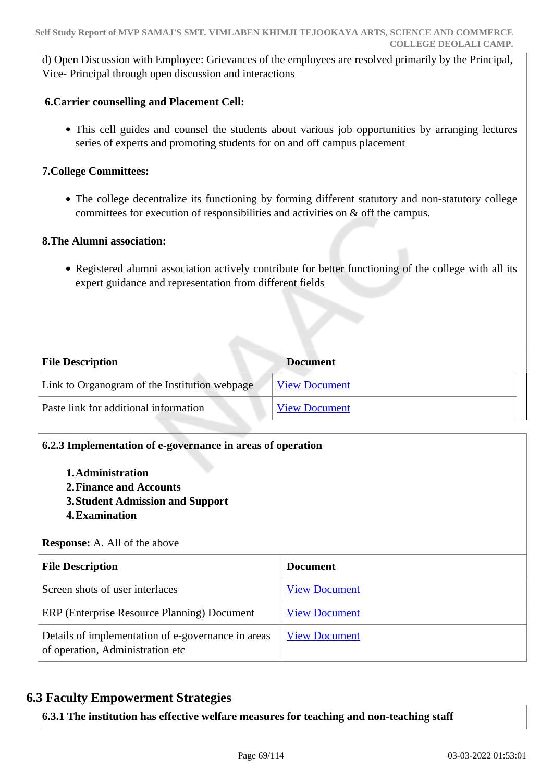d) Open Discussion with Employee: Grievances of the employees are resolved primarily by the Principal, Vice- Principal through open discussion and interactions

### **6.Carrier counselling and Placement Cell:**

This cell guides and counsel the students about various job opportunities by arranging lectures series of experts and promoting students for on and off campus placement

### **7.College Committees:**

The college decentralize its functioning by forming different statutory and non-statutory college committees for execution of responsibilities and activities on & off the campus.

### **8.The Alumni association:**

• Registered alumni association actively contribute for better functioning of the college with all its expert guidance and representation from different fields

| <b>File Description</b>                       | <b>Document</b>      |
|-----------------------------------------------|----------------------|
| Link to Organogram of the Institution webpage | <b>View Document</b> |
| Paste link for additional information         | <b>View Document</b> |

### **6.2.3 Implementation of e-governance in areas of operation**

- **1.Administration**
- **2.Finance and Accounts**
- **3.Student Admission and Support**
- **4.Examination**

### **Response:** A. All of the above

| <b>File Description</b>                                                                | <b>Document</b>      |
|----------------------------------------------------------------------------------------|----------------------|
| Screen shots of user interfaces                                                        | <b>View Document</b> |
| ERP (Enterprise Resource Planning) Document                                            | <b>View Document</b> |
| Details of implementation of e-governance in areas<br>of operation, Administration etc | <b>View Document</b> |

# **6.3 Faculty Empowerment Strategies**

**6.3.1 The institution has effective welfare measures for teaching and non-teaching staff**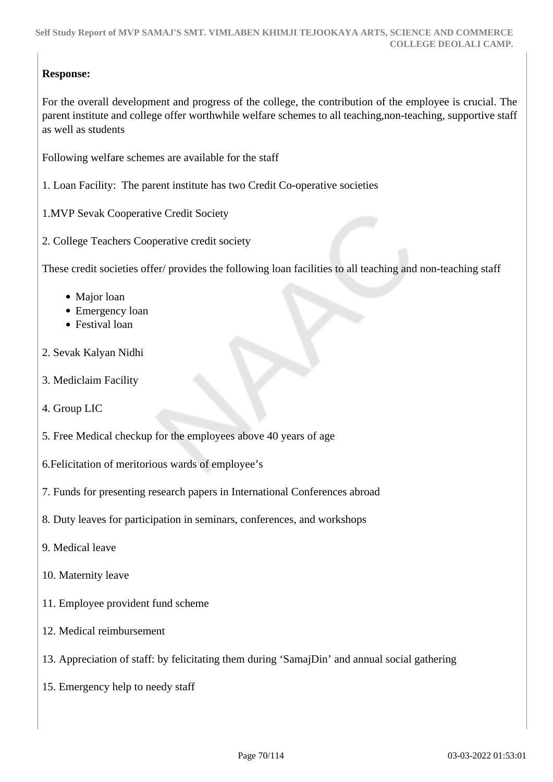# **Response:**

For the overall development and progress of the college, the contribution of the employee is crucial. The parent institute and college offer worthwhile welfare schemes to all teaching,non-teaching, supportive staff as well as students

Following welfare schemes are available for the staff

- 1. Loan Facility: The parent institute has two Credit Co-operative societies
- 1.MVP Sevak Cooperative Credit Society
- 2. College Teachers Cooperative credit society

These credit societies offer/ provides the following loan facilities to all teaching and non-teaching staff

- Major loan
- Emergency loan
- Festival loan
- 2. Sevak Kalyan Nidhi
- 3. Mediclaim Facility
- 4. Group LIC
- 5. Free Medical checkup for the employees above 40 years of age
- 6.Felicitation of meritorious wards of employee's
- 7. Funds for presenting research papers in International Conferences abroad
- 8. Duty leaves for participation in seminars, conferences, and workshops
- 9. Medical leave
- 10. Maternity leave
- 11. Employee provident fund scheme
- 12. Medical reimbursement
- 13. Appreciation of staff: by felicitating them during 'SamajDin' and annual social gathering
- 15. Emergency help to needy staff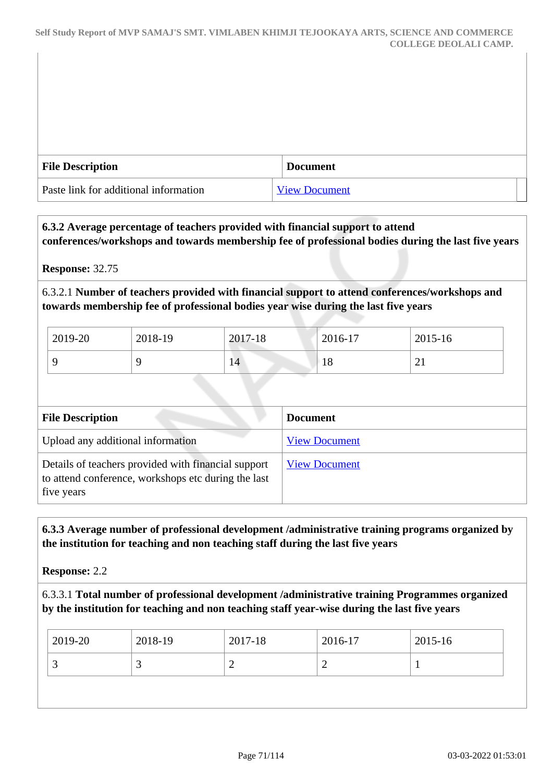| <b>File Description</b>               | Document             |
|---------------------------------------|----------------------|
| Paste link for additional information | <b>View Document</b> |

### **6.3.2 Average percentage of teachers provided with financial support to attend conferences/workshops and towards membership fee of professional bodies during the last five years**

**Response:** 32.75

6.3.2.1 **Number of teachers provided with financial support to attend conferences/workshops and towards membership fee of professional bodies year wise during the last five years**

| 2019-20 | 2018-19 | 2017-18 | 2016-17 | 2015-16       |
|---------|---------|---------|---------|---------------|
|         |         | 14      | 18      | ⌒<br>$\sim$ 1 |

| <b>File Description</b>                                                                                                  | <b>Document</b>      |
|--------------------------------------------------------------------------------------------------------------------------|----------------------|
| Upload any additional information                                                                                        | <b>View Document</b> |
| Details of teachers provided with financial support<br>to attend conference, workshops etc during the last<br>five years | <b>View Document</b> |

 **6.3.3 Average number of professional development /administrative training programs organized by the institution for teaching and non teaching staff during the last five years**

**Response:** 2.2

6.3.3.1 **Total number of professional development /administrative training Programmes organized by the institution for teaching and non teaching staff year-wise during the last five years**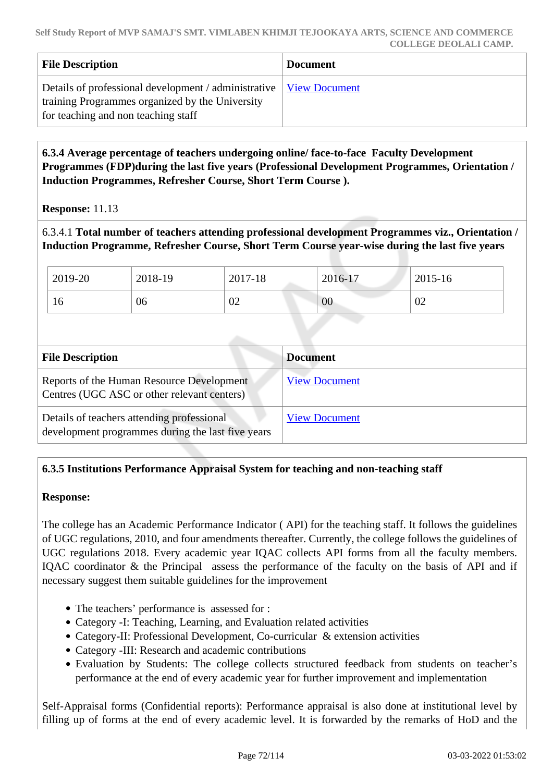| <b>File Description</b>                                                                                                                                        | <b>Document</b> |
|----------------------------------------------------------------------------------------------------------------------------------------------------------------|-----------------|
| Details of professional development / administrative   View Document<br>training Programmes organized by the University<br>for teaching and non teaching staff |                 |

### **6.3.4 Average percentage of teachers undergoing online/ face-to-face Faculty Development Programmes (FDP)during the last five years (Professional Development Programmes, Orientation / Induction Programmes, Refresher Course, Short Term Course ).**

**Response:** 11.13

6.3.4.1 **Total number of teachers attending professional development Programmes viz., Orientation / Induction Programme, Refresher Course, Short Term Course year-wise during the last five years**

| 2019-20 | 2018-19 | 2017-18 | 2016-17 | 2015-16  |
|---------|---------|---------|---------|----------|
| 10      | 06      | 02      | 00      | ∩∩<br>∪∠ |

| <b>File Description</b>                                                                         | <b>Document</b>      |
|-------------------------------------------------------------------------------------------------|----------------------|
| Reports of the Human Resource Development<br>Centres (UGC ASC or other relevant centers)        | <b>View Document</b> |
| Details of teachers attending professional<br>development programmes during the last five years | <b>View Document</b> |

# **6.3.5 Institutions Performance Appraisal System for teaching and non-teaching staff**

### **Response:**

The college has an Academic Performance Indicator ( API) for the teaching staff. It follows the guidelines of UGC regulations, 2010, and four amendments thereafter. Currently, the college follows the guidelines of UGC regulations 2018. Every academic year IQAC collects API forms from all the faculty members. IQAC coordinator & the Principal assess the performance of the faculty on the basis of API and if necessary suggest them suitable guidelines for the improvement

- The teachers' performance is assessed for :
- Category -I: Teaching, Learning, and Evaluation related activities
- Category-II: Professional Development, Co-curricular & extension activities
- Category -III: Research and academic contributions
- Evaluation by Students: The college collects structured feedback from students on teacher's performance at the end of every academic year for further improvement and implementation

Self-Appraisal forms (Confidential reports): Performance appraisal is also done at institutional level by filling up of forms at the end of every academic level. It is forwarded by the remarks of HoD and the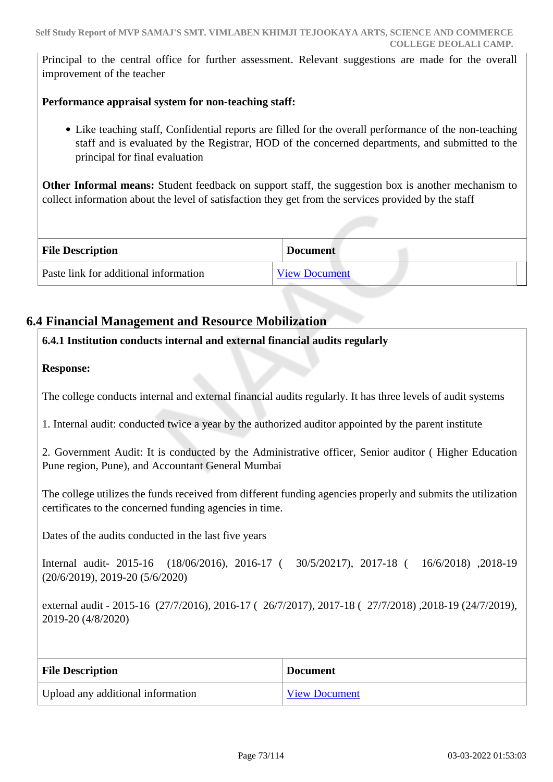Principal to the central office for further assessment. Relevant suggestions are made for the overall improvement of the teacher

#### **Performance appraisal system for non-teaching staff:**

Like teaching staff, Confidential reports are filled for the overall performance of the non-teaching staff and is evaluated by the Registrar, HOD of the concerned departments, and submitted to the principal for final evaluation

**Other Informal means:** Student feedback on support staff, the suggestion box is another mechanism to collect information about the level of satisfaction they get from the services provided by the staff

| <b>File Description</b>               | <b>Document</b>      |
|---------------------------------------|----------------------|
| Paste link for additional information | <b>View Document</b> |

# **6.4 Financial Management and Resource Mobilization**

#### **6.4.1 Institution conducts internal and external financial audits regularly**

**Response:** 

The college conducts internal and external financial audits regularly. It has three levels of audit systems

1. Internal audit: conducted twice a year by the authorized auditor appointed by the parent institute

2. Government Audit: It is conducted by the Administrative officer, Senior auditor ( Higher Education Pune region, Pune), and Accountant General Mumbai

The college utilizes the funds received from different funding agencies properly and submits the utilization certificates to the concerned funding agencies in time.

Dates of the audits conducted in the last five years

Internal audit- 2015-16 (18/06/2016), 2016-17 ( 30/5/20217), 2017-18 ( 16/6/2018) ,2018-19 (20/6/2019), 2019-20 (5/6/2020)

external audit - 2015-16 (27/7/2016), 2016-17 ( 26/7/2017), 2017-18 ( 27/7/2018) ,2018-19 (24/7/2019), 2019-20 (4/8/2020)

| <b>File Description</b>           | <b>Document</b>      |
|-----------------------------------|----------------------|
| Upload any additional information | <b>View Document</b> |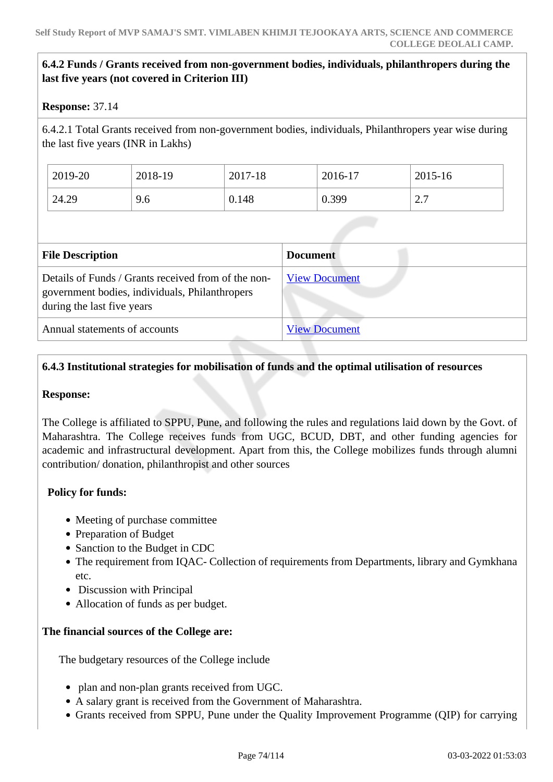### **6.4.2 Funds / Grants received from non-government bodies, individuals, philanthropers during the last five years (not covered in Criterion III)**

#### **Response:** 37.14

6.4.2.1 Total Grants received from non-government bodies, individuals, Philanthropers year wise during the last five years (INR in Lakhs)

| 2019-20 | 2018-19 | 2017-18 | 2016-17 | 2015-16                |
|---------|---------|---------|---------|------------------------|
| 24.29   | 9.6     | 0.148   | 0.399   | $\cap$ $\Box$<br>، ، ، |

| <b>File Description</b>                                                                                                             | <b>Document</b>      |  |
|-------------------------------------------------------------------------------------------------------------------------------------|----------------------|--|
| Details of Funds / Grants received from of the non-<br>government bodies, individuals, Philanthropers<br>during the last five years | <b>View Document</b> |  |
| Annual statements of accounts                                                                                                       | <b>View Document</b> |  |

#### **6.4.3 Institutional strategies for mobilisation of funds and the optimal utilisation of resources**

#### **Response:**

The College is affiliated to SPPU, Pune, and following the rules and regulations laid down by the Govt. of Maharashtra. The College receives funds from UGC, BCUD, DBT, and other funding agencies for academic and infrastructural development. Apart from this, the College mobilizes funds through alumni contribution/ donation, philanthropist and other sources

#### **Policy for funds:**

- Meeting of purchase committee
- Preparation of Budget
- Sanction to the Budget in CDC
- The requirement from IQAC- Collection of requirements from Departments, library and Gymkhana etc.
- Discussion with Principal
- Allocation of funds as per budget.

#### **The financial sources of the College are:**

The budgetary resources of the College include

- plan and non-plan grants received from UGC.
- A salary grant is received from the Government of Maharashtra.
- Grants received from SPPU, Pune under the Quality Improvement Programme (QIP) for carrying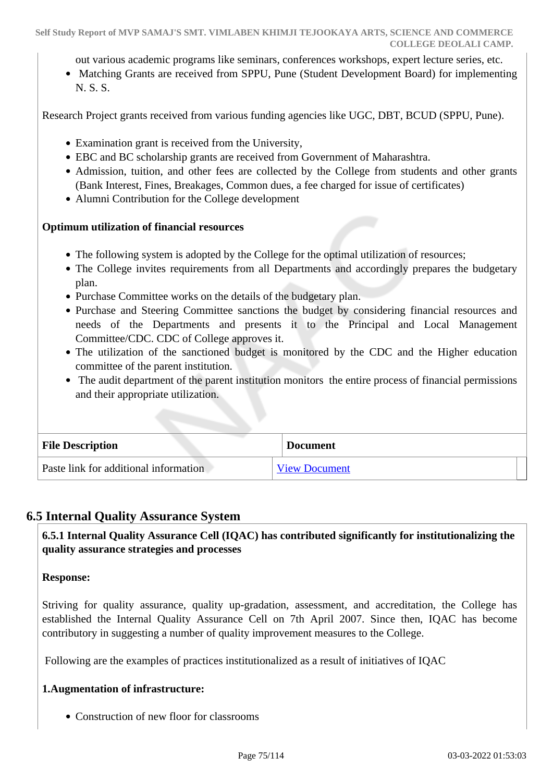out various academic programs like seminars, conferences workshops, expert lecture series, etc.

• Matching Grants are received from SPPU, Pune (Student Development Board) for implementing N. S. S.

Research Project grants received from various funding agencies like UGC, DBT, BCUD (SPPU, Pune).

- Examination grant is received from the University,
- EBC and BC scholarship grants are received from Government of Maharashtra.
- Admission, tuition, and other fees are collected by the College from students and other grants (Bank Interest, Fines, Breakages, Common dues, a fee charged for issue of certificates)
- Alumni Contribution for the College development

#### **Optimum utilization of financial resources**

- The following system is adopted by the College for the optimal utilization of resources;
- The College invites requirements from all Departments and accordingly prepares the budgetary plan.
- Purchase Committee works on the details of the budgetary plan.
- Purchase and Steering Committee sanctions the budget by considering financial resources and needs of the Departments and presents it to the Principal and Local Management Committee/CDC. CDC of College approves it.
- The utilization of the sanctioned budget is monitored by the CDC and the Higher education committee of the parent institution.
- The audit department of the parent institution monitors the entire process of financial permissions and their appropriate utilization.

| <b>File Description</b>               | <b>Document</b>      |
|---------------------------------------|----------------------|
| Paste link for additional information | <b>View Document</b> |

# **6.5 Internal Quality Assurance System**

 **6.5.1 Internal Quality Assurance Cell (IQAC) has contributed significantly for institutionalizing the quality assurance strategies and processes**

#### **Response:**

Striving for quality assurance, quality up-gradation, assessment, and accreditation, the College has established the Internal Quality Assurance Cell on 7th April 2007. Since then, IQAC has become contributory in suggesting a number of quality improvement measures to the College.

Following are the examples of practices institutionalized as a result of initiatives of IQAC

#### **1.Augmentation of infrastructure:**

Construction of new floor for classrooms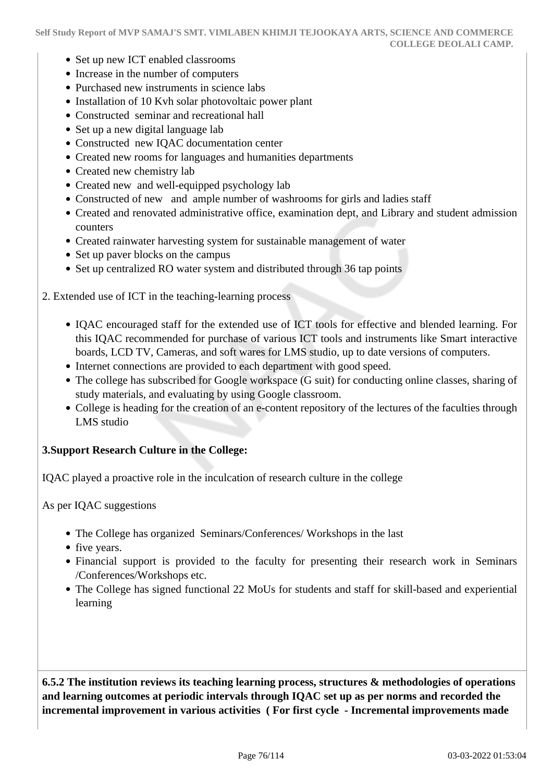- Set up new ICT enabled classrooms
- Increase in the number of computers
- Purchased new instruments in science labs
- Installation of 10 Kvh solar photovoltaic power plant
- Constructed seminar and recreational hall
- Set up a new digital language lab
- Constructed new IQAC documentation center
- Created new rooms for languages and humanities departments
- Created new chemistry lab
- Created new and well-equipped psychology lab
- Constructed of new and ample number of washrooms for girls and ladies staff
- Created and renovated administrative office, examination dept, and Library and student admission counters
- Created rainwater harvesting system for sustainable management of water
- Set up paver blocks on the campus
- Set up centralized RO water system and distributed through 36 tap points
- 2. Extended use of ICT in the teaching-learning process
	- IQAC encouraged staff for the extended use of ICT tools for effective and blended learning. For this IQAC recommended for purchase of various ICT tools and instruments like Smart interactive boards, LCD TV, Cameras, and soft wares for LMS studio, up to date versions of computers.
	- Internet connections are provided to each department with good speed.
	- The college has subscribed for Google workspace (G suit) for conducting online classes, sharing of study materials, and evaluating by using Google classroom.
	- College is heading for the creation of an e-content repository of the lectures of the faculties through LMS studio

#### **3.Support Research Culture in the College:**

IQAC played a proactive role in the inculcation of research culture in the college

As per IQAC suggestions

- The College has organized Seminars/Conferences/ Workshops in the last
- five years.
- Financial support is provided to the faculty for presenting their research work in Seminars /Conferences/Workshops etc.
- The College has signed functional 22 MoUs for students and staff for skill-based and experiential learning

 **6.5.2 The institution reviews its teaching learning process, structures & methodologies of operations and learning outcomes at periodic intervals through IQAC set up as per norms and recorded the incremental improvement in various activities ( For first cycle - Incremental improvements made**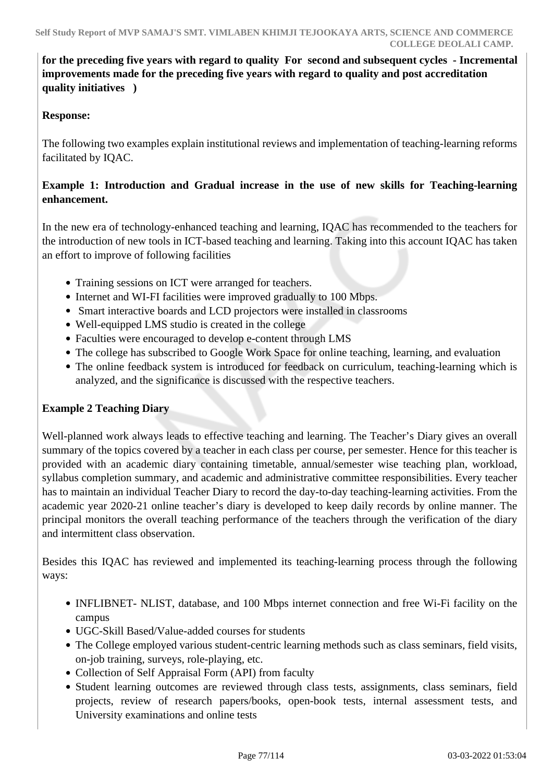**for the preceding five years with regard to quality For second and subsequent cycles - Incremental improvements made for the preceding five years with regard to quality and post accreditation quality initiatives )** 

#### **Response:**

The following two examples explain institutional reviews and implementation of teaching-learning reforms facilitated by IQAC.

# **Example 1: Introduction and Gradual increase in the use of new skills for Teaching-learning enhancement.**

In the new era of technology-enhanced teaching and learning, IQAC has recommended to the teachers for the introduction of new tools in ICT-based teaching and learning. Taking into this account IQAC has taken an effort to improve of following facilities

- Training sessions on ICT were arranged for teachers.
- Internet and WI-FI facilities were improved gradually to 100 Mbps.
- Smart interactive boards and LCD projectors were installed in classrooms
- Well-equipped LMS studio is created in the college
- Faculties were encouraged to develop e-content through LMS
- The college has subscribed to Google Work Space for online teaching, learning, and evaluation
- The online feedback system is introduced for feedback on curriculum, teaching-learning which is analyzed, and the significance is discussed with the respective teachers.

# **Example 2 Teaching Diary**

Well-planned work always leads to effective teaching and learning. The Teacher's Diary gives an overall summary of the topics covered by a teacher in each class per course, per semester. Hence for this teacher is provided with an academic diary containing timetable, annual/semester wise teaching plan, workload, syllabus completion summary, and academic and administrative committee responsibilities. Every teacher has to maintain an individual Teacher Diary to record the day-to-day teaching-learning activities. From the academic year 2020-21 online teacher's diary is developed to keep daily records by online manner. The principal monitors the overall teaching performance of the teachers through the verification of the diary and intermittent class observation.

Besides this IQAC has reviewed and implemented its teaching-learning process through the following ways:

- INFLIBNET- NLIST, database, and 100 Mbps internet connection and free Wi-Fi facility on the campus
- UGC-Skill Based/Value-added courses for students
- The College employed various student-centric learning methods such as class seminars, field visits, on-job training, surveys, role-playing, etc.
- Collection of Self Appraisal Form (API) from faculty
- Student learning outcomes are reviewed through class tests, assignments, class seminars, field projects, review of research papers/books, open-book tests, internal assessment tests, and University examinations and online tests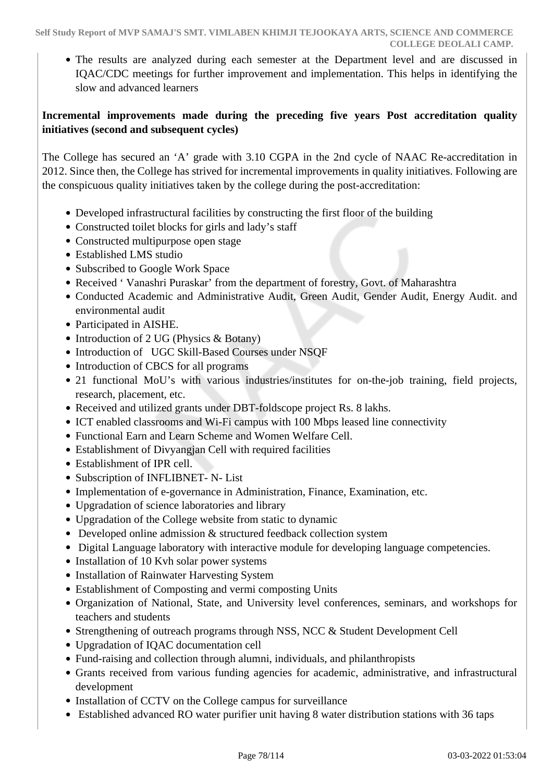The results are analyzed during each semester at the Department level and are discussed in IQAC/CDC meetings for further improvement and implementation. This helps in identifying the slow and advanced learners

# **Incremental improvements made during the preceding five years Post accreditation quality initiatives (second and subsequent cycles)**

The College has secured an 'A' grade with 3.10 CGPA in the 2nd cycle of NAAC Re-accreditation in 2012. Since then, the College has strived for incremental improvements in quality initiatives. Following are the conspicuous quality initiatives taken by the college during the post-accreditation:

- Developed infrastructural facilities by constructing the first floor of the building
- Constructed toilet blocks for girls and lady's staff
- Constructed multipurpose open stage
- Established LMS studio
- Subscribed to Google Work Space
- Received ' Vanashri Puraskar' from the department of forestry, Govt. of Maharashtra
- Conducted Academic and Administrative Audit, Green Audit, Gender Audit, Energy Audit. and environmental audit
- Participated in AISHE.
- Introduction of 2 UG (Physics & Botany)
- Introduction of UGC Skill-Based Courses under NSOF
- Introduction of CBCS for all programs
- 21 functional MoU's with various industries/institutes for on-the-job training, field projects, research, placement, etc.
- Received and utilized grants under DBT-foldscope project Rs. 8 lakhs.
- ICT enabled classrooms and Wi-Fi campus with 100 Mbps leased line connectivity
- Functional Earn and Learn Scheme and Women Welfare Cell.
- Establishment of Divyangjan Cell with required facilities
- Establishment of IPR cell.
- Subscription of INFLIBNET- N- List
- Implementation of e-governance in Administration, Finance, Examination, etc.
- Upgradation of science laboratories and library
- Upgradation of the College website from static to dynamic
- Developed online admission & structured feedback collection system
- Digital Language laboratory with interactive module for developing language competencies.
- Installation of 10 Kvh solar power systems
- Installation of Rainwater Harvesting System
- Establishment of Composting and vermi composting Units
- Organization of National, State, and University level conferences, seminars, and workshops for teachers and students
- Strengthening of outreach programs through NSS, NCC & Student Development Cell
- Upgradation of IQAC documentation cell
- Fund-raising and collection through alumni, individuals, and philanthropists
- Grants received from various funding agencies for academic, administrative, and infrastructural development
- Installation of CCTV on the College campus for surveillance
- Established advanced RO water purifier unit having 8 water distribution stations with 36 taps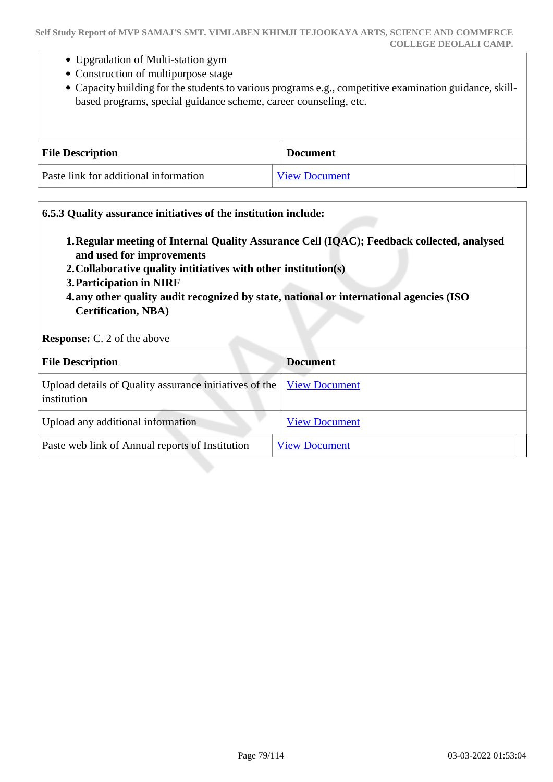- Upgradation of Multi-station gym
- Construction of multipurpose stage
- Capacity building for the students to various programs e.g., competitive examination guidance, skillbased programs, special guidance scheme, career counseling, etc.

| <b>File Description</b>               | <b>Document</b>      |
|---------------------------------------|----------------------|
| Paste link for additional information | <b>View Document</b> |

#### **6.5.3 Quality assurance initiatives of the institution include:**

- **1.Regular meeting of Internal Quality Assurance Cell (IQAC); Feedback collected, analysed and used for improvements**
- **2.Collaborative quality intitiatives with other institution(s)**
- **3.Participation in NIRF**
- **4.any other quality audit recognized by state, national or international agencies (ISO Certification, NBA)**

**Response:** C. 2 of the above

| <b>File Description</b>                                                             | <b>Document</b>      |
|-------------------------------------------------------------------------------------|----------------------|
| Upload details of Quality assurance initiatives of the View Document<br>institution |                      |
| Upload any additional information                                                   | <b>View Document</b> |
| Paste web link of Annual reports of Institution                                     | <b>View Document</b> |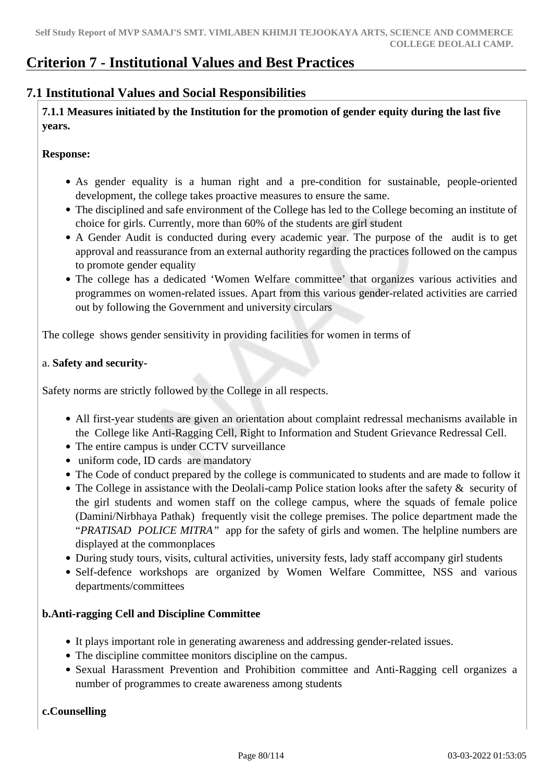# **Criterion 7 - Institutional Values and Best Practices**

# **7.1 Institutional Values and Social Responsibilities**

 **7.1.1 Measures initiated by the Institution for the promotion of gender equity during the last five years.**

#### **Response:**

- As gender equality is a human right and a pre-condition for sustainable, people-oriented development, the college takes proactive measures to ensure the same.
- The disciplined and safe environment of the College has led to the College becoming an institute of choice for girls. Currently, more than 60% of the students are girl student
- A Gender Audit is conducted during every academic year. The purpose of the audit is to get approval and reassurance from an external authority regarding the practices followed on the campus to promote gender equality
- The college has a dedicated 'Women Welfare committee' that organizes various activities and programmes on women-related issues. Apart from this various gender-related activities are carried out by following the Government and university circulars

The college shows gender sensitivity in providing facilities for women in terms of

#### a. **Safety and security-**

Safety norms are strictly followed by the College in all respects.

- All first-year students are given an orientation about complaint redressal mechanisms available in the College like Anti-Ragging Cell, Right to Information and Student Grievance Redressal Cell.
- The entire campus is under CCTV surveillance
- uniform code, ID cards are mandatory
- The Code of conduct prepared by the college is communicated to students and are made to follow it
- The College in assistance with the Deolali-camp Police station looks after the safety & security of the girl students and women staff on the college campus, where the squads of female police (Damini/Nirbhaya Pathak) frequently visit the college premises. The police department made the "*PRATISAD POLICE MITRA"* app for the safety of girls and women. The helpline numbers are displayed at the commonplaces
- During study tours, visits, cultural activities, university fests, lady staff accompany girl students
- Self-defence workshops are organized by Women Welfare Committee, NSS and various departments/committees

#### **b.Anti-ragging Cell and Discipline Committee**

- It plays important role in generating awareness and addressing gender-related issues.
- The discipline committee monitors discipline on the campus.
- Sexual Harassment Prevention and Prohibition committee and Anti-Ragging cell organizes a number of programmes to create awareness among students

#### **c.Counselling**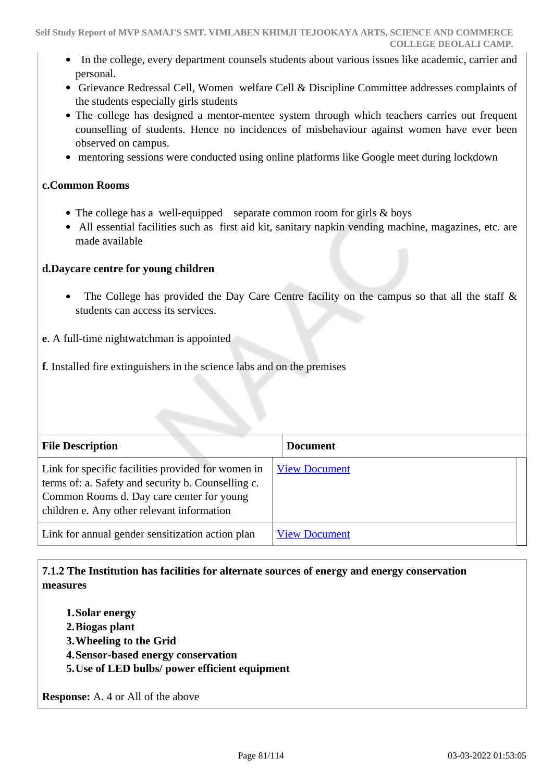- In the college, every department counsels students about various issues like academic, carrier and personal.
- Grievance Redressal Cell, Women welfare Cell & Discipline Committee addresses complaints of the students especially girls students
- The college has designed a mentor-mentee system through which teachers carries out frequent counselling of students. Hence no incidences of misbehaviour against women have ever been observed on campus.
- mentoring sessions were conducted using online platforms like Google meet during lockdown

#### **c.Common Rooms**

- The college has a well-equipped separate common room for girls & boys
- All essential facilities such as first aid kit, sanitary napkin vending machine, magazines, etc. are made available

#### **d.Daycare centre for young children**

The College has provided the Day Care Centre facility on the campus so that all the staff  $\&$  $\bullet$ students can access its services.

**e**. A full-time nightwatchman is appointed

**f**. Installed fire extinguishers in the science labs and on the premises

| <b>File Description</b>                                                                                                                                                                             | <b>Document</b>      |
|-----------------------------------------------------------------------------------------------------------------------------------------------------------------------------------------------------|----------------------|
| Link for specific facilities provided for women in<br>terms of: a. Safety and security b. Counselling c.<br>Common Rooms d. Day care center for young<br>children e. Any other relevant information | <b>View Document</b> |
| Link for annual gender sensitization action plan                                                                                                                                                    | <b>View Document</b> |

 **7.1.2 The Institution has facilities for alternate sources of energy and energy conservation measures** 

- **1.Solar energy**
- **2.Biogas plant**
- **3.Wheeling to the Grid**
- **4.Sensor-based energy conservation**
- **5.Use of LED bulbs/ power efficient equipment**

**Response:** A. 4 or All of the above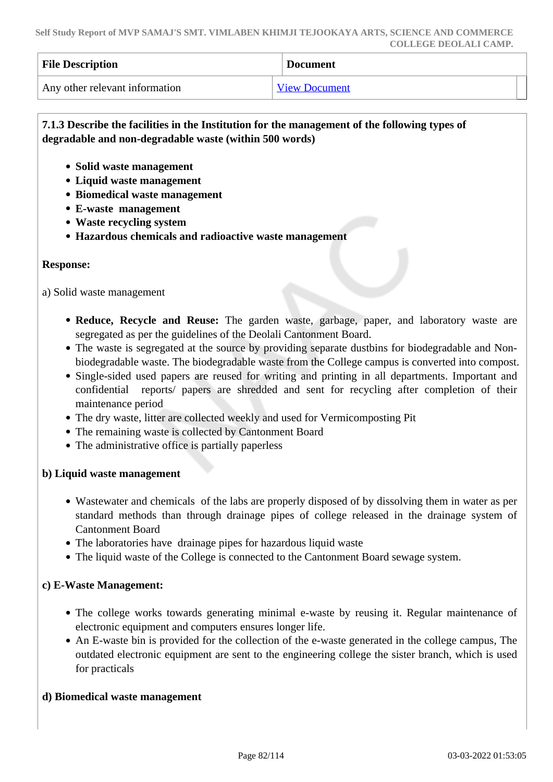| <b>File Description</b>        | <b>Document</b> |
|--------------------------------|-----------------|
| Any other relevant information | View Document   |

# **7.1.3 Describe the facilities in the Institution for the management of the following types of degradable and non-degradable waste (within 500 words)**

- **Solid waste management**
- **Liquid waste management**
- **Biomedical waste management**
- **E-waste management**
- **Waste recycling system**
- **Hazardous chemicals and radioactive waste management**

#### **Response:**

a) Solid waste management

- **Reduce, Recycle and Reuse:** The garden waste, garbage, paper, and laboratory waste are segregated as per the guidelines of the Deolali Cantonment Board.
- The waste is segregated at the source by providing separate dustbins for biodegradable and Nonbiodegradable waste. The biodegradable waste from the College campus is converted into compost.
- Single-sided used papers are reused for writing and printing in all departments. Important and confidential reports/ papers are shredded and sent for recycling after completion of their maintenance period
- The dry waste, litter are collected weekly and used for Vermicomposting Pit
- The remaining waste is collected by Cantonment Board
- The administrative office is partially paperless

#### **b) Liquid waste management**

- Wastewater and chemicals of the labs are properly disposed of by dissolving them in water as per standard methods than through drainage pipes of college released in the drainage system of Cantonment Board
- The laboratories have drainage pipes for hazardous liquid waste
- The liquid waste of the College is connected to the Cantonment Board sewage system.

#### **c) E-Waste Management:**

- The college works towards generating minimal e-waste by reusing it. Regular maintenance of electronic equipment and computers ensures longer life.
- An E-waste bin is provided for the collection of the e-waste generated in the college campus, The outdated electronic equipment are sent to the engineering college the sister branch, which is used for practicals

#### **d) Biomedical waste management**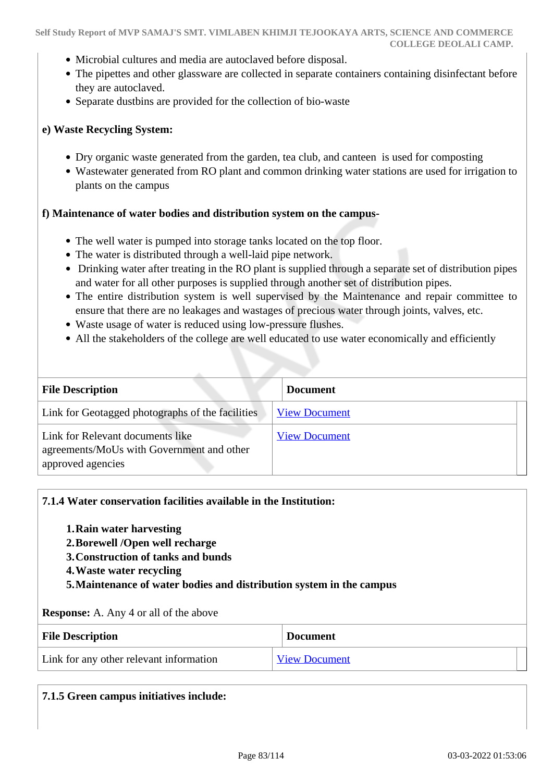- Microbial cultures and media are autoclaved before disposal.
- The pipettes and other glassware are collected in separate containers containing disinfectant before they are autoclaved.
- Separate dustbins are provided for the collection of bio-waste

#### **e) Waste Recycling System:**

- Dry organic waste generated from the garden, tea club, and canteen is used for composting
- Wastewater generated from RO plant and common drinking water stations are used for irrigation to plants on the campus

#### **f) Maintenance of water bodies and distribution system on the campus-**

- The well water is pumped into storage tanks located on the top floor.
- The water is distributed through a well-laid pipe network.
- Drinking water after treating in the RO plant is supplied through a separate set of distribution pipes and water for all other purposes is supplied through another set of distribution pipes.
- The entire distribution system is well supervised by the Maintenance and repair committee to ensure that there are no leakages and wastages of precious water through joints, valves, etc.
- Waste usage of water is reduced using low-pressure flushes.
- All the stakeholders of the college are well educated to use water economically and efficiently

| <b>File Description</b>                                                                            | <b>Document</b>      |
|----------------------------------------------------------------------------------------------------|----------------------|
| Link for Geotagged photographs of the facilities                                                   | <b>View Document</b> |
| Link for Relevant documents like<br>agreements/MoUs with Government and other<br>approved agencies | <b>View Document</b> |

# **7.1.4 Water conservation facilities available in the Institution:**

- **1.Rain water harvesting**
- **2.Borewell /Open well recharge**
- **3.Construction of tanks and bunds**
- **4.Waste water recycling**
- **5.Maintenance of water bodies and distribution system in the campus**

**Response:** A. Any 4 or all of the above

| <b>File Description</b>                 | <b>Document</b>      |
|-----------------------------------------|----------------------|
| Link for any other relevant information | <b>View Document</b> |

#### **7.1.5 Green campus initiatives include:**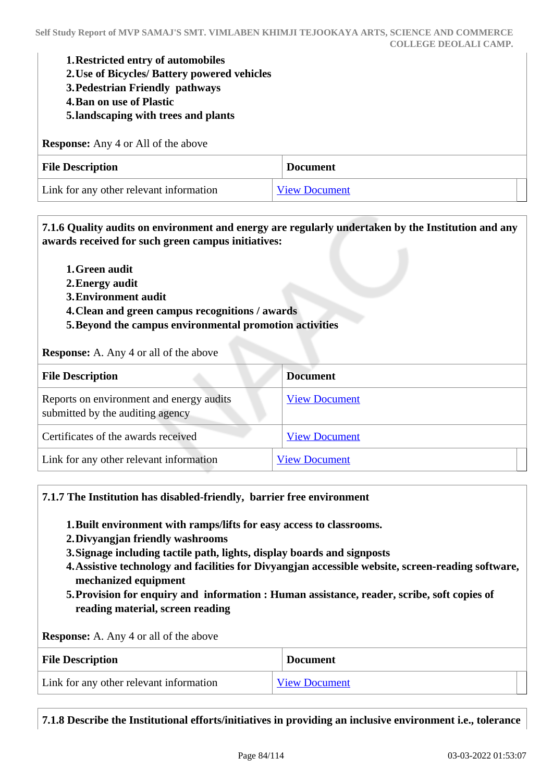- **1.Restricted entry of automobiles**
- **2.Use of Bicycles/ Battery powered vehicles**
- **3.Pedestrian Friendly pathways**
- **4.Ban on use of Plastic**
- **5.landscaping with trees and plants**

**Response:** Any 4 or All of the above

| <b>File Description</b>                 | <b>Document</b>      |
|-----------------------------------------|----------------------|
| Link for any other relevant information | <b>View Document</b> |

 **7.1.6 Quality audits on environment and energy are regularly undertaken by the Institution and any awards received for such green campus initiatives:**

- **1.Green audit**
- **2.Energy audit**
- **3.Environment audit**
- **4.Clean and green campus recognitions / awards**
- **5.Beyond the campus environmental promotion activities**

**Response:** A. Any 4 or all of the above

| <b>File Description</b>                                                      | <b>Document</b>      |
|------------------------------------------------------------------------------|----------------------|
| Reports on environment and energy audits<br>submitted by the auditing agency | <b>View Document</b> |
| Certificates of the awards received                                          | <b>View Document</b> |
| Link for any other relevant information                                      | <b>View Document</b> |

#### **7.1.7 The Institution has disabled-friendly, barrier free environment**

- **1.Built environment with ramps/lifts for easy access to classrooms.**
- **2.Divyangjan friendly washrooms**
- **3.Signage including tactile path, lights, display boards and signposts**
- **4.Assistive technology and facilities for Divyangjan accessible website, screen-reading software, mechanized equipment**
- **5.Provision for enquiry and information : Human assistance, reader, scribe, soft copies of reading material, screen reading**

**Response:** A. Any 4 or all of the above

| <b>File Description</b>                 | <b>Document</b>      |  |
|-----------------------------------------|----------------------|--|
| Link for any other relevant information | <b>View Document</b> |  |

#### **7.1.8 Describe the Institutional efforts/initiatives in providing an inclusive environment i.e., tolerance**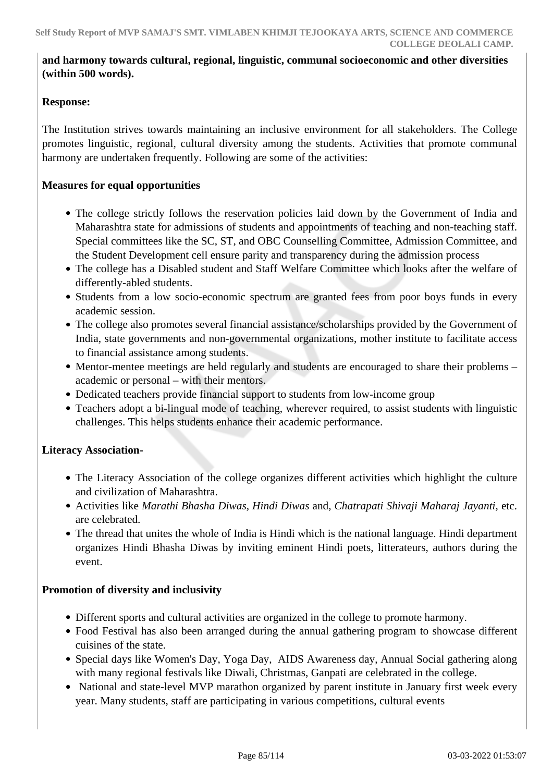#### **and harmony towards cultural, regional, linguistic, communal socioeconomic and other diversities (within 500 words).**

# **Response:**

The Institution strives towards maintaining an inclusive environment for all stakeholders. The College promotes linguistic, regional, cultural diversity among the students. Activities that promote communal harmony are undertaken frequently. Following are some of the activities:

#### **Measures for equal opportunities**

- The college strictly follows the reservation policies laid down by the Government of India and Maharashtra state for admissions of students and appointments of teaching and non-teaching staff. Special committees like the SC, ST, and OBC Counselling Committee, Admission Committee, and the Student Development cell ensure parity and transparency during the admission process
- The college has a Disabled student and Staff Welfare Committee which looks after the welfare of differently-abled students.
- Students from a low socio-economic spectrum are granted fees from poor boys funds in every academic session.
- The college also promotes several financial assistance/scholarships provided by the Government of India, state governments and non-governmental organizations, mother institute to facilitate access to financial assistance among students.
- Mentor-mentee meetings are held regularly and students are encouraged to share their problems academic or personal – with their mentors.
- Dedicated teachers provide financial support to students from low-income group
- Teachers adopt a bi-lingual mode of teaching, wherever required, to assist students with linguistic challenges. This helps students enhance their academic performance.

#### **Literacy Association-**

- The Literacy Association of the college organizes different activities which highlight the culture and civilization of Maharashtra.
- Activities like *Marathi Bhasha Diwas, Hindi Diwas* and, *Chatrapati Shivaji Maharaj Jayanti,* etc. are celebrated.
- The thread that unites the whole of India is Hindi which is the national language. Hindi department organizes Hindi Bhasha Diwas by inviting eminent Hindi poets, litterateurs, authors during the event.

#### **Promotion of diversity and inclusivity**

- Different sports and cultural activities are organized in the college to promote harmony.
- Food Festival has also been arranged during the annual gathering program to showcase different cuisines of the state.
- Special days like Women's Day, Yoga Day, AIDS Awareness day, Annual Social gathering along with many regional festivals like Diwali, Christmas, Ganpati are celebrated in the college.
- National and state-level MVP marathon organized by parent institute in January first week every year. Many students, staff are participating in various competitions, cultural events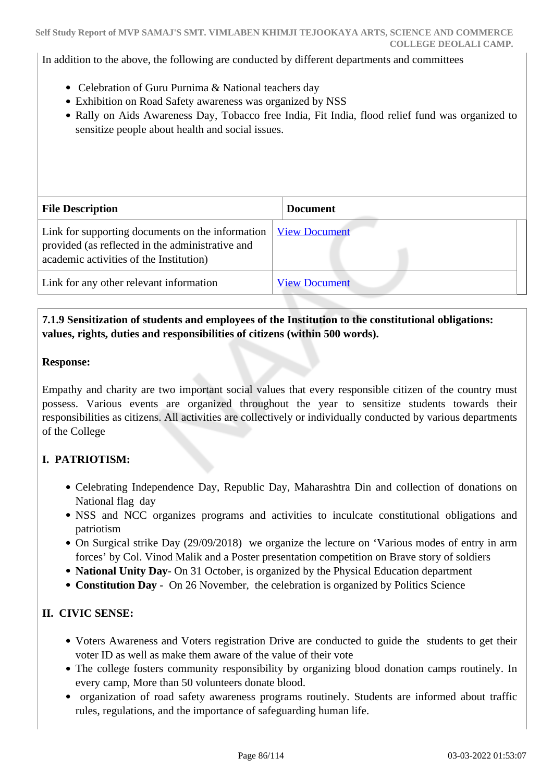In addition to the above, the following are conducted by different departments and committees

- Celebration of Guru Purnima & National teachers day
- Exhibition on Road Safety awareness was organized by NSS
- Rally on Aids Awareness Day, Tobacco free India, Fit India, flood relief fund was organized to sensitize people about health and social issues.

| <b>File Description</b>                                                                                                                         | <b>Document</b>      |
|-------------------------------------------------------------------------------------------------------------------------------------------------|----------------------|
| Link for supporting documents on the information<br>provided (as reflected in the administrative and<br>academic activities of the Institution) | <b>View Document</b> |
| Link for any other relevant information                                                                                                         | <b>View Document</b> |

# **7.1.9 Sensitization of students and employees of the Institution to the constitutional obligations: values, rights, duties and responsibilities of citizens (within 500 words).**

#### **Response:**

Empathy and charity are two important social values that every responsible citizen of the country must possess. Various events are organized throughout the year to sensitize students towards their responsibilities as citizens. All activities are collectively or individually conducted by various departments of the College

# **I. PATRIOTISM:**

- Celebrating Independence Day, Republic Day, Maharashtra Din and collection of donations on National flag day
- NSS and NCC organizes programs and activities to inculcate constitutional obligations and patriotism
- On Surgical strike Day (29/09/2018) we organize the lecture on 'Various modes of entry in arm forces' by Col. Vinod Malik and a Poster presentation competition on Brave story of soldiers
- **National Unity Day** On 31 October, is organized by the Physical Education department
- **Constitution Day** On 26 November, the celebration is organized by Politics Science

# **II. CIVIC SENSE:**

- Voters Awareness and Voters registration Drive are conducted to guide the students to get their voter ID as well as make them aware of the value of their vote
- The college fosters community responsibility by organizing blood donation camps routinely. In every camp, More than 50 volunteers donate blood.
- organization of road safety awareness programs routinely. Students are informed about traffic rules, regulations, and the importance of safeguarding human life.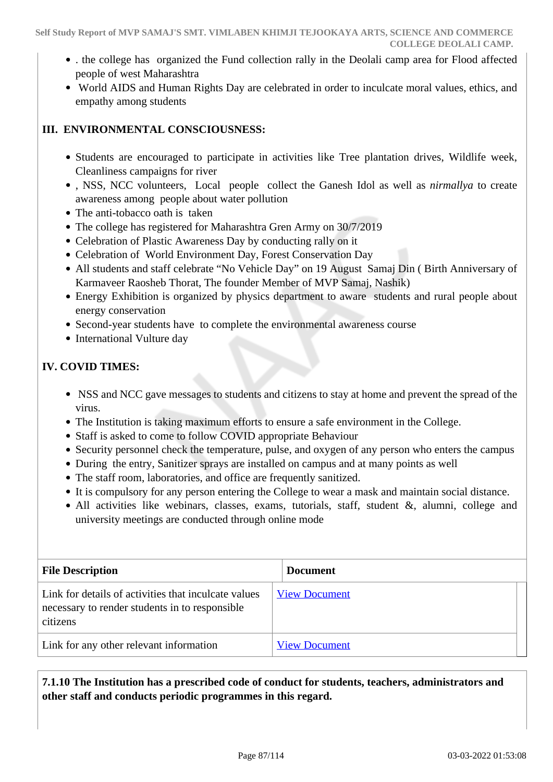- . the college has organized the Fund collection rally in the Deolali camp area for Flood affected people of west Maharashtra
- World AIDS and Human Rights Day are celebrated in order to inculcate moral values, ethics, and empathy among students

# **III. ENVIRONMENTAL CONSCIOUSNESS:**

- Students are encouraged to participate in activities like Tree plantation drives, Wildlife week, Cleanliness campaigns for river
- , NSS, NCC volunteers, Local people collect the Ganesh Idol as well as *nirmallya* to create awareness among people about water pollution
- The anti-tobacco oath is taken
- The college has registered for Maharashtra Gren Army on 30/7/2019
- Celebration of Plastic Awareness Day by conducting rally on it
- Celebration of World Environment Day, Forest Conservation Day
- All students and staff celebrate "No Vehicle Day" on 19 August Samaj Din ( Birth Anniversary of Karmaveer Raosheb Thorat, The founder Member of MVP Samaj, Nashik)
- Energy Exhibition is organized by physics department to aware students and rural people about energy conservation
- Second-year students have to complete the environmental awareness course
- International Vulture day

# **IV. COVID TIMES:**

- NSS and NCC gave messages to students and citizens to stay at home and prevent the spread of the virus.
- The Institution is taking maximum efforts to ensure a safe environment in the College.
- Staff is asked to come to follow COVID appropriate Behaviour
- Security personnel check the temperature, pulse, and oxygen of any person who enters the campus
- During the entry, Sanitizer sprays are installed on campus and at many points as well
- The staff room, laboratories, and office are frequently sanitized.
- It is compulsory for any person entering the College to wear a mask and maintain social distance.
- All activities like webinars, classes, exams, tutorials, staff, student &, alumni, college and university meetings are conducted through online mode

| <b>File Description</b>                                                                                            | <b>Document</b>      |
|--------------------------------------------------------------------------------------------------------------------|----------------------|
| Link for details of activities that inculcate values<br>necessary to render students in to responsible<br>citizens | <b>View Document</b> |
| Link for any other relevant information                                                                            | <b>View Document</b> |

#### **7.1.10 The Institution has a prescribed code of conduct for students, teachers, administrators and other staff and conducts periodic programmes in this regard.**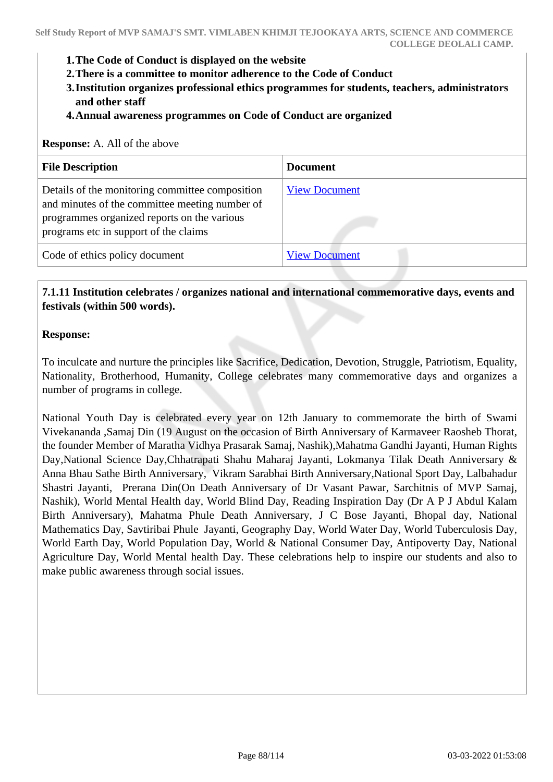- **1.The Code of Conduct is displayed on the website**
- **2.There is a committee to monitor adherence to the Code of Conduct**
- **3.Institution organizes professional ethics programmes for students, teachers, administrators and other staff**
- **4.Annual awareness programmes on Code of Conduct are organized**

**Response:** A. All of the above

| <b>File Description</b>                                                                                                                                                                   | <b>Document</b>      |
|-------------------------------------------------------------------------------------------------------------------------------------------------------------------------------------------|----------------------|
| Details of the monitoring committee composition<br>and minutes of the committee meeting number of<br>programmes organized reports on the various<br>programs etc in support of the claims | <b>View Document</b> |
| Code of ethics policy document                                                                                                                                                            | <b>View Document</b> |

 **7.1.11 Institution celebrates / organizes national and international commemorative days, events and festivals (within 500 words).**

#### **Response:**

To inculcate and nurture the principles like Sacrifice, Dedication, Devotion, Struggle, Patriotism, Equality, Nationality, Brotherhood, Humanity, College celebrates many commemorative days and organizes a number of programs in college.

National Youth Day is celebrated every year on 12th January to commemorate the birth of Swami Vivekananda ,Samaj Din (19 August on the occasion of Birth Anniversary of Karmaveer Raosheb Thorat, the founder Member of Maratha Vidhya Prasarak Samaj, Nashik),Mahatma Gandhi Jayanti, Human Rights Day,National Science Day,Chhatrapati Shahu Maharaj Jayanti, Lokmanya Tilak Death Anniversary & Anna Bhau Sathe Birth Anniversary, Vikram Sarabhai Birth Anniversary,National Sport Day, Lalbahadur Shastri Jayanti, Prerana Din(On Death Anniversary of Dr Vasant Pawar, Sarchitnis of MVP Samaj, Nashik), World Mental Health day, World Blind Day, Reading Inspiration Day (Dr A P J Abdul Kalam Birth Anniversary), Mahatma Phule Death Anniversary, J C Bose Jayanti, Bhopal day, National Mathematics Day, Savtiribai Phule Jayanti, Geography Day, World Water Day, World Tuberculosis Day, World Earth Day, World Population Day, World & National Consumer Day, Antipoverty Day, National Agriculture Day, World Mental health Day. These celebrations help to inspire our students and also to make public awareness through social issues.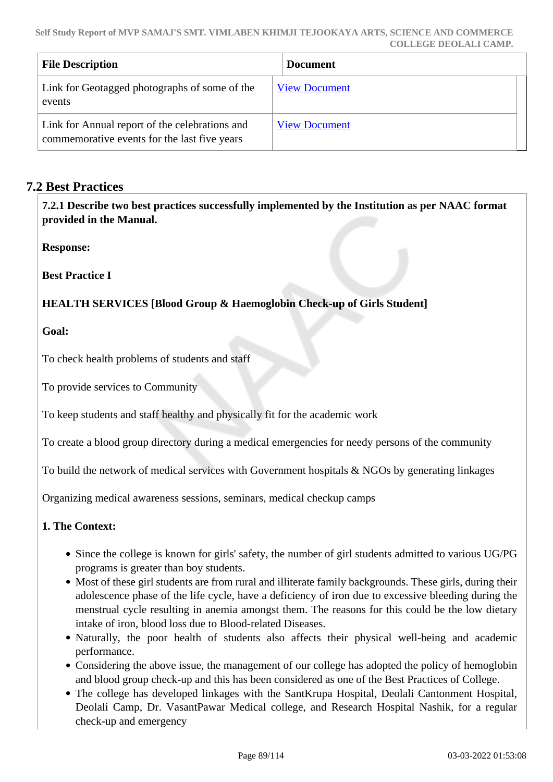| <b>File Description</b>                                                                        | <b>Document</b>      |
|------------------------------------------------------------------------------------------------|----------------------|
| Link for Geotagged photographs of some of the<br>events                                        | <b>View Document</b> |
| Link for Annual report of the celebrations and<br>commemorative events for the last five years | <b>View Document</b> |

# **7.2 Best Practices**

 **7.2.1 Describe two best practices successfully implemented by the Institution as per NAAC format provided in the Manual.**

**Response:** 

**Best Practice I**

# **HEALTH SERVICES [Blood Group & Haemoglobin Check-up of Girls Student]**

**Goal:**

To check health problems of students and staff

To provide services to Community

To keep students and staff healthy and physically fit for the academic work

To create a blood group directory during a medical emergencies for needy persons of the community

To build the network of medical services with Government hospitals & NGOs by generating linkages

Organizing medical awareness sessions, seminars, medical checkup camps

# **1. The Context:**

- Since the college is known for girls' safety, the number of girl students admitted to various UG/PG programs is greater than boy students.
- Most of these girl students are from rural and illiterate family backgrounds. These girls, during their adolescence phase of the life cycle, have a deficiency of iron due to excessive bleeding during the menstrual cycle resulting in anemia amongst them. The reasons for this could be the low dietary intake of iron, blood loss due to Blood-related Diseases.
- Naturally, the poor health of students also affects their physical well-being and academic performance.
- Considering the above issue, the management of our college has adopted the policy of hemoglobin and blood group check-up and this has been considered as one of the Best Practices of College.
- The college has developed linkages with the SantKrupa Hospital, Deolali Cantonment Hospital, Deolali Camp, Dr. VasantPawar Medical college, and Research Hospital Nashik, for a regular check-up and emergency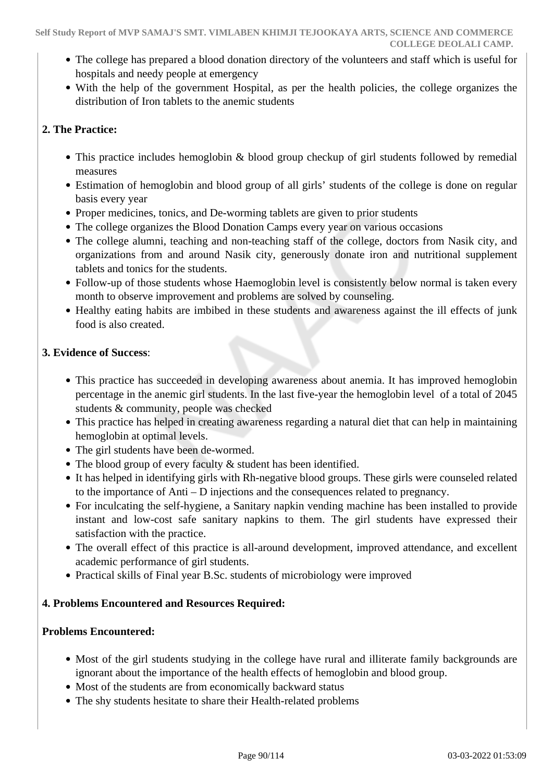- The college has prepared a blood donation directory of the volunteers and staff which is useful for hospitals and needy people at emergency
- With the help of the government Hospital, as per the health policies, the college organizes the distribution of Iron tablets to the anemic students

# **2. The Practice:**

- This practice includes hemoglobin & blood group checkup of girl students followed by remedial measures
- Estimation of hemoglobin and blood group of all girls' students of the college is done on regular basis every year
- Proper medicines, tonics, and De-worming tablets are given to prior students
- The college organizes the Blood Donation Camps every year on various occasions
- The college alumni, teaching and non-teaching staff of the college, doctors from Nasik city, and organizations from and around Nasik city, generously donate iron and nutritional supplement tablets and tonics for the students.
- Follow-up of those students whose Haemoglobin level is consistently below normal is taken every month to observe improvement and problems are solved by counseling.
- Healthy eating habits are imbibed in these students and awareness against the ill effects of junk food is also created.

# **3. Evidence of Success**:

- This practice has succeeded in developing awareness about anemia. It has improved hemoglobin percentage in the anemic girl students. In the last five-year the hemoglobin level of a total of 2045 students & community, people was checked
- This practice has helped in creating awareness regarding a natural diet that can help in maintaining hemoglobin at optimal levels.
- The girl students have been de-wormed.
- The blood group of every faculty  $&$  student has been identified.
- It has helped in identifying girls with Rh-negative blood groups. These girls were counseled related to the importance of Anti – D injections and the consequences related to pregnancy.
- For inculcating the self-hygiene, a Sanitary napkin vending machine has been installed to provide instant and low-cost safe sanitary napkins to them. The girl students have expressed their satisfaction with the practice.
- The overall effect of this practice is all-around development, improved attendance, and excellent academic performance of girl students.
- Practical skills of Final year B.Sc. students of microbiology were improved

# **4. Problems Encountered and Resources Required:**

# **Problems Encountered:**

- Most of the girl students studying in the college have rural and illiterate family backgrounds are ignorant about the importance of the health effects of hemoglobin and blood group.
- Most of the students are from economically backward status
- The shy students hesitate to share their Health-related problems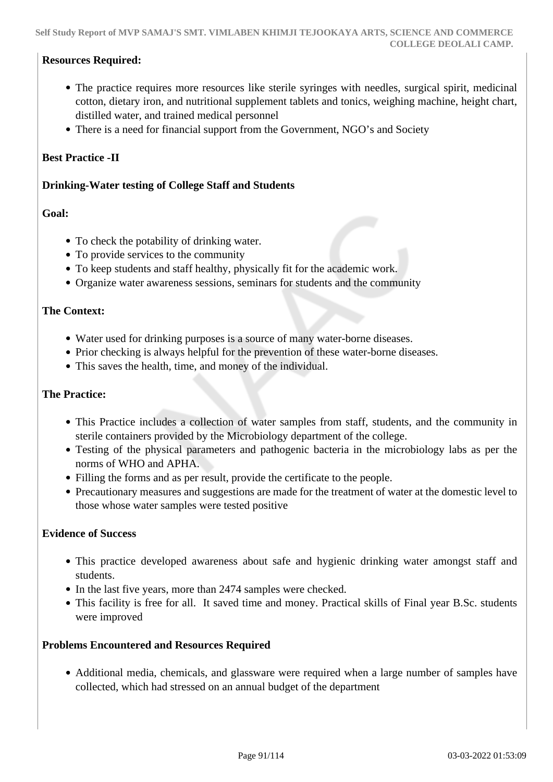#### **Resources Required:**

- The practice requires more resources like sterile syringes with needles, surgical spirit, medicinal cotton, dietary iron, and nutritional supplement tablets and tonics, weighing machine, height chart, distilled water, and trained medical personnel
- There is a need for financial support from the Government, NGO's and Society

#### **Best Practice -II**

#### **Drinking-Water testing of College Staff and Students**

#### **Goal:**

- To check the potability of drinking water.
- To provide services to the community
- To keep students and staff healthy, physically fit for the academic work.
- Organize water awareness sessions, seminars for students and the community

#### **The Context:**

- Water used for drinking purposes is a source of many water-borne diseases.
- Prior checking is always helpful for the prevention of these water-borne diseases.
- This saves the health, time, and money of the individual.

#### **The Practice:**

- This Practice includes a collection of water samples from staff, students, and the community in sterile containers provided by the Microbiology department of the college.
- Testing of the physical parameters and pathogenic bacteria in the microbiology labs as per the norms of WHO and APHA.
- Filling the forms and as per result, provide the certificate to the people.
- Precautionary measures and suggestions are made for the treatment of water at the domestic level to those whose water samples were tested positive

#### **Evidence of Success**

- This practice developed awareness about safe and hygienic drinking water amongst staff and students.
- In the last five years, more than 2474 samples were checked.
- This facility is free for all. It saved time and money. Practical skills of Final year B.Sc. students were improved

#### **Problems Encountered and Resources Required**

Additional media, chemicals, and glassware were required when a large number of samples have collected, which had stressed on an annual budget of the department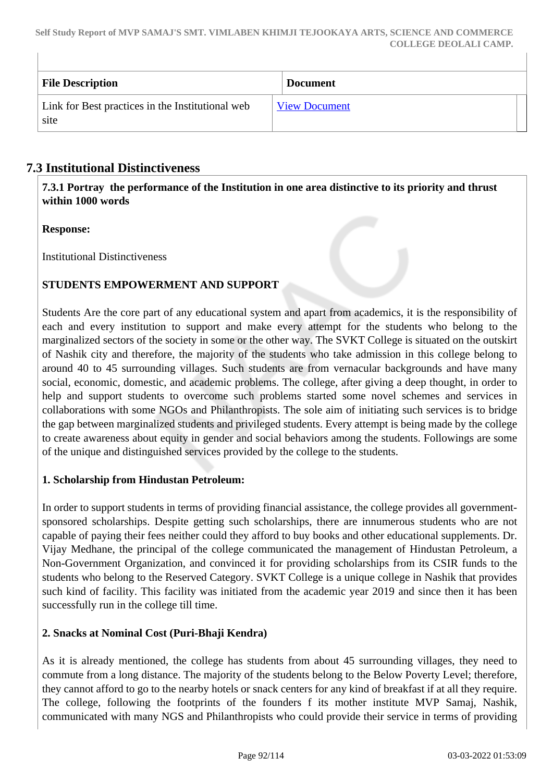| <b>File Description</b>                                  | <b>Document</b>      |
|----------------------------------------------------------|----------------------|
| Link for Best practices in the Institutional web<br>site | <b>View Document</b> |

# **7.3 Institutional Distinctiveness**

 **7.3.1 Portray the performance of the Institution in one area distinctive to its priority and thrust within 1000 words**

#### **Response:**

Institutional Distinctiveness

#### **STUDENTS EMPOWERMENT AND SUPPORT**

Students Are the core part of any educational system and apart from academics, it is the responsibility of each and every institution to support and make every attempt for the students who belong to the marginalized sectors of the society in some or the other way. The SVKT College is situated on the outskirt of Nashik city and therefore, the majority of the students who take admission in this college belong to around 40 to 45 surrounding villages. Such students are from vernacular backgrounds and have many social, economic, domestic, and academic problems. The college, after giving a deep thought, in order to help and support students to overcome such problems started some novel schemes and services in collaborations with some NGOs and Philanthropists. The sole aim of initiating such services is to bridge the gap between marginalized students and privileged students. Every attempt is being made by the college to create awareness about equity in gender and social behaviors among the students. Followings are some of the unique and distinguished services provided by the college to the students.

#### **1. Scholarship from Hindustan Petroleum:**

In order to support students in terms of providing financial assistance, the college provides all governmentsponsored scholarships. Despite getting such scholarships, there are innumerous students who are not capable of paying their fees neither could they afford to buy books and other educational supplements. Dr. Vijay Medhane, the principal of the college communicated the management of Hindustan Petroleum, a Non-Government Organization, and convinced it for providing scholarships from its CSIR funds to the students who belong to the Reserved Category. SVKT College is a unique college in Nashik that provides such kind of facility. This facility was initiated from the academic year 2019 and since then it has been successfully run in the college till time.

# **2. Snacks at Nominal Cost (Puri-Bhaji Kendra)**

As it is already mentioned, the college has students from about 45 surrounding villages, they need to commute from a long distance. The majority of the students belong to the Below Poverty Level; therefore, they cannot afford to go to the nearby hotels or snack centers for any kind of breakfast if at all they require. The college, following the footprints of the founders f its mother institute MVP Samaj, Nashik, communicated with many NGS and Philanthropists who could provide their service in terms of providing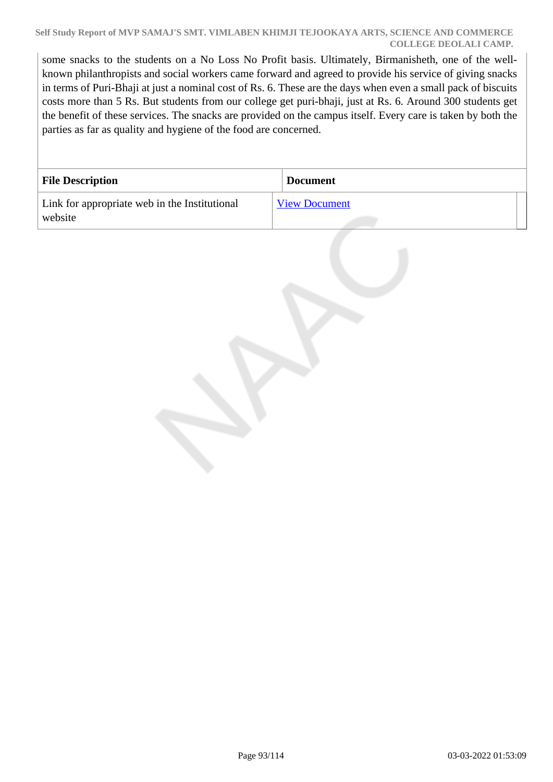some snacks to the students on a No Loss No Profit basis. Ultimately, Birmanisheth, one of the wellknown philanthropists and social workers came forward and agreed to provide his service of giving snacks in terms of Puri-Bhaji at just a nominal cost of Rs. 6. These are the days when even a small pack of biscuits costs more than 5 Rs. But students from our college get puri-bhaji, just at Rs. 6. Around 300 students get the benefit of these services. The snacks are provided on the campus itself. Every care is taken by both the parties as far as quality and hygiene of the food are concerned.

| <b>File Description</b>                                  | <b>Document</b>      |
|----------------------------------------------------------|----------------------|
| Link for appropriate web in the Institutional<br>website | <b>View Document</b> |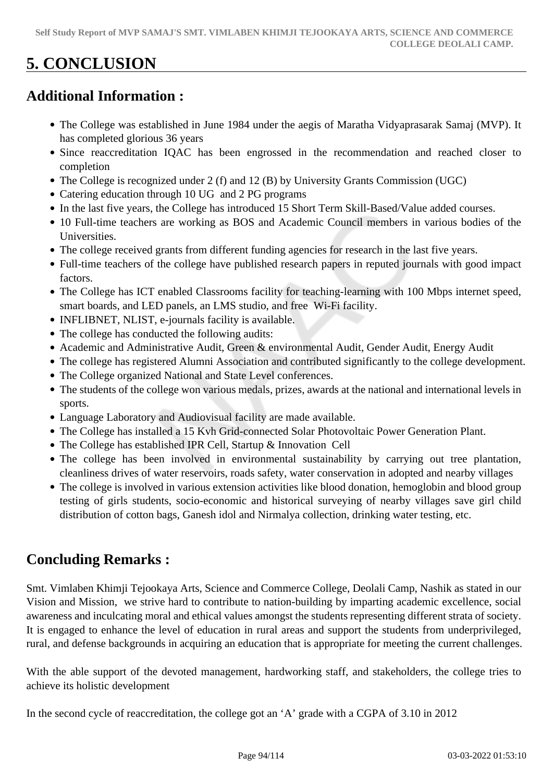# **5. CONCLUSION**

# **Additional Information :**

- The College was established in June 1984 under the aegis of Maratha Vidyaprasarak Samaj (MVP). It has completed glorious 36 years
- Since reaccreditation IQAC has been engrossed in the recommendation and reached closer to completion
- The College is recognized under 2 (f) and 12 (B) by University Grants Commission (UGC)
- Catering education through 10 UG and 2 PG programs
- In the last five years, the College has introduced 15 Short Term Skill-Based/Value added courses.
- 10 Full-time teachers are working as BOS and Academic Council members in various bodies of the Universities.
- The college received grants from different funding agencies for research in the last five years.
- Full-time teachers of the college have published research papers in reputed journals with good impact factors.
- The College has ICT enabled Classrooms facility for teaching-learning with 100 Mbps internet speed, smart boards, and LED panels, an LMS studio, and free Wi-Fi facility.
- INFLIBNET, NLIST, e-journals facility is available.
- The college has conducted the following audits:
- Academic and Administrative Audit, Green & environmental Audit, Gender Audit, Energy Audit
- The college has registered Alumni Association and contributed significantly to the college development.
- The College organized National and State Level conferences.
- The students of the college won various medals, prizes, awards at the national and international levels in sports.
- Language Laboratory and Audiovisual facility are made available.
- The College has installed a 15 Kvh Grid-connected Solar Photovoltaic Power Generation Plant.
- The College has established IPR Cell, Startup & Innovation Cell
- The college has been involved in environmental sustainability by carrying out tree plantation, cleanliness drives of water reservoirs, roads safety, water conservation in adopted and nearby villages
- The college is involved in various extension activities like blood donation, hemoglobin and blood group testing of girls students, socio-economic and historical surveying of nearby villages save girl child distribution of cotton bags, Ganesh idol and Nirmalya collection, drinking water testing, etc.

# **Concluding Remarks :**

Smt. Vimlaben Khimji Tejookaya Arts, Science and Commerce College, Deolali Camp, Nashik as stated in our Vision and Mission, we strive hard to contribute to nation-building by imparting academic excellence, social awareness and inculcating moral and ethical values amongst the students representing different strata of society. It is engaged to enhance the level of education in rural areas and support the students from underprivileged, rural, and defense backgrounds in acquiring an education that is appropriate for meeting the current challenges.

With the able support of the devoted management, hardworking staff, and stakeholders, the college tries to achieve its holistic development

In the second cycle of reaccreditation, the college got an 'A' grade with a CGPA of 3.10 in 2012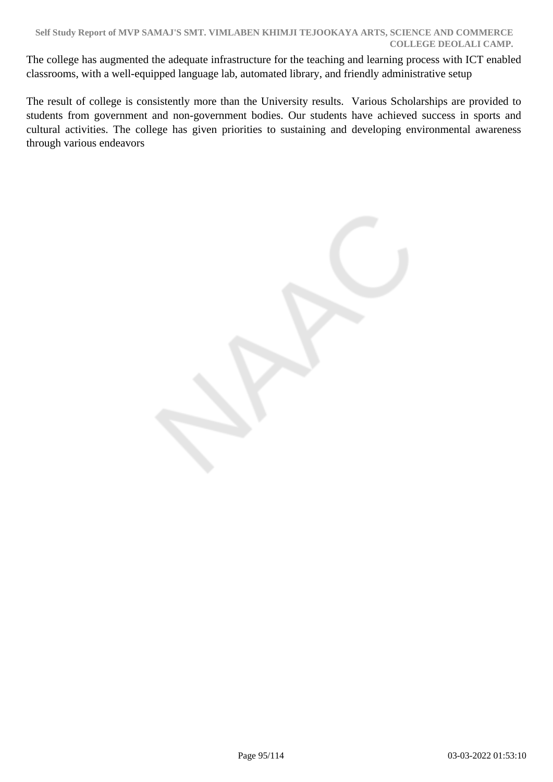The college has augmented the adequate infrastructure for the teaching and learning process with ICT enabled classrooms, with a well-equipped language lab, automated library, and friendly administrative setup

The result of college is consistently more than the University results. Various Scholarships are provided to students from government and non-government bodies. Our students have achieved success in sports and cultural activities. The college has given priorities to sustaining and developing environmental awareness through various endeavors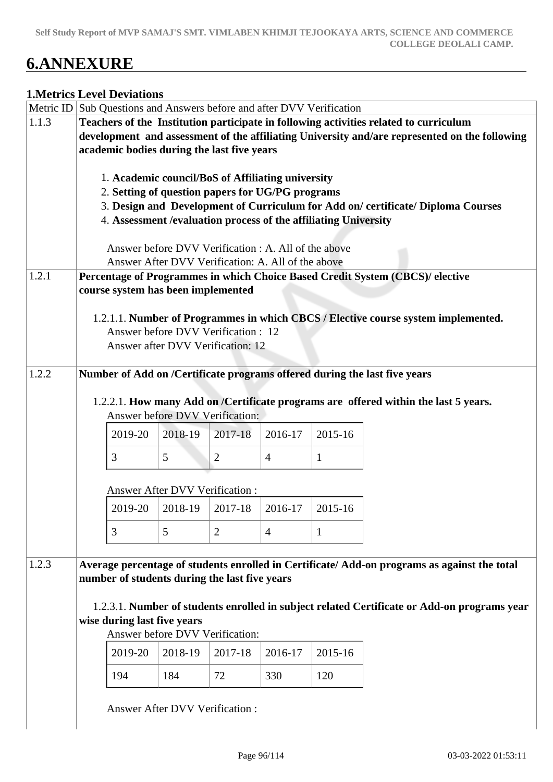# **6.ANNEXURE**

#### **1.Metrics Level Deviations**

|       |                                                    |                                       |         | Metric ID Sub Questions and Answers before and after DVV Verification |                |              |                                                                                               |
|-------|----------------------------------------------------|---------------------------------------|---------|-----------------------------------------------------------------------|----------------|--------------|-----------------------------------------------------------------------------------------------|
| 1.1.3 |                                                    |                                       |         |                                                                       |                |              | Teachers of the Institution participate in following activities related to curriculum         |
|       |                                                    |                                       |         |                                                                       |                |              | development and assessment of the affiliating University and/are represented on the following |
|       |                                                    |                                       |         | academic bodies during the last five years                            |                |              |                                                                                               |
|       |                                                    |                                       |         |                                                                       |                |              |                                                                                               |
|       |                                                    |                                       |         | 1. Academic council/BoS of Affiliating university                     |                |              |                                                                                               |
|       |                                                    |                                       |         | 2. Setting of question papers for UG/PG programs                      |                |              |                                                                                               |
|       |                                                    |                                       |         |                                                                       |                |              | 3. Design and Development of Curriculum for Add on/certificate/Diploma Courses                |
|       |                                                    |                                       |         | 4. Assessment /evaluation process of the affiliating University       |                |              |                                                                                               |
|       |                                                    |                                       |         |                                                                       |                |              |                                                                                               |
|       |                                                    |                                       |         | Answer before DVV Verification : A. All of the above                  |                |              |                                                                                               |
|       | Answer After DVV Verification: A. All of the above |                                       |         |                                                                       |                |              |                                                                                               |
| 1.2.1 |                                                    |                                       |         |                                                                       |                |              | Percentage of Programmes in which Choice Based Credit System (CBCS)/ elective                 |
|       |                                                    | course system has been implemented    |         |                                                                       |                |              |                                                                                               |
|       |                                                    |                                       |         |                                                                       |                |              |                                                                                               |
|       |                                                    |                                       |         |                                                                       |                |              | 1.2.1.1. Number of Programmes in which CBCS / Elective course system implemented.             |
|       |                                                    |                                       |         | Answer before DVV Verification: 12                                    |                |              |                                                                                               |
|       |                                                    |                                       |         | Answer after DVV Verification: 12                                     |                |              |                                                                                               |
| 1.2.2 |                                                    |                                       |         |                                                                       |                |              | Number of Add on /Certificate programs offered during the last five years                     |
|       |                                                    |                                       |         |                                                                       |                |              |                                                                                               |
|       |                                                    |                                       |         |                                                                       |                |              | 1.2.2.1. How many Add on /Certificate programs are offered within the last 5 years.           |
|       |                                                    |                                       |         | Answer before DVV Verification:                                       |                |              |                                                                                               |
|       |                                                    |                                       |         |                                                                       |                |              |                                                                                               |
|       |                                                    | 2019-20                               | 2018-19 | 2017-18                                                               | 2016-17        | 2015-16      |                                                                                               |
|       |                                                    | 3                                     | 5       | $\overline{2}$                                                        | $\overline{4}$ | $\mathbf{1}$ |                                                                                               |
|       |                                                    |                                       |         |                                                                       |                |              |                                                                                               |
|       |                                                    | <b>Answer After DVV Verification:</b> |         |                                                                       |                |              |                                                                                               |
|       |                                                    |                                       |         |                                                                       |                |              |                                                                                               |
|       |                                                    | 2019-20                               | 2018-19 | 2017-18                                                               | 2016-17        | 2015-16      |                                                                                               |
|       |                                                    | 3                                     | 5       | $\overline{2}$                                                        | $\overline{4}$ | 1            |                                                                                               |
|       |                                                    |                                       |         |                                                                       |                |              |                                                                                               |
| 1.2.3 |                                                    |                                       |         |                                                                       |                |              | Average percentage of students enrolled in Certificate/ Add-on programs as against the total  |
|       |                                                    |                                       |         | number of students during the last five years                         |                |              |                                                                                               |
|       |                                                    |                                       |         |                                                                       |                |              |                                                                                               |
|       |                                                    |                                       |         |                                                                       |                |              | 1.2.3.1. Number of students enrolled in subject related Certificate or Add-on programs year   |
|       |                                                    | wise during last five years           |         |                                                                       |                |              |                                                                                               |
|       |                                                    |                                       |         | Answer before DVV Verification:                                       |                |              |                                                                                               |
|       |                                                    | 2019-20                               | 2018-19 | 2017-18                                                               | 2016-17        | 2015-16      |                                                                                               |
|       |                                                    |                                       |         |                                                                       |                |              |                                                                                               |
|       |                                                    | 194                                   | 184     | 72                                                                    | 330            | 120          |                                                                                               |
|       |                                                    |                                       |         |                                                                       |                |              |                                                                                               |
|       |                                                    | <b>Answer After DVV Verification:</b> |         |                                                                       |                |              |                                                                                               |
|       |                                                    |                                       |         |                                                                       |                |              |                                                                                               |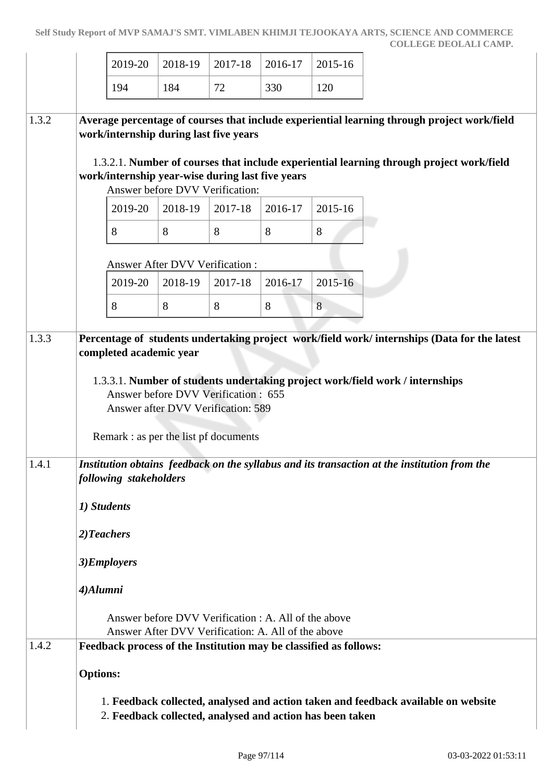|       |                                                                                                                                                                                                                                                                                                                                 | 2019-20                                                                                                                                                            | 2018-19                                                                                                                                       | 2017-18      | 2016-17      | 2015-16                                                                                                                                                                                                 |  |  |
|-------|---------------------------------------------------------------------------------------------------------------------------------------------------------------------------------------------------------------------------------------------------------------------------------------------------------------------------------|--------------------------------------------------------------------------------------------------------------------------------------------------------------------|-----------------------------------------------------------------------------------------------------------------------------------------------|--------------|--------------|---------------------------------------------------------------------------------------------------------------------------------------------------------------------------------------------------------|--|--|
|       |                                                                                                                                                                                                                                                                                                                                 | 194                                                                                                                                                                | 184                                                                                                                                           | 72           | 330          | 120                                                                                                                                                                                                     |  |  |
| 1.3.2 |                                                                                                                                                                                                                                                                                                                                 | 2019-20<br>8                                                                                                                                                       | work/internship during last five years<br>work/internship year-wise during last five years<br>Answer before DVV Verification:<br>2018-19<br>8 | 2017-18<br>8 | 2016-17<br>8 | Average percentage of courses that include experiential learning through project work/field<br>1.3.2.1. Number of courses that include experiential learning through project work/field<br>2015-16<br>8 |  |  |
|       |                                                                                                                                                                                                                                                                                                                                 | 2019-20                                                                                                                                                            | Answer After DVV Verification:<br>2018-19                                                                                                     | 2017-18      | 2016-17      | 2015-16                                                                                                                                                                                                 |  |  |
|       |                                                                                                                                                                                                                                                                                                                                 | 8                                                                                                                                                                  | 8                                                                                                                                             | 8            | 8            | 8                                                                                                                                                                                                       |  |  |
| 1.4.1 | 1.3.3.1. Number of students undertaking project work/field work / internships<br>Answer before DVV Verification : 655<br>Answer after DVV Verification: 589<br>Remark : as per the list pf documents<br>Institution obtains  feedback on the syllabus and its transaction at the institution from the<br>following stakeholders |                                                                                                                                                                    |                                                                                                                                               |              |              |                                                                                                                                                                                                         |  |  |
|       | 1) Students<br>2)Teachers<br>3)Employers<br>4)Alumni                                                                                                                                                                                                                                                                            |                                                                                                                                                                    | Answer before DVV Verification : A. All of the above<br>Answer After DVV Verification: A. All of the above                                    |              |              |                                                                                                                                                                                                         |  |  |
| 1.4.2 |                                                                                                                                                                                                                                                                                                                                 |                                                                                                                                                                    |                                                                                                                                               |              |              | Feedback process of the Institution may be classified as follows:                                                                                                                                       |  |  |
|       |                                                                                                                                                                                                                                                                                                                                 | <b>Options:</b><br>1. Feedback collected, analysed and action taken and feedback available on website<br>2. Feedback collected, analysed and action has been taken |                                                                                                                                               |              |              |                                                                                                                                                                                                         |  |  |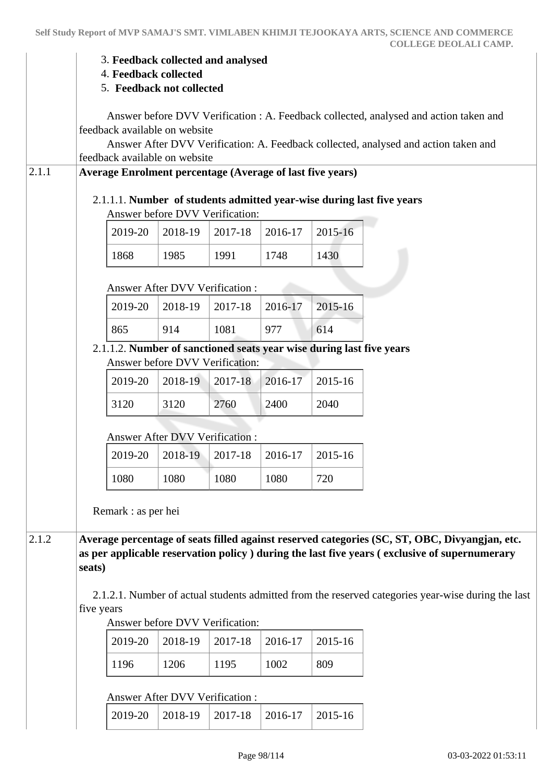|       | 3. Feedback collected and analysed<br>4. Feedback collected<br>5. Feedback not collected                                                  |                                       |                                 |         |         |                                                                                                                                                                                                |
|-------|-------------------------------------------------------------------------------------------------------------------------------------------|---------------------------------------|---------------------------------|---------|---------|------------------------------------------------------------------------------------------------------------------------------------------------------------------------------------------------|
|       | feedback available on website                                                                                                             |                                       |                                 |         |         | Answer before DVV Verification : A. Feedback collected, analysed and action taken and<br>Answer After DVV Verification: A. Feedback collected, analysed and action taken and                   |
|       | feedback available on website                                                                                                             |                                       |                                 |         |         |                                                                                                                                                                                                |
| 2.1.1 | <b>Average Enrolment percentage (Average of last five years)</b><br>2.1.1.1. Number of students admitted year-wise during last five years |                                       | Answer before DVV Verification: |         |         |                                                                                                                                                                                                |
|       | 2019-20                                                                                                                                   | 2018-19                               | 2017-18                         | 2016-17 | 2015-16 |                                                                                                                                                                                                |
|       | 1868                                                                                                                                      | 1985                                  | 1991                            | 1748    | 1430    |                                                                                                                                                                                                |
|       |                                                                                                                                           | <b>Answer After DVV Verification:</b> |                                 |         |         |                                                                                                                                                                                                |
|       | 2019-20                                                                                                                                   | 2018-19                               | 2017-18                         | 2016-17 | 2015-16 |                                                                                                                                                                                                |
|       | 865                                                                                                                                       | 914                                   | 1081                            | 977     | 614     |                                                                                                                                                                                                |
|       | 2.1.1.2. Number of sanctioned seats year wise during last five years                                                                      |                                       | Answer before DVV Verification: |         |         |                                                                                                                                                                                                |
|       | 2019-20                                                                                                                                   | 2018-19                               | 2017-18                         | 2016-17 | 2015-16 |                                                                                                                                                                                                |
|       | 3120                                                                                                                                      | 3120                                  | 2760                            | 2400    | 2040    |                                                                                                                                                                                                |
|       |                                                                                                                                           | <b>Answer After DVV Verification:</b> |                                 |         |         |                                                                                                                                                                                                |
|       | 2019-20                                                                                                                                   | 2018-19                               | 2017-18                         | 2016-17 | 2015-16 |                                                                                                                                                                                                |
|       | 1080                                                                                                                                      | 1080                                  | 1080                            | 1080    | 720     |                                                                                                                                                                                                |
|       | Remark : as per hei                                                                                                                       |                                       |                                 |         |         |                                                                                                                                                                                                |
| 2.1.2 | seats)                                                                                                                                    |                                       |                                 |         |         | Average percentage of seats filled against reserved categories (SC, ST, OBC, Divyangjan, etc.<br>as per applicable reservation policy ) during the last five years (exclusive of supernumerary |
|       | five years                                                                                                                                |                                       | Answer before DVV Verification: |         |         | 2.1.2.1. Number of actual students admitted from the reserved categories year-wise during the last                                                                                             |
|       | 2019-20                                                                                                                                   | 2018-19                               | 2017-18                         | 2016-17 | 2015-16 |                                                                                                                                                                                                |
|       | 1196                                                                                                                                      | 1206                                  | 1195                            | 1002    | 809     |                                                                                                                                                                                                |
|       |                                                                                                                                           | Answer After DVV Verification :       |                                 |         |         |                                                                                                                                                                                                |
|       | 2019-20                                                                                                                                   | 2018-19                               | 2017-18                         | 2016-17 | 2015-16 |                                                                                                                                                                                                |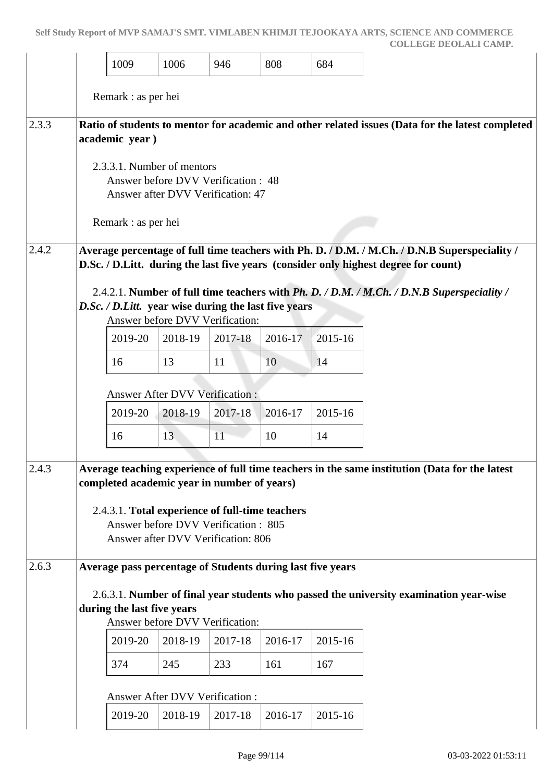|       |                                                                         | 1009                       | 1006                                                                                                                                          | 946     | 808     | 684     |  |
|-------|-------------------------------------------------------------------------|----------------------------|-----------------------------------------------------------------------------------------------------------------------------------------------|---------|---------|---------|--|
|       |                                                                         | Remark : as per hei        |                                                                                                                                               |         |         |         |  |
| 2.3.3 |                                                                         |                            | Ratio of students to mentor for academic and other related issues (Data for the latest completed                                              |         |         |         |  |
|       |                                                                         | academic year)             |                                                                                                                                               |         |         |         |  |
|       |                                                                         |                            |                                                                                                                                               |         |         |         |  |
|       |                                                                         |                            | 2.3.3.1. Number of mentors                                                                                                                    |         |         |         |  |
|       | Answer before DVV Verification: 48<br>Answer after DVV Verification: 47 |                            |                                                                                                                                               |         |         |         |  |
|       |                                                                         | Remark : as per hei        |                                                                                                                                               |         |         |         |  |
|       |                                                                         |                            |                                                                                                                                               |         |         |         |  |
| 2.4.2 |                                                                         |                            | Average percentage of full time teachers with Ph. D. / D.M. / M.Ch. / D.N.B Superspeciality /                                                 |         |         |         |  |
|       |                                                                         |                            | D.Sc. / D.Litt. during the last five years (consider only highest degree for count)                                                           |         |         |         |  |
|       |                                                                         |                            | 2.4.2.1. Number of full time teachers with <i>Ph. D. / D.M. / M.Ch. / D.N.B Superspeciality</i> /                                             |         |         |         |  |
|       |                                                                         |                            | D.Sc. / D.Litt. year wise during the last five years                                                                                          |         |         |         |  |
|       |                                                                         |                            | Answer before DVV Verification:                                                                                                               |         |         |         |  |
|       |                                                                         | 2019-20                    | 2018-19                                                                                                                                       | 2017-18 | 2016-17 | 2015-16 |  |
|       |                                                                         | 16                         | 13                                                                                                                                            | 11      | 10      | 14      |  |
|       |                                                                         |                            |                                                                                                                                               |         |         |         |  |
|       |                                                                         |                            | <b>Answer After DVV Verification:</b>                                                                                                         |         |         |         |  |
|       |                                                                         | 2019-20                    | 2018-19                                                                                                                                       | 2017-18 | 2016-17 | 2015-16 |  |
|       |                                                                         | 16                         | 13                                                                                                                                            | 11      | 10      | 14      |  |
|       |                                                                         |                            |                                                                                                                                               |         |         |         |  |
| 2.4.3 |                                                                         |                            | Average teaching experience of full time teachers in the same institution (Data for the latest<br>completed academic year in number of years) |         |         |         |  |
|       |                                                                         |                            |                                                                                                                                               |         |         |         |  |
|       |                                                                         |                            | 2.4.3.1. Total experience of full-time teachers                                                                                               |         |         |         |  |
|       |                                                                         |                            | Answer before DVV Verification: 805<br>Answer after DVV Verification: 806                                                                     |         |         |         |  |
|       |                                                                         |                            |                                                                                                                                               |         |         |         |  |
| 2.6.3 |                                                                         |                            | Average pass percentage of Students during last five years                                                                                    |         |         |         |  |
|       |                                                                         |                            | 2.6.3.1. Number of final year students who passed the university examination year-wise                                                        |         |         |         |  |
|       |                                                                         | during the last five years |                                                                                                                                               |         |         |         |  |
|       |                                                                         |                            | Answer before DVV Verification:                                                                                                               |         |         |         |  |
|       |                                                                         | 2019-20                    | 2018-19                                                                                                                                       | 2017-18 | 2016-17 | 2015-16 |  |
|       |                                                                         | 374                        | 245                                                                                                                                           | 233     | 161     | 167     |  |
|       |                                                                         |                            |                                                                                                                                               |         |         |         |  |
|       |                                                                         |                            | <b>Answer After DVV Verification:</b>                                                                                                         |         |         |         |  |
|       |                                                                         | 2019-20                    | 2018-19                                                                                                                                       | 2017-18 | 2016-17 | 2015-16 |  |
|       |                                                                         |                            |                                                                                                                                               |         |         |         |  |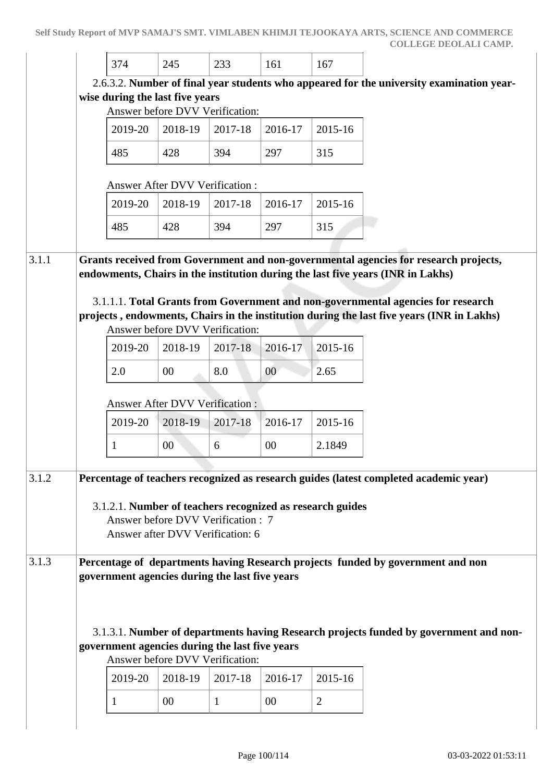**Self Study Report of MVP SAMAJ'S SMT. VIMLABEN KHIMJI TEJOOKAYA ARTS, SCIENCE AND COMMERCE COLLEGE DEOLALI CAMP.**

|       | 374                                                       | 245                                   | 233          | 161     | 167     |                                                                                                                                                                         |
|-------|-----------------------------------------------------------|---------------------------------------|--------------|---------|---------|-------------------------------------------------------------------------------------------------------------------------------------------------------------------------|
|       |                                                           |                                       |              |         |         | 2.6.3.2. Number of final year students who appeared for the university examination year-                                                                                |
|       | wise during the last five years                           |                                       |              |         |         |                                                                                                                                                                         |
|       |                                                           | Answer before DVV Verification:       |              |         |         |                                                                                                                                                                         |
|       | 2019-20                                                   | 2018-19                               | 2017-18      | 2016-17 | 2015-16 |                                                                                                                                                                         |
|       | 485                                                       | 428                                   | 394          | 297     | 315     |                                                                                                                                                                         |
|       |                                                           | <b>Answer After DVV Verification:</b> |              |         |         |                                                                                                                                                                         |
|       | 2019-20                                                   | 2018-19                               | 2017-18      | 2016-17 | 2015-16 |                                                                                                                                                                         |
|       | 485                                                       | 428                                   | 394          | 297     | 315     |                                                                                                                                                                         |
|       |                                                           |                                       |              |         |         |                                                                                                                                                                         |
| 3.1.1 |                                                           |                                       |              |         |         | Grants received from Government and non-governmental agencies for research projects,<br>endowments, Chairs in the institution during the last five years (INR in Lakhs) |
|       |                                                           |                                       |              |         |         |                                                                                                                                                                         |
|       |                                                           |                                       |              |         |         | 3.1.1.1. Total Grants from Government and non-governmental agencies for research                                                                                        |
|       |                                                           | Answer before DVV Verification:       |              |         |         | projects, endowments, Chairs in the institution during the last five years (INR in Lakhs)                                                                               |
|       | 2019-20                                                   | 2018-19                               | 2017-18      | 2016-17 | 2015-16 |                                                                                                                                                                         |
|       | 2.0                                                       | $00\,$                                | 8.0          | $00\,$  | 2.65    |                                                                                                                                                                         |
|       |                                                           | Answer After DVV Verification :       |              |         |         |                                                                                                                                                                         |
|       | 2019-20                                                   | 2018-19                               | 2017-18      | 2016-17 | 2015-16 |                                                                                                                                                                         |
|       |                                                           |                                       |              |         |         |                                                                                                                                                                         |
|       | 1                                                         | 00                                    | 6            | 00      | 2.1849  |                                                                                                                                                                         |
| 3.1.2 |                                                           |                                       |              |         |         | Percentage of teachers recognized as research guides (latest completed academic year)                                                                                   |
|       |                                                           |                                       |              |         |         |                                                                                                                                                                         |
|       | 3.1.2.1. Number of teachers recognized as research guides | Answer before DVV Verification : 7    |              |         |         |                                                                                                                                                                         |
|       |                                                           | Answer after DVV Verification: 6      |              |         |         |                                                                                                                                                                         |
|       |                                                           |                                       |              |         |         |                                                                                                                                                                         |
| 3.1.3 | government agencies during the last five years            |                                       |              |         |         | Percentage of departments having Research projects funded by government and non                                                                                         |
|       |                                                           |                                       |              |         |         |                                                                                                                                                                         |
|       |                                                           |                                       |              |         |         |                                                                                                                                                                         |
|       |                                                           |                                       |              |         |         | 3.1.3.1. Number of departments having Research projects funded by government and non-                                                                                   |
|       | government agencies during the last five years            |                                       |              |         |         |                                                                                                                                                                         |
|       |                                                           | Answer before DVV Verification:       |              |         |         |                                                                                                                                                                         |
|       | 2019-20                                                   | 2018-19                               | 2017-18      | 2016-17 | 2015-16 |                                                                                                                                                                         |
|       | 1                                                         | $00\,$                                | $\mathbf{1}$ | $00\,$  | 2       |                                                                                                                                                                         |
|       |                                                           |                                       |              |         |         |                                                                                                                                                                         |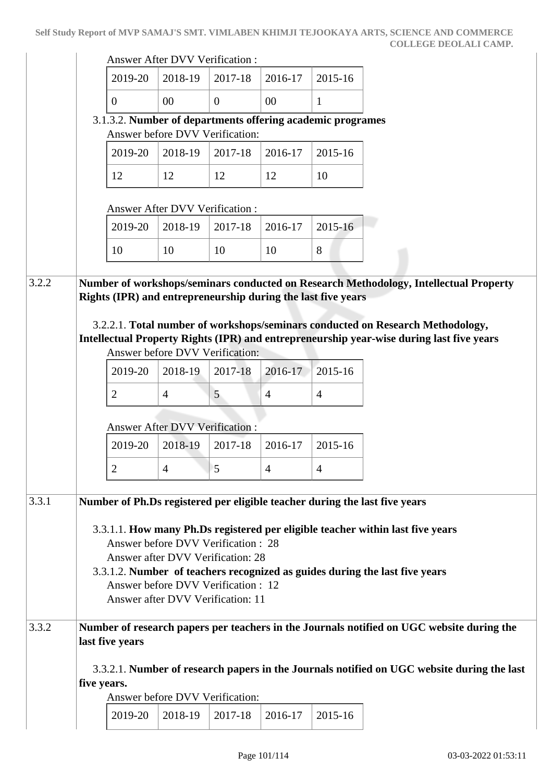|       |             |                                                              | <b>Answer After DVV Verification:</b>                                                                                                               |                 |                |                |                                                                                                                                                               |
|-------|-------------|--------------------------------------------------------------|-----------------------------------------------------------------------------------------------------------------------------------------------------|-----------------|----------------|----------------|---------------------------------------------------------------------------------------------------------------------------------------------------------------|
|       |             | 2019-20                                                      | 2018-19                                                                                                                                             | 2017-18         | 2016-17        | 2015-16        |                                                                                                                                                               |
|       |             | $\Omega$                                                     | $00\,$                                                                                                                                              | $\theta$        | 00             | 1              |                                                                                                                                                               |
|       |             | 3.1.3.2. Number of departments offering academic programes   | Answer before DVV Verification:                                                                                                                     |                 |                |                |                                                                                                                                                               |
|       |             | 2019-20                                                      | 2018-19                                                                                                                                             | 2017-18         | 2016-17        | 2015-16        |                                                                                                                                                               |
|       |             | 12                                                           | 12                                                                                                                                                  | 12              | 12             | 10             |                                                                                                                                                               |
|       |             |                                                              |                                                                                                                                                     |                 |                |                |                                                                                                                                                               |
|       |             | 2019-20                                                      | <b>Answer After DVV Verification:</b><br>2018-19                                                                                                    | 2017-18         | 2016-17        | 2015-16        |                                                                                                                                                               |
|       |             | 10                                                           | 10                                                                                                                                                  | 10              | 10             | 8              |                                                                                                                                                               |
|       |             |                                                              |                                                                                                                                                     |                 |                |                |                                                                                                                                                               |
| 3.2.2 |             | Rights (IPR) and entrepreneurship during the last five years |                                                                                                                                                     |                 |                |                | Number of workshops/seminars conducted on Research Methodology, Intellectual Property                                                                         |
|       |             |                                                              |                                                                                                                                                     |                 |                |                | 3.2.2.1. Total number of workshops/seminars conducted on Research Methodology,                                                                                |
|       |             |                                                              |                                                                                                                                                     |                 |                |                | Intellectual Property Rights (IPR) and entrepreneurship year-wise during last five years                                                                      |
|       |             |                                                              | Answer before DVV Verification:                                                                                                                     |                 |                |                |                                                                                                                                                               |
|       |             | 2019-20                                                      | 2018-19                                                                                                                                             | 2017-18         | 2016-17        | 2015-16        |                                                                                                                                                               |
|       |             | $\overline{2}$                                               | $\overline{4}$                                                                                                                                      | $5\overline{)}$ | $\overline{4}$ | $\overline{4}$ |                                                                                                                                                               |
|       |             |                                                              | Answer After DVV Verification :                                                                                                                     |                 |                |                |                                                                                                                                                               |
|       |             | 2019-20                                                      | 2018-19                                                                                                                                             | 2017-18         | 2016-17        | 2015-16        |                                                                                                                                                               |
|       |             | $\overline{2}$                                               | $\overline{4}$                                                                                                                                      | 5               | $\overline{4}$ | $\overline{4}$ |                                                                                                                                                               |
| 3.3.1 |             |                                                              |                                                                                                                                                     |                 |                |                | Number of Ph.Ds registered per eligible teacher during the last five years                                                                                    |
|       |             |                                                              | Answer before DVV Verification: 28<br>Answer after DVV Verification: 28<br>Answer before DVV Verification : 12<br>Answer after DVV Verification: 11 |                 |                |                | 3.3.1.1. How many Ph.Ds registered per eligible teacher within last five years<br>3.3.1.2. Number of teachers recognized as guides during the last five years |
| 3.3.2 |             | last five years                                              |                                                                                                                                                     |                 |                |                | Number of research papers per teachers in the Journals notified on UGC website during the                                                                     |
|       |             |                                                              |                                                                                                                                                     |                 |                |                | 3.3.2.1. Number of research papers in the Journals notified on UGC website during the last                                                                    |
|       | five years. |                                                              |                                                                                                                                                     |                 |                |                |                                                                                                                                                               |
|       |             |                                                              | Answer before DVV Verification:                                                                                                                     |                 |                |                |                                                                                                                                                               |
|       |             | 2019-20                                                      | 2018-19                                                                                                                                             | 2017-18         | 2016-17        | 2015-16        |                                                                                                                                                               |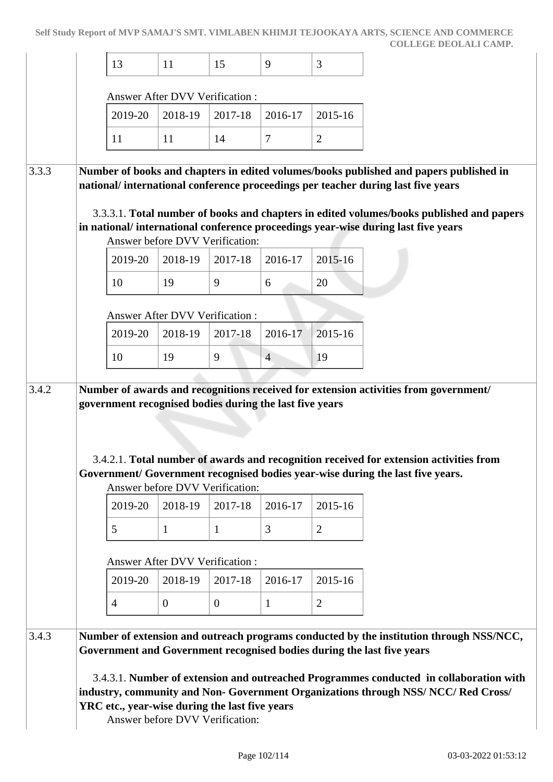**Self Study Report of MVP SAMAJ'S SMT. VIMLABEN KHIMJI TEJOOKAYA ARTS, SCIENCE AND COMMERCE COLLEGE DEOLALI CAMP.**

|       |                |                                                               |                |                |                | COLLEGE DEOLALI CAMP.                                                             |                                                                                                                                                                                    |  |
|-------|----------------|---------------------------------------------------------------|----------------|----------------|----------------|-----------------------------------------------------------------------------------|------------------------------------------------------------------------------------------------------------------------------------------------------------------------------------|--|
|       | 13             | 11                                                            | 15             | 9              | 3              |                                                                                   |                                                                                                                                                                                    |  |
|       |                | <b>Answer After DVV Verification:</b>                         |                |                |                |                                                                                   |                                                                                                                                                                                    |  |
|       | 2019-20        | 2018-19                                                       | 2017-18        | 2016-17        | 2015-16        |                                                                                   |                                                                                                                                                                                    |  |
|       | 11             | 11                                                            | 14             | 7              | $\overline{2}$ |                                                                                   |                                                                                                                                                                                    |  |
| 3.3.3 |                |                                                               |                |                |                | national/international conference proceedings per teacher during last five years  | Number of books and chapters in edited volumes/books published and papers published in<br>3.3.3.1. Total number of books and chapters in edited volumes/books published and papers |  |
|       |                | Answer before DVV Verification:                               |                |                |                | in national/international conference proceedings year-wise during last five years |                                                                                                                                                                                    |  |
|       | 2019-20        | 2018-19                                                       | 2017-18        | 2016-17        | $2015 - 16$    |                                                                                   |                                                                                                                                                                                    |  |
|       | 10             | 19                                                            | 9              | 6              | 20             |                                                                                   |                                                                                                                                                                                    |  |
|       |                | <b>Answer After DVV Verification:</b>                         |                |                |                |                                                                                   |                                                                                                                                                                                    |  |
|       | 2019-20        | 2018-19                                                       | 2017-18        | 2016-17        | 2015-16        |                                                                                   |                                                                                                                                                                                    |  |
|       |                |                                                               |                |                |                |                                                                                   |                                                                                                                                                                                    |  |
| 3.4.2 | 10             | 19<br>government recognised bodies during the last five years | 9              | $\overline{4}$ | 19             |                                                                                   | Number of awards and recognitions received for extension activities from government/                                                                                               |  |
|       |                |                                                               |                |                |                |                                                                                   | 3.4.2.1. Total number of awards and recognition received for extension activities from                                                                                             |  |
|       |                |                                                               |                |                |                | Government/ Government recognised bodies year-wise during the last five years.    |                                                                                                                                                                                    |  |
|       | 2019-20        | Answer before DVV Verification:<br>2018-19                    | 2017-18        | 2016-17        | 2015-16        |                                                                                   |                                                                                                                                                                                    |  |
|       | 5              | 1                                                             | $\mathbf{1}$   | 3              | $\overline{2}$ |                                                                                   |                                                                                                                                                                                    |  |
|       |                | <b>Answer After DVV Verification:</b>                         |                |                |                |                                                                                   |                                                                                                                                                                                    |  |
|       | 2019-20        | 2018-19                                                       | 2017-18        | 2016-17        | 2015-16        |                                                                                   |                                                                                                                                                                                    |  |
|       | $\overline{4}$ | $\overline{0}$                                                | $\overline{0}$ | 1              | $\overline{2}$ |                                                                                   |                                                                                                                                                                                    |  |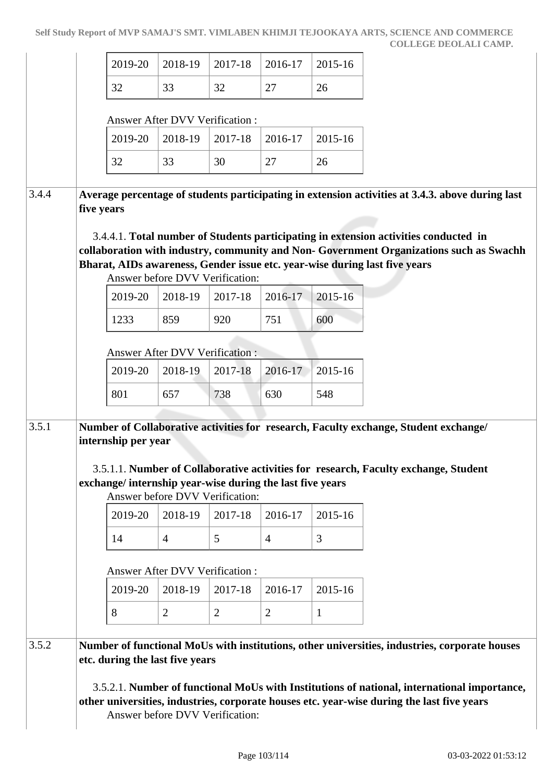|       |            | 2019-20                                                                                                                                                                                                                                                                                                                                                           | 2018-19                                                                                                   | 2017-18                 | 2016-17                              | 2015-16                 |
|-------|------------|-------------------------------------------------------------------------------------------------------------------------------------------------------------------------------------------------------------------------------------------------------------------------------------------------------------------------------------------------------------------|-----------------------------------------------------------------------------------------------------------|-------------------------|--------------------------------------|-------------------------|
|       |            | 32                                                                                                                                                                                                                                                                                                                                                                | 33                                                                                                        | 32                      | 27                                   | 26                      |
|       |            |                                                                                                                                                                                                                                                                                                                                                                   | Answer After DVV Verification :                                                                           |                         |                                      |                         |
|       |            | 2019-20                                                                                                                                                                                                                                                                                                                                                           | 2018-19                                                                                                   | 2017-18                 | 2016-17                              | 2015-16                 |
|       |            | 32                                                                                                                                                                                                                                                                                                                                                                | 33                                                                                                        | 30                      | 27                                   | 26                      |
|       |            |                                                                                                                                                                                                                                                                                                                                                                   |                                                                                                           |                         |                                      |                         |
| 3.4.4 | five years | Average percentage of students participating in extension activities at 3.4.3. above during last<br>3.4.4.1. Total number of Students participating in extension activities conducted in<br>collaboration with industry, community and Non- Government Organizations such as Swachh<br>Bharat, AIDs awareness, Gender issue etc. year-wise during last five years |                                                                                                           |                         |                                      |                         |
|       |            |                                                                                                                                                                                                                                                                                                                                                                   | Answer before DVV Verification:                                                                           |                         |                                      |                         |
|       |            | 2019-20                                                                                                                                                                                                                                                                                                                                                           | 2018-19                                                                                                   | 2017-18                 | 2016-17                              | 2015-16                 |
|       |            | 1233                                                                                                                                                                                                                                                                                                                                                              | 859                                                                                                       | 920                     | 751                                  | 600                     |
|       |            |                                                                                                                                                                                                                                                                                                                                                                   | <b>Answer After DVV Verification:</b>                                                                     |                         |                                      |                         |
|       |            | 2019-20                                                                                                                                                                                                                                                                                                                                                           | 2018-19                                                                                                   | 2017-18                 | 2016-17                              | 2015-16                 |
|       |            | 801                                                                                                                                                                                                                                                                                                                                                               | 657                                                                                                       | 738                     | 630                                  | 548                     |
| 3.5.1 |            | Number of Collaborative activities for research, Faculty exchange, Student exchange/<br>internship per year<br>3.5.1.1. Number of Collaborative activities for research, Faculty exchange, Student<br>exchange/ internship year-wise during the last five years<br>2019-20<br>14<br>2019-20                                                                       | Answer before DVV Verification:<br>2018-19<br>$\overline{4}$<br>Answer After DVV Verification:<br>2018-19 | 2017-18<br>5<br>2017-18 | 2016-17<br>$\overline{4}$<br>2016-17 | 2015-16<br>3<br>2015-16 |
|       |            | 8                                                                                                                                                                                                                                                                                                                                                                 | $\overline{2}$                                                                                            | $\overline{2}$          | $\overline{2}$                       | $\mathbf{1}$            |
| 3.5.2 |            | Number of functional MoUs with institutions, other universities, industries, corporate houses<br>etc. during the last five years<br>3.5.2.1. Number of functional MoUs with Institutions of national, international importance,<br>other universities, industries, corporate houses etc. year-wise during the last five years                                     | Answer before DVV Verification:                                                                           |                         |                                      |                         |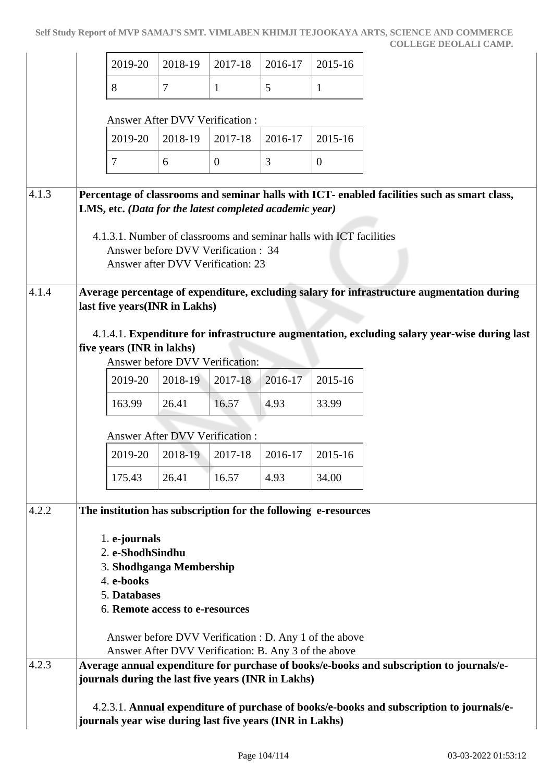|       |                                                                     |                                                                         |                |                                                                                                                |                | COLLEGE DEOLALI CANIF.                                                                       |
|-------|---------------------------------------------------------------------|-------------------------------------------------------------------------|----------------|----------------------------------------------------------------------------------------------------------------|----------------|----------------------------------------------------------------------------------------------|
|       | 2019-20                                                             | 2018-19                                                                 | 2017-18        | 2016-17                                                                                                        | 2015-16        |                                                                                              |
|       | 8                                                                   | $\tau$                                                                  | 1              | 5                                                                                                              | 1              |                                                                                              |
|       |                                                                     | Answer After DVV Verification :                                         |                |                                                                                                                |                |                                                                                              |
|       | 2019-20                                                             | 2018-19                                                                 | 2017-18        | 2016-17                                                                                                        | 2015-16        |                                                                                              |
|       | 7                                                                   | 6                                                                       | $\overline{0}$ | 3                                                                                                              | $\overline{0}$ |                                                                                              |
|       |                                                                     |                                                                         |                |                                                                                                                |                |                                                                                              |
| 4.1.3 | LMS, etc. (Data for the latest completed academic year)             |                                                                         |                |                                                                                                                |                | Percentage of classrooms and seminar halls with ICT- enabled facilities such as smart class, |
|       | 4.1.3.1. Number of classrooms and seminar halls with ICT facilities | Answer before DVV Verification: 34<br>Answer after DVV Verification: 23 |                |                                                                                                                |                |                                                                                              |
| 4.1.4 |                                                                     |                                                                         |                |                                                                                                                |                | Average percentage of expenditure, excluding salary for infrastructure augmentation during   |
|       | last five years(INR in Lakhs)                                       |                                                                         |                |                                                                                                                |                |                                                                                              |
|       |                                                                     |                                                                         |                |                                                                                                                |                | 4.1.4.1. Expenditure for infrastructure augmentation, excluding salary year-wise during last |
|       | five years (INR in lakhs)                                           | Answer before DVV Verification:                                         |                |                                                                                                                |                |                                                                                              |
|       | 2019-20                                                             | 2018-19                                                                 | 2017-18        | 2016-17                                                                                                        | 2015-16        |                                                                                              |
|       | 163.99                                                              | 26.41                                                                   | 16.57          | 4.93                                                                                                           | 33.99          |                                                                                              |
|       |                                                                     | <b>Answer After DVV Verification:</b>                                   |                |                                                                                                                |                |                                                                                              |
|       | 2019-20                                                             | 2018-19                                                                 | 2017-18        | 2016-17                                                                                                        | 2015-16        |                                                                                              |
|       | 175.43                                                              | 26.41                                                                   | 16.57          | 4.93                                                                                                           | 34.00          |                                                                                              |
|       |                                                                     |                                                                         |                |                                                                                                                |                |                                                                                              |
| 4.2.2 | The institution has subscription for the following e-resources      |                                                                         |                |                                                                                                                |                |                                                                                              |
|       | 1. e-journals                                                       |                                                                         |                |                                                                                                                |                |                                                                                              |
|       | 2. e-ShodhSindhu                                                    |                                                                         |                |                                                                                                                |                |                                                                                              |
|       | 3. Shodhganga Membership<br>4. e-books                              |                                                                         |                |                                                                                                                |                |                                                                                              |
|       | 5. Databases                                                        |                                                                         |                |                                                                                                                |                |                                                                                              |
|       | 6. Remote access to e-resources                                     |                                                                         |                |                                                                                                                |                |                                                                                              |
|       |                                                                     |                                                                         |                | Answer before DVV Verification : D. Any 1 of the above<br>Answer After DVV Verification: B. Any 3 of the above |                |                                                                                              |
| 4.2.3 |                                                                     |                                                                         |                |                                                                                                                |                | Average annual expenditure for purchase of books/e-books and subscription to journals/e-     |
|       | journals during the last five years (INR in Lakhs)                  |                                                                         |                |                                                                                                                |                |                                                                                              |
|       |                                                                     |                                                                         |                |                                                                                                                |                | 4.2.3.1. Annual expenditure of purchase of books/e-books and subscription to journals/e-     |
|       | journals year wise during last five years (INR in Lakhs)            |                                                                         |                |                                                                                                                |                |                                                                                              |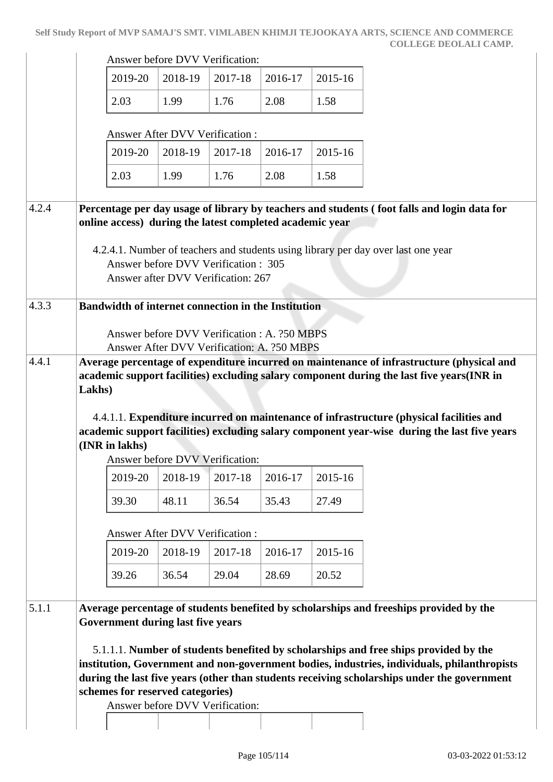| 2019-20<br>2017-18<br>2018-19<br>2016-17<br>2015-16<br>2.03<br>2.08<br>1.58<br>1.99<br>1.76<br>Answer After DVV Verification :<br>2019-20<br>2018-19<br>2017-18<br>2016-17<br>2015-16<br>2.03<br>1.99<br>2.08<br>1.58<br>1.76<br>4.2.4<br>Percentage per day usage of library by teachers and students (foot falls and login data for<br>online access) during the latest completed academic year<br>4.2.4.1. Number of teachers and students using library per day over last one year<br>Answer before DVV Verification: 305<br>Answer after DVV Verification: 267<br>4.3.3<br><b>Bandwidth of internet connection in the Institution</b><br>Answer before DVV Verification: A. 250 MBPS<br>Answer After DVV Verification: A. 250 MBPS<br>4.4.1<br>Average percentage of expenditure incurred on maintenance of infrastructure (physical and<br>academic support facilities) excluding salary component during the last five years(INR in<br>Lakhs)<br>4.4.1.1. Expenditure incurred on maintenance of infrastructure (physical facilities and<br>academic support facilities) excluding salary component year-wise during the last five years<br>(INR in lakhs)<br>Answer before DVV Verification:<br>2018-19<br>2019-20<br>2017-18<br>2016-17<br>2015-16<br>48.11<br>39.30<br>36.54<br>35.43<br>27.49<br>Answer After DVV Verification :<br>2019-20<br>2018-19<br>2017-18<br>2016-17<br>2015-16<br>39.26<br>36.54<br>28.69<br>20.52<br>29.04<br>5.1.1<br>Average percentage of students benefited by scholarships and freeships provided by the<br>Government during last five years<br>5.1.1.1. Number of students benefited by scholarships and free ships provided by the<br>institution, Government and non-government bodies, industries, individuals, philanthropists<br>during the last five years (other than students receiving scholarships under the government<br>schemes for reserved categories) |  | Answer before DVV Verification: |  |  |  |
|-------------------------------------------------------------------------------------------------------------------------------------------------------------------------------------------------------------------------------------------------------------------------------------------------------------------------------------------------------------------------------------------------------------------------------------------------------------------------------------------------------------------------------------------------------------------------------------------------------------------------------------------------------------------------------------------------------------------------------------------------------------------------------------------------------------------------------------------------------------------------------------------------------------------------------------------------------------------------------------------------------------------------------------------------------------------------------------------------------------------------------------------------------------------------------------------------------------------------------------------------------------------------------------------------------------------------------------------------------------------------------------------------------------------------------------------------------------------------------------------------------------------------------------------------------------------------------------------------------------------------------------------------------------------------------------------------------------------------------------------------------------------------------------------------------------------------------------------------------------------------------------------------------------------|--|---------------------------------|--|--|--|
|                                                                                                                                                                                                                                                                                                                                                                                                                                                                                                                                                                                                                                                                                                                                                                                                                                                                                                                                                                                                                                                                                                                                                                                                                                                                                                                                                                                                                                                                                                                                                                                                                                                                                                                                                                                                                                                                                                                   |  |                                 |  |  |  |
|                                                                                                                                                                                                                                                                                                                                                                                                                                                                                                                                                                                                                                                                                                                                                                                                                                                                                                                                                                                                                                                                                                                                                                                                                                                                                                                                                                                                                                                                                                                                                                                                                                                                                                                                                                                                                                                                                                                   |  |                                 |  |  |  |
|                                                                                                                                                                                                                                                                                                                                                                                                                                                                                                                                                                                                                                                                                                                                                                                                                                                                                                                                                                                                                                                                                                                                                                                                                                                                                                                                                                                                                                                                                                                                                                                                                                                                                                                                                                                                                                                                                                                   |  |                                 |  |  |  |
|                                                                                                                                                                                                                                                                                                                                                                                                                                                                                                                                                                                                                                                                                                                                                                                                                                                                                                                                                                                                                                                                                                                                                                                                                                                                                                                                                                                                                                                                                                                                                                                                                                                                                                                                                                                                                                                                                                                   |  |                                 |  |  |  |
|                                                                                                                                                                                                                                                                                                                                                                                                                                                                                                                                                                                                                                                                                                                                                                                                                                                                                                                                                                                                                                                                                                                                                                                                                                                                                                                                                                                                                                                                                                                                                                                                                                                                                                                                                                                                                                                                                                                   |  |                                 |  |  |  |
|                                                                                                                                                                                                                                                                                                                                                                                                                                                                                                                                                                                                                                                                                                                                                                                                                                                                                                                                                                                                                                                                                                                                                                                                                                                                                                                                                                                                                                                                                                                                                                                                                                                                                                                                                                                                                                                                                                                   |  |                                 |  |  |  |
|                                                                                                                                                                                                                                                                                                                                                                                                                                                                                                                                                                                                                                                                                                                                                                                                                                                                                                                                                                                                                                                                                                                                                                                                                                                                                                                                                                                                                                                                                                                                                                                                                                                                                                                                                                                                                                                                                                                   |  |                                 |  |  |  |
|                                                                                                                                                                                                                                                                                                                                                                                                                                                                                                                                                                                                                                                                                                                                                                                                                                                                                                                                                                                                                                                                                                                                                                                                                                                                                                                                                                                                                                                                                                                                                                                                                                                                                                                                                                                                                                                                                                                   |  |                                 |  |  |  |
|                                                                                                                                                                                                                                                                                                                                                                                                                                                                                                                                                                                                                                                                                                                                                                                                                                                                                                                                                                                                                                                                                                                                                                                                                                                                                                                                                                                                                                                                                                                                                                                                                                                                                                                                                                                                                                                                                                                   |  |                                 |  |  |  |
|                                                                                                                                                                                                                                                                                                                                                                                                                                                                                                                                                                                                                                                                                                                                                                                                                                                                                                                                                                                                                                                                                                                                                                                                                                                                                                                                                                                                                                                                                                                                                                                                                                                                                                                                                                                                                                                                                                                   |  |                                 |  |  |  |
|                                                                                                                                                                                                                                                                                                                                                                                                                                                                                                                                                                                                                                                                                                                                                                                                                                                                                                                                                                                                                                                                                                                                                                                                                                                                                                                                                                                                                                                                                                                                                                                                                                                                                                                                                                                                                                                                                                                   |  |                                 |  |  |  |
|                                                                                                                                                                                                                                                                                                                                                                                                                                                                                                                                                                                                                                                                                                                                                                                                                                                                                                                                                                                                                                                                                                                                                                                                                                                                                                                                                                                                                                                                                                                                                                                                                                                                                                                                                                                                                                                                                                                   |  |                                 |  |  |  |
|                                                                                                                                                                                                                                                                                                                                                                                                                                                                                                                                                                                                                                                                                                                                                                                                                                                                                                                                                                                                                                                                                                                                                                                                                                                                                                                                                                                                                                                                                                                                                                                                                                                                                                                                                                                                                                                                                                                   |  |                                 |  |  |  |
|                                                                                                                                                                                                                                                                                                                                                                                                                                                                                                                                                                                                                                                                                                                                                                                                                                                                                                                                                                                                                                                                                                                                                                                                                                                                                                                                                                                                                                                                                                                                                                                                                                                                                                                                                                                                                                                                                                                   |  |                                 |  |  |  |
|                                                                                                                                                                                                                                                                                                                                                                                                                                                                                                                                                                                                                                                                                                                                                                                                                                                                                                                                                                                                                                                                                                                                                                                                                                                                                                                                                                                                                                                                                                                                                                                                                                                                                                                                                                                                                                                                                                                   |  |                                 |  |  |  |
|                                                                                                                                                                                                                                                                                                                                                                                                                                                                                                                                                                                                                                                                                                                                                                                                                                                                                                                                                                                                                                                                                                                                                                                                                                                                                                                                                                                                                                                                                                                                                                                                                                                                                                                                                                                                                                                                                                                   |  |                                 |  |  |  |
| Answer before DVV Verification:                                                                                                                                                                                                                                                                                                                                                                                                                                                                                                                                                                                                                                                                                                                                                                                                                                                                                                                                                                                                                                                                                                                                                                                                                                                                                                                                                                                                                                                                                                                                                                                                                                                                                                                                                                                                                                                                                   |  |                                 |  |  |  |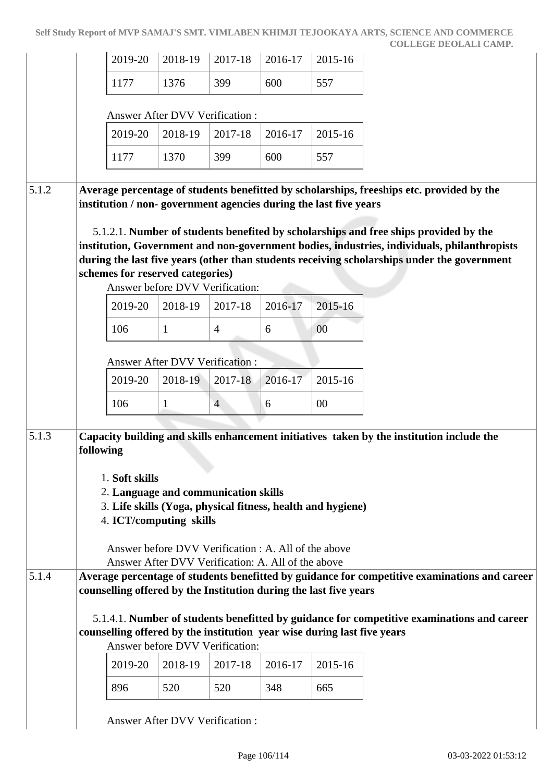|       |           |                |                                                                                                                                                                               |                |                |                                                                                                                                                                | COLLEGE DEOLALI CAMP.                                                                                                                                                                                                                                                                                                                                                           |
|-------|-----------|----------------|-------------------------------------------------------------------------------------------------------------------------------------------------------------------------------|----------------|----------------|----------------------------------------------------------------------------------------------------------------------------------------------------------------|---------------------------------------------------------------------------------------------------------------------------------------------------------------------------------------------------------------------------------------------------------------------------------------------------------------------------------------------------------------------------------|
|       |           | 2019-20        | 2018-19                                                                                                                                                                       | 2017-18        | 2016-17        | 2015-16                                                                                                                                                        |                                                                                                                                                                                                                                                                                                                                                                                 |
|       |           | 1177           | 1376                                                                                                                                                                          | 399            | 600            | 557                                                                                                                                                            |                                                                                                                                                                                                                                                                                                                                                                                 |
|       |           |                | Answer After DVV Verification :                                                                                                                                               |                |                |                                                                                                                                                                |                                                                                                                                                                                                                                                                                                                                                                                 |
|       |           | 2019-20        | 2018-19                                                                                                                                                                       | 2017-18        | 2016-17        | 2015-16                                                                                                                                                        |                                                                                                                                                                                                                                                                                                                                                                                 |
|       |           | 1177           | 1370                                                                                                                                                                          | 399            | 600            | 557                                                                                                                                                            |                                                                                                                                                                                                                                                                                                                                                                                 |
| 5.1.2 |           |                |                                                                                                                                                                               |                |                | institution / non-government agencies during the last five years                                                                                               | Average percentage of students benefitted by scholarships, freeships etc. provided by the<br>5.1.2.1. Number of students benefited by scholarships and free ships provided by the<br>institution, Government and non-government bodies, industries, individuals, philanthropists<br>during the last five years (other than students receiving scholarships under the government |
|       |           |                | schemes for reserved categories)<br>Answer before DVV Verification:                                                                                                           |                |                |                                                                                                                                                                |                                                                                                                                                                                                                                                                                                                                                                                 |
|       |           | 2019-20        | 2018-19                                                                                                                                                                       | 2017-18        | 2016-17        | 2015-16                                                                                                                                                        |                                                                                                                                                                                                                                                                                                                                                                                 |
|       |           | 106            | $\mathbf{1}$                                                                                                                                                                  | $\overline{4}$ | 6              | 00                                                                                                                                                             |                                                                                                                                                                                                                                                                                                                                                                                 |
|       |           |                | Answer After DVV Verification :                                                                                                                                               |                |                |                                                                                                                                                                |                                                                                                                                                                                                                                                                                                                                                                                 |
|       |           | 2019-20        | 2018-19                                                                                                                                                                       | 2017-18        | 2016-17        | 2015-16                                                                                                                                                        |                                                                                                                                                                                                                                                                                                                                                                                 |
|       |           | 106            | $\mathbf{1}$                                                                                                                                                                  | $\overline{4}$ | 6              | 00                                                                                                                                                             |                                                                                                                                                                                                                                                                                                                                                                                 |
| 5.1.3 | following | 1. Soft skills | 2. Language and communication skills<br>4. ICT/computing skills<br>Answer before DVV Verification : A. All of the above<br>Answer After DVV Verification: A. All of the above |                |                | 3. Life skills (Yoga, physical fitness, health and hygiene)                                                                                                    | Capacity building and skills enhancement initiatives taken by the institution include the                                                                                                                                                                                                                                                                                       |
| 5.1.4 |           | 2019-20<br>896 | Answer before DVV Verification:<br>2018-19<br>520                                                                                                                             | 2017-18<br>520 | 2016-17<br>348 | counselling offered by the Institution during the last five years<br>counselling offered by the institution year wise during last five years<br>2015-16<br>665 | Average percentage of students benefitted by guidance for competitive examinations and career<br>5.1.4.1. Number of students benefitted by guidance for competitive examinations and career                                                                                                                                                                                     |
|       |           |                |                                                                                                                                                                               |                |                |                                                                                                                                                                |                                                                                                                                                                                                                                                                                                                                                                                 |

Answer After DVV Verification :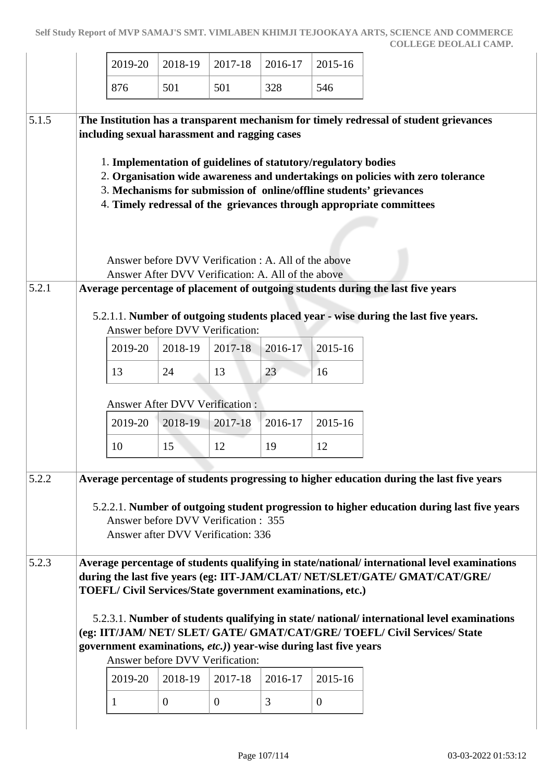|       | 2019-20                                                                                                                                                                                                                     | 2018-19                                                                                                    | 2017-18 | 2016-17 | 2015-16                                                                                                                               |                                                                                                                                                         |  |
|-------|-----------------------------------------------------------------------------------------------------------------------------------------------------------------------------------------------------------------------------|------------------------------------------------------------------------------------------------------------|---------|---------|---------------------------------------------------------------------------------------------------------------------------------------|---------------------------------------------------------------------------------------------------------------------------------------------------------|--|
|       | 876                                                                                                                                                                                                                         | 501                                                                                                        | 501     | 328     | 546                                                                                                                                   |                                                                                                                                                         |  |
| 5.1.5 | The Institution has a transparent mechanism for timely redressal of student grievances<br>including sexual harassment and ragging cases                                                                                     |                                                                                                            |         |         | 1. Implementation of guidelines of statutory/regulatory bodies<br>3. Mechanisms for submission of online/offline students' grievances | 2. Organisation wide awareness and undertakings on policies with zero tolerance<br>4. Timely redressal of the grievances through appropriate committees |  |
|       |                                                                                                                                                                                                                             | Answer before DVV Verification : A. All of the above<br>Answer After DVV Verification: A. All of the above |         |         |                                                                                                                                       |                                                                                                                                                         |  |
| 5.2.1 | Average percentage of placement of outgoing students during the last five years                                                                                                                                             |                                                                                                            |         |         |                                                                                                                                       |                                                                                                                                                         |  |
|       |                                                                                                                                                                                                                             | Answer before DVV Verification:                                                                            |         |         |                                                                                                                                       | 5.2.1.1. Number of outgoing students placed year - wise during the last five years.                                                                     |  |
|       | 2019-20                                                                                                                                                                                                                     | 2018-19                                                                                                    | 2017-18 | 2016-17 | 2015-16                                                                                                                               |                                                                                                                                                         |  |
|       | 13                                                                                                                                                                                                                          | 24                                                                                                         | 13      | 23      | 16                                                                                                                                    |                                                                                                                                                         |  |
|       |                                                                                                                                                                                                                             | Answer After DVV Verification :                                                                            |         |         |                                                                                                                                       |                                                                                                                                                         |  |
|       | 2019-20                                                                                                                                                                                                                     | 2018-19                                                                                                    | 2017-18 | 2016-17 | 2015-16                                                                                                                               |                                                                                                                                                         |  |
|       | 10                                                                                                                                                                                                                          | 15                                                                                                         | 12      | 19      | 12                                                                                                                                    |                                                                                                                                                         |  |
| 5.2.2 | Average percentage of students progressing to higher education during the last five years                                                                                                                                   |                                                                                                            |         |         |                                                                                                                                       |                                                                                                                                                         |  |
|       |                                                                                                                                                                                                                             |                                                                                                            |         |         |                                                                                                                                       |                                                                                                                                                         |  |
| 5.2.3 | Average percentage of students qualifying in state/national/ international level examinations                                                                                                                               | Answer before DVV Verification : 355<br>Answer after DVV Verification: 336                                 |         |         |                                                                                                                                       | 5.2.2.1. Number of outgoing student progression to higher education during last five years                                                              |  |
|       | during the last five years (eg: IIT-JAM/CLAT/ NET/SLET/GATE/ GMAT/CAT/GRE/<br><b>TOEFL/Civil Services/State government examinations, etc.)</b><br>(eg: IIT/JAM/ NET/ SLET/ GATE/ GMAT/CAT/GRE/ TOEFL/ Civil Services/ State |                                                                                                            |         |         |                                                                                                                                       | 5.2.3.1. Number of students qualifying in state/national/international level examinations                                                               |  |
|       | government examinations, etc.) year-wise during last five years                                                                                                                                                             | Answer before DVV Verification:                                                                            |         |         |                                                                                                                                       |                                                                                                                                                         |  |
|       | 2019-20                                                                                                                                                                                                                     | 2018-19                                                                                                    | 2017-18 | 2016-17 | 2015-16                                                                                                                               |                                                                                                                                                         |  |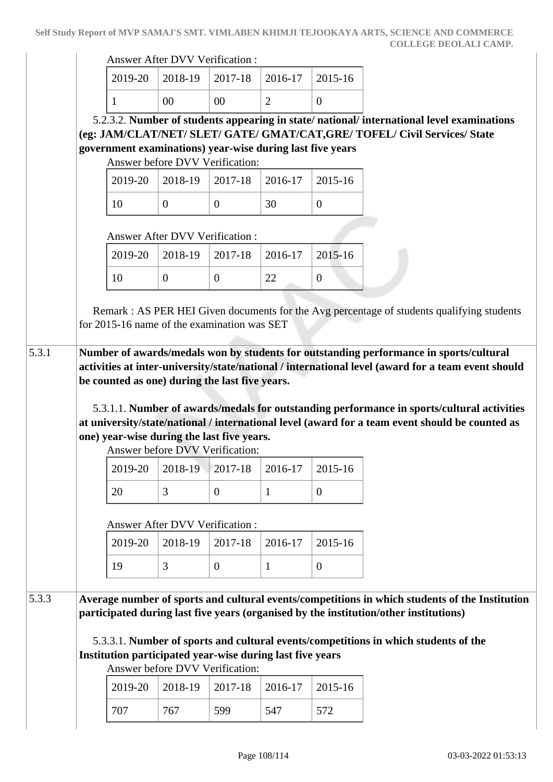|       |                                                                                              |              | <b>Answer After DVV Verification:</b> |                |                  |                                                                                                                                                                                                                                                                                                                                                                                               |
|-------|----------------------------------------------------------------------------------------------|--------------|---------------------------------------|----------------|------------------|-----------------------------------------------------------------------------------------------------------------------------------------------------------------------------------------------------------------------------------------------------------------------------------------------------------------------------------------------------------------------------------------------|
|       | 2019-20                                                                                      | 2018-19      | 2017-18                               | 2016-17        | 2015-16          |                                                                                                                                                                                                                                                                                                                                                                                               |
|       | 1                                                                                            | 00           | 00                                    | $\overline{2}$ | $\theta$         |                                                                                                                                                                                                                                                                                                                                                                                               |
|       |                                                                                              |              |                                       |                |                  | 5.2.3.2. Number of students appearing in state/national/international level examinations                                                                                                                                                                                                                                                                                                      |
|       |                                                                                              |              |                                       |                |                  | (eg: JAM/CLAT/NET/ SLET/ GATE/ GMAT/CAT, GRE/ TOFEL/ Civil Services/ State                                                                                                                                                                                                                                                                                                                    |
|       | government examinations) year-wise during last five years                                    |              | Answer before DVV Verification:       |                |                  |                                                                                                                                                                                                                                                                                                                                                                                               |
|       | 2019-20                                                                                      | 2018-19      | 2017-18                               | 2016-17        | 2015-16          |                                                                                                                                                                                                                                                                                                                                                                                               |
|       | 10                                                                                           | $\mathbf{0}$ | $\overline{0}$                        | 30             | $\overline{0}$   |                                                                                                                                                                                                                                                                                                                                                                                               |
|       |                                                                                              |              | Answer After DVV Verification :       |                |                  |                                                                                                                                                                                                                                                                                                                                                                                               |
|       | 2019-20                                                                                      | 2018-19      | 2017-18                               | 2016-17        | 2015-16          |                                                                                                                                                                                                                                                                                                                                                                                               |
|       | 10                                                                                           | $\mathbf{0}$ | $\boldsymbol{0}$                      | 22             | $\boldsymbol{0}$ |                                                                                                                                                                                                                                                                                                                                                                                               |
|       | for 2015-16 name of the examination was SET                                                  |              |                                       |                |                  | Remark : AS PER HEI Given documents for the Avg percentage of students qualifying students                                                                                                                                                                                                                                                                                                    |
| 5.3.1 | be counted as one) during the last five years.<br>one) year-wise during the last five years. |              | Answer before DVV Verification:       |                |                  | Number of awards/medals won by students for outstanding performance in sports/cultural<br>activities at inter-university/state/national / international level (award for a team event should<br>5.3.1.1. Number of awards/medals for outstanding performance in sports/cultural activities<br>at university/state/national / international level (award for a team event should be counted as |
|       | 2019-20                                                                                      |              | 2018-19   2017-18                     | 2016-17        | 2015-16          |                                                                                                                                                                                                                                                                                                                                                                                               |
|       | 20                                                                                           | 3            | $\overline{0}$                        | 1              | $\mathbf{0}$     |                                                                                                                                                                                                                                                                                                                                                                                               |
|       |                                                                                              |              | <b>Answer After DVV Verification:</b> |                |                  |                                                                                                                                                                                                                                                                                                                                                                                               |
|       | 2019-20                                                                                      | 2018-19      | 2017-18                               | 2016-17        | 2015-16          |                                                                                                                                                                                                                                                                                                                                                                                               |
|       | 19                                                                                           | 3            | $\boldsymbol{0}$                      | $\mathbf{1}$   | $\boldsymbol{0}$ |                                                                                                                                                                                                                                                                                                                                                                                               |
| 5.3.3 | Institution participated year-wise during last five years                                    |              | Answer before DVV Verification:       |                |                  | Average number of sports and cultural events/competitions in which students of the Institution<br>participated during last five years (organised by the institution/other institutions)<br>5.3.3.1. Number of sports and cultural events/competitions in which students of the                                                                                                                |
|       | 2019-20                                                                                      | 2018-19      | 2017-18                               | 2016-17        | 2015-16          |                                                                                                                                                                                                                                                                                                                                                                                               |
|       | 707                                                                                          | 767          | 599                                   | 547            | 572              |                                                                                                                                                                                                                                                                                                                                                                                               |
|       |                                                                                              |              |                                       |                |                  |                                                                                                                                                                                                                                                                                                                                                                                               |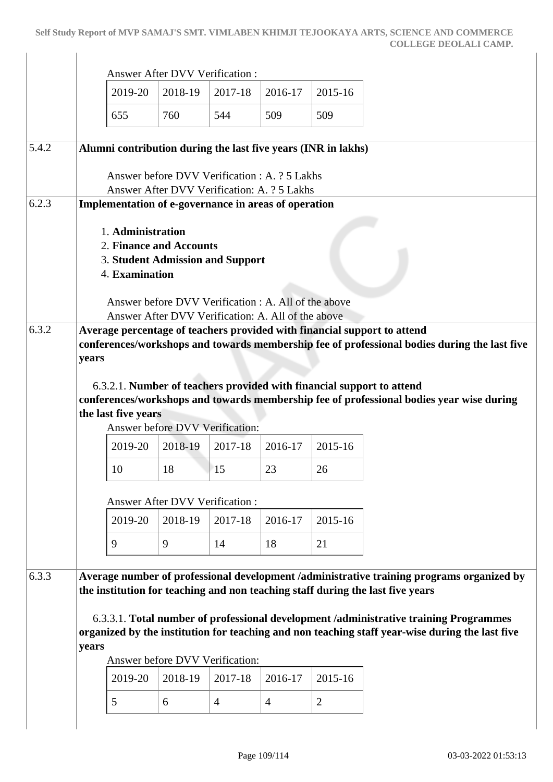|       |                                                                                                                                                                                                                          |                         | <b>Answer After DVV Verification:</b>   |                                                                                                            |         |
|-------|--------------------------------------------------------------------------------------------------------------------------------------------------------------------------------------------------------------------------|-------------------------|-----------------------------------------|------------------------------------------------------------------------------------------------------------|---------|
|       | 2019-20                                                                                                                                                                                                                  | 2018-19                 | 2017-18                                 | 2016-17                                                                                                    | 2015-16 |
|       | 655                                                                                                                                                                                                                      | 760                     | 544                                     | 509                                                                                                        | 509     |
| 5.4.2 | Alumni contribution during the last five years (INR in lakhs)                                                                                                                                                            |                         |                                         |                                                                                                            |         |
|       |                                                                                                                                                                                                                          |                         |                                         | Answer before DVV Verification : A. ? 5 Lakhs<br>Answer After DVV Verification: A. ? 5 Lakhs               |         |
| 6.2.3 | Implementation of e-governance in areas of operation                                                                                                                                                                     |                         |                                         |                                                                                                            |         |
|       | 1. Administration<br>4. Examination                                                                                                                                                                                      | 2. Finance and Accounts | <b>3. Student Admission and Support</b> | Answer before DVV Verification : A. All of the above<br>Answer After DVV Verification: A. All of the above |         |
|       | conferences/workshops and towards membership fee of professional bodies during the last five<br>years<br>conferences/workshops and towards membership fee of professional bodies year wise during<br>the last five years |                         | Answer before DVV Verification:         | 6.3.2.1. Number of teachers provided with financial support to attend                                      |         |
|       | 2019-20                                                                                                                                                                                                                  | 2018-19                 | 2017-18                                 | 2016-17                                                                                                    | 2015-16 |
|       | 10                                                                                                                                                                                                                       | 18                      | 15                                      | 23                                                                                                         | 26      |
|       |                                                                                                                                                                                                                          |                         | <b>Answer After DVV Verification:</b>   |                                                                                                            |         |
|       | 2019-20                                                                                                                                                                                                                  | 2018-19                 | 2017-18                                 | 2016-17                                                                                                    | 2015-16 |
|       | 9                                                                                                                                                                                                                        | 9                       | 14                                      | 18                                                                                                         | 21      |
|       |                                                                                                                                                                                                                          |                         |                                         |                                                                                                            |         |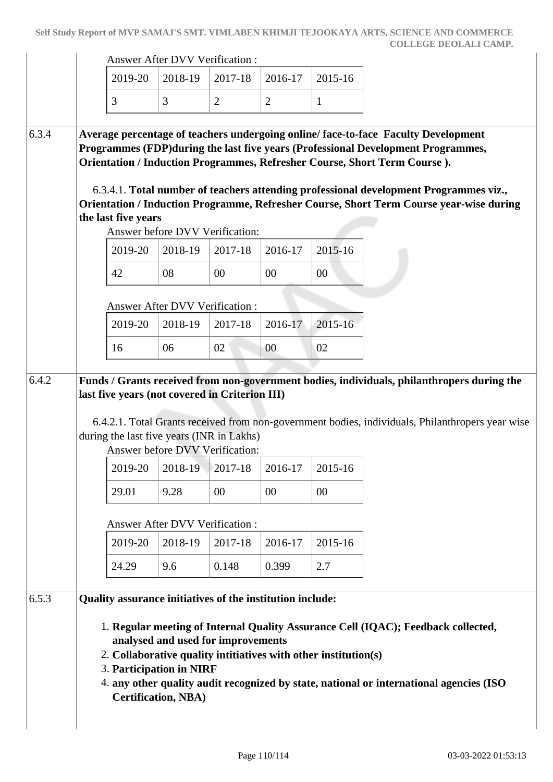|       |                                                                                             | <b>Answer After DVV Verification:</b>                                                                                                                           |                |                |              |                                                                                                                                                                                                                                                                                                                                                                                                                                         |
|-------|---------------------------------------------------------------------------------------------|-----------------------------------------------------------------------------------------------------------------------------------------------------------------|----------------|----------------|--------------|-----------------------------------------------------------------------------------------------------------------------------------------------------------------------------------------------------------------------------------------------------------------------------------------------------------------------------------------------------------------------------------------------------------------------------------------|
|       | 2019-20                                                                                     | 2018-19                                                                                                                                                         | 2017-18        | 2016-17        | 2015-16      |                                                                                                                                                                                                                                                                                                                                                                                                                                         |
|       | 3                                                                                           | 3                                                                                                                                                               | $\overline{2}$ | $\overline{2}$ | $\mathbf{1}$ |                                                                                                                                                                                                                                                                                                                                                                                                                                         |
| 6.3.4 | the last five years                                                                         | Answer before DVV Verification:                                                                                                                                 |                |                |              | Average percentage of teachers undergoing online/face-to-face Faculty Development<br>Programmes (FDP) during the last five years (Professional Development Programmes,<br>Orientation / Induction Programmes, Refresher Course, Short Term Course).<br>6.3.4.1. Total number of teachers attending professional development Programmes viz.,<br>Orientation / Induction Programme, Refresher Course, Short Term Course year-wise during |
|       | 2019-20                                                                                     | 2018-19                                                                                                                                                         | 2017-18        | 2016-17        | 2015-16      |                                                                                                                                                                                                                                                                                                                                                                                                                                         |
|       | 42                                                                                          | 08                                                                                                                                                              | 00             | $00\,$         | 00           |                                                                                                                                                                                                                                                                                                                                                                                                                                         |
|       |                                                                                             | <b>Answer After DVV Verification:</b>                                                                                                                           |                |                |              |                                                                                                                                                                                                                                                                                                                                                                                                                                         |
|       | 2019-20                                                                                     | 2018-19                                                                                                                                                         | 2017-18        | 2016-17        | 2015-16      |                                                                                                                                                                                                                                                                                                                                                                                                                                         |
|       | 16                                                                                          | 06                                                                                                                                                              | 02             | $00\,$         | 02           |                                                                                                                                                                                                                                                                                                                                                                                                                                         |
|       | last five years (not covered in Criterion III)<br>during the last five years (INR in Lakhs) | Answer before DVV Verification:                                                                                                                                 |                |                |              | 6.4.2.1. Total Grants received from non-government bodies, individuals, Philanthropers year wise                                                                                                                                                                                                                                                                                                                                        |
|       |                                                                                             | 2019-20   2018-19   2017-18   2016-17   2015-16                                                                                                                 |                |                |              |                                                                                                                                                                                                                                                                                                                                                                                                                                         |
|       | 29.01                                                                                       | 9.28                                                                                                                                                            | 00             | $00\,$         | 00           |                                                                                                                                                                                                                                                                                                                                                                                                                                         |
|       |                                                                                             | <b>Answer After DVV Verification:</b>                                                                                                                           |                |                |              |                                                                                                                                                                                                                                                                                                                                                                                                                                         |
|       | 2019-20                                                                                     | 2018-19                                                                                                                                                         | 2017-18        | 2016-17        | 2015-16      |                                                                                                                                                                                                                                                                                                                                                                                                                                         |
|       | 24.29                                                                                       | 9.6                                                                                                                                                             | 0.148          | 0.399          | 2.7          |                                                                                                                                                                                                                                                                                                                                                                                                                                         |
| 6.5.3 | Quality assurance initiatives of the institution include:                                   | analysed and used for improvements<br>2. Collaborative quality intitiatives with other institution(s)<br>3. Participation in NIRF<br><b>Certification, NBA)</b> |                |                |              | 1. Regular meeting of Internal Quality Assurance Cell (IQAC); Feedback collected,<br>4. any other quality audit recognized by state, national or international agencies (ISO                                                                                                                                                                                                                                                            |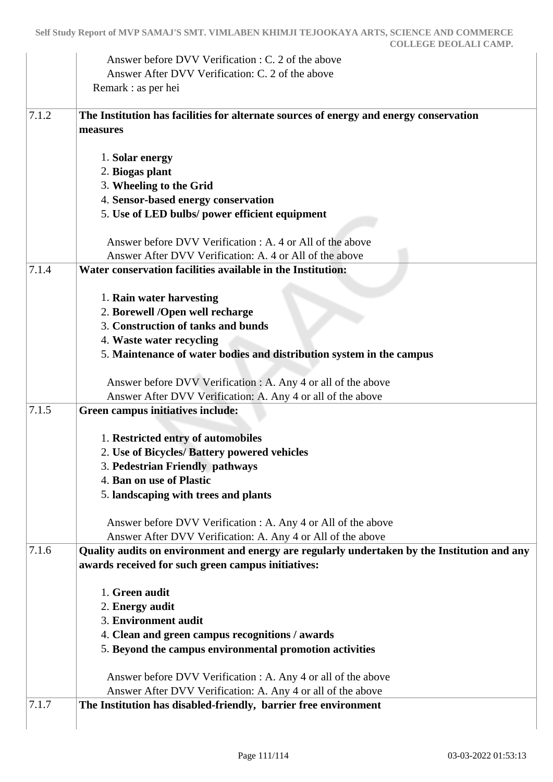| Answer After DVV Verification: C. 2 of the above                                                      |  |
|-------------------------------------------------------------------------------------------------------|--|
| Remark : as per hei                                                                                   |  |
| 7.1.2<br>The Institution has facilities for alternate sources of energy and energy conservation       |  |
| measures                                                                                              |  |
| 1. Solar energy                                                                                       |  |
| 2. Biogas plant                                                                                       |  |
| 3. Wheeling to the Grid                                                                               |  |
| 4. Sensor-based energy conservation                                                                   |  |
| 5. Use of LED bulbs/ power efficient equipment                                                        |  |
| Answer before DVV Verification : A. 4 or All of the above                                             |  |
| Answer After DVV Verification: A. 4 or All of the above                                               |  |
| 7.1.4<br>Water conservation facilities available in the Institution:                                  |  |
| 1. Rain water harvesting                                                                              |  |
| 2. Borewell /Open well recharge                                                                       |  |
| 3. Construction of tanks and bunds                                                                    |  |
| 4. Waste water recycling                                                                              |  |
| 5. Maintenance of water bodies and distribution system in the campus                                  |  |
| Answer before DVV Verification : A. Any 4 or all of the above                                         |  |
| Answer After DVV Verification: A. Any 4 or all of the above                                           |  |
| 7.1.5<br>Green campus initiatives include:                                                            |  |
| 1. Restricted entry of automobiles                                                                    |  |
| 2. Use of Bicycles/ Battery powered vehicles                                                          |  |
| 3. Pedestrian Friendly pathways                                                                       |  |
| 4. Ban on use of Plastic                                                                              |  |
| 5. landscaping with trees and plants                                                                  |  |
| Answer before DVV Verification : A. Any 4 or All of the above                                         |  |
| Answer After DVV Verification: A. Any 4 or All of the above                                           |  |
| Quality audits on environment and energy are regularly undertaken by the Institution and any<br>7.1.6 |  |
| awards received for such green campus initiatives:                                                    |  |
| 1. Green audit                                                                                        |  |
| 2. Energy audit                                                                                       |  |
| 3. Environment audit                                                                                  |  |
| 4. Clean and green campus recognitions / awards                                                       |  |
| 5. Beyond the campus environmental promotion activities                                               |  |
| Answer before DVV Verification : A. Any 4 or all of the above                                         |  |
| Answer After DVV Verification: A. Any 4 or all of the above                                           |  |
| The Institution has disabled-friendly, barrier free environment<br>7.1.7                              |  |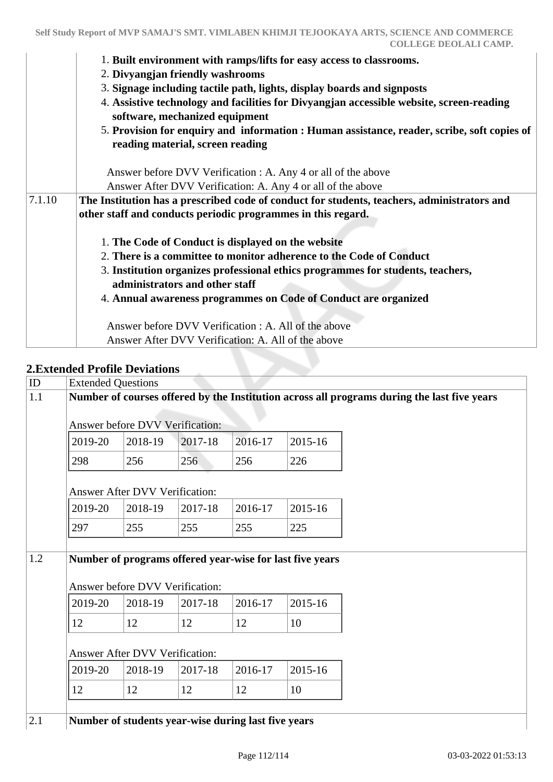|        | 1. Built environment with ramps/lifts for easy access to classrooms.                                                           |
|--------|--------------------------------------------------------------------------------------------------------------------------------|
|        | 2. Divyangjan friendly washrooms                                                                                               |
|        | 3. Signage including tactile path, lights, display boards and signposts                                                        |
|        | 4. Assistive technology and facilities for Divyangjan accessible website, screen-reading<br>software, mechanized equipment     |
|        | 5. Provision for enquiry and information: Human assistance, reader, scribe, soft copies of<br>reading material, screen reading |
|        | Answer before DVV Verification : A. Any 4 or all of the above                                                                  |
|        | Answer After DVV Verification: A. Any 4 or all of the above                                                                    |
| 7.1.10 | The Institution has a prescribed code of conduct for students, teachers, administrators and                                    |
|        | other staff and conducts periodic programmes in this regard.                                                                   |
|        | 1. The Code of Conduct is displayed on the website                                                                             |
|        | 2. There is a committee to monitor adherence to the Code of Conduct                                                            |
|        | 3. Institution organizes professional ethics programmes for students, teachers,<br>administrators and other staff              |
|        | 4. Annual awareness programmes on Code of Conduct are organized                                                                |
|        | Answer before DVV Verification : A. All of the above                                                                           |
|        | Answer After DVV Verification: A. All of the above                                                                             |

## **2.Extended Profile Deviations**

| ID  | <b>Extended Questions</b> |                                        |         |                                                     |                                                          |                                                                                             |  |
|-----|---------------------------|----------------------------------------|---------|-----------------------------------------------------|----------------------------------------------------------|---------------------------------------------------------------------------------------------|--|
| 1.1 |                           |                                        |         |                                                     |                                                          | Number of courses offered by the Institution across all programs during the last five years |  |
|     |                           | <b>Answer before DVV Verification:</b> |         |                                                     |                                                          |                                                                                             |  |
|     | 2019-20                   | 2018-19                                | 2017-18 | 2016-17                                             | 2015-16                                                  |                                                                                             |  |
|     | 298                       | 256                                    | 256     | 256                                                 | 226                                                      |                                                                                             |  |
|     |                           | <b>Answer After DVV Verification:</b>  |         |                                                     |                                                          |                                                                                             |  |
|     | 2019-20                   | 2018-19                                | 2017-18 | 2016-17                                             | 2015-16                                                  |                                                                                             |  |
|     | 297                       | 255                                    | 255     | 255                                                 | 225                                                      |                                                                                             |  |
|     |                           |                                        |         |                                                     |                                                          |                                                                                             |  |
| 1.2 |                           |                                        |         |                                                     | Number of programs offered year-wise for last five years |                                                                                             |  |
|     |                           | Answer before DVV Verification:        |         |                                                     |                                                          |                                                                                             |  |
|     | 2019-20                   | 2018-19                                | 2017-18 | 2016-17                                             | 2015-16                                                  |                                                                                             |  |
|     | 12                        | 12                                     | 12      | 12                                                  | 10                                                       |                                                                                             |  |
|     |                           | Answer After DVV Verification:         |         |                                                     |                                                          |                                                                                             |  |
|     | 2019-20                   | 2018-19                                | 2017-18 | 2016-17                                             | 2015-16                                                  |                                                                                             |  |
|     | 12                        | 12                                     | 12      | 12                                                  | 10                                                       |                                                                                             |  |
|     |                           |                                        |         |                                                     |                                                          |                                                                                             |  |
| 2.1 |                           |                                        |         | Number of students year-wise during last five years |                                                          |                                                                                             |  |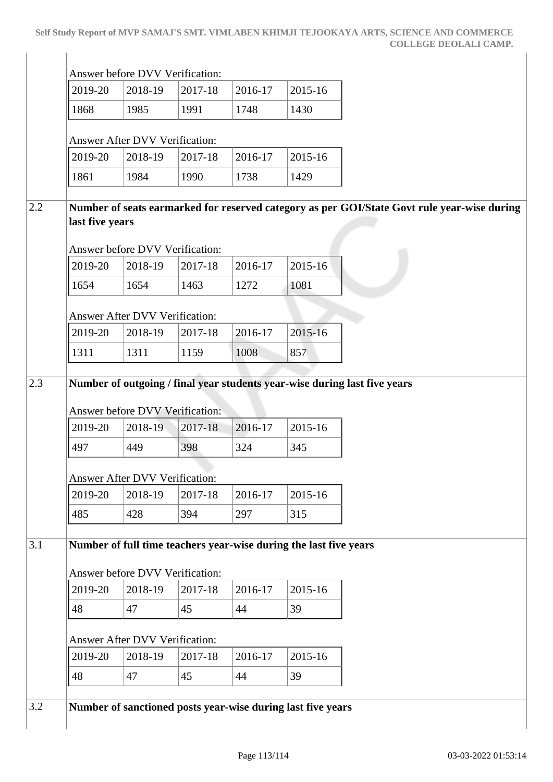## **Self Study Report of MVP SAMAJ'S SMT. VIMLABEN KHIMJI TEJOOKAYA ARTS, SCIENCE AND COMMERCE COLLEGE DEOLALI CAMP.**

| 2019-20                                    | 2018-19                                   | 2017-18       | 2016-17       | 2015-16                                                           |                                                                           |                                                                                             |
|--------------------------------------------|-------------------------------------------|---------------|---------------|-------------------------------------------------------------------|---------------------------------------------------------------------------|---------------------------------------------------------------------------------------------|
| 1868                                       | 1985                                      | 1991          | 1748          | 1430                                                              |                                                                           |                                                                                             |
|                                            | Answer After DVV Verification:            |               |               |                                                                   |                                                                           |                                                                                             |
| 2019-20                                    | 2018-19                                   | 2017-18       | 2016-17       | 2015-16                                                           |                                                                           |                                                                                             |
| 1861                                       | 1984                                      | 1990          | 1738          | 1429                                                              |                                                                           |                                                                                             |
| last five years                            | Answer before DVV Verification:           |               |               |                                                                   |                                                                           | Number of seats earmarked for reserved category as per GOI/State Govt rule year-wise during |
| 2019-20                                    | 2018-19                                   | 2017-18       | 2016-17       | 2015-16                                                           |                                                                           |                                                                                             |
| 1654                                       | 1654                                      | 1463          | 1272          | 1081                                                              |                                                                           |                                                                                             |
|                                            |                                           |               |               |                                                                   |                                                                           |                                                                                             |
| 2019-20                                    | Answer After DVV Verification:<br>2018-19 | 2017-18       | 2016-17       | 2015-16                                                           |                                                                           |                                                                                             |
| 1311                                       | 1311                                      | 1159          | 1008          | 857                                                               |                                                                           |                                                                                             |
|                                            | Answer before DVV Verification:           |               |               |                                                                   | Number of outgoing / final year students year-wise during last five years |                                                                                             |
|                                            | 2018-19                                   | 2017-18       | 2016-17       | 2015-16                                                           |                                                                           |                                                                                             |
| 497                                        | 449                                       | 398           | 324           | 345                                                               |                                                                           |                                                                                             |
|                                            | <b>Answer After DVV Verification:</b>     |               |               |                                                                   |                                                                           |                                                                                             |
|                                            | 2018-19                                   | 2017-18       | 2016-17       | 2015-16                                                           |                                                                           |                                                                                             |
|                                            | 428                                       | 394           | 297           | 315                                                               |                                                                           |                                                                                             |
|                                            |                                           |               |               |                                                                   |                                                                           |                                                                                             |
|                                            |                                           |               |               | Number of full time teachers year-wise during the last five years |                                                                           |                                                                                             |
|                                            | Answer before DVV Verification:           |               |               |                                                                   |                                                                           |                                                                                             |
| 2019-20<br>2019-20<br>485<br>2019-20<br>48 | 2018-19<br>47                             | 2017-18<br>45 | 2016-17<br>44 | 2015-16<br>39                                                     |                                                                           |                                                                                             |
|                                            |                                           |               |               |                                                                   |                                                                           |                                                                                             |
|                                            | <b>Answer After DVV Verification:</b>     |               |               |                                                                   |                                                                           |                                                                                             |
| 2019-20<br>48                              | 2018-19<br>47                             | 2017-18<br>45 | 2016-17<br>44 | 2015-16<br>39                                                     |                                                                           |                                                                                             |